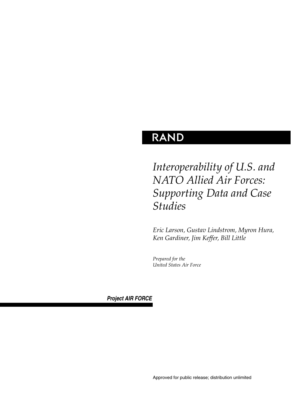# **RAND**

# *Interoperability of U.S. and NATO Allied Air Forces: Supporting Data and Case Studies*

*Eric Larson, Gustav Lindstrom, Myron Hura, Ken Gardiner, Jim Keffer, Bill Little*

*Prepared for the United States Air Force*

*Project AIR FORCE*

Approved for public release; distribution unlimited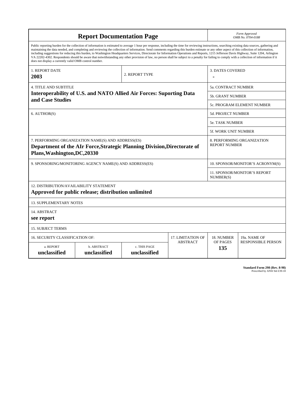| <b>Report Documentation Page</b>                                                                                                                                                                                                                                                                                                                                                                                                                                                                                                                                                                                                                                                                                                                                                                                                                                   |                             |                              | Form Approved<br>OMB No. 0704-0188                 |                                   |                           |
|--------------------------------------------------------------------------------------------------------------------------------------------------------------------------------------------------------------------------------------------------------------------------------------------------------------------------------------------------------------------------------------------------------------------------------------------------------------------------------------------------------------------------------------------------------------------------------------------------------------------------------------------------------------------------------------------------------------------------------------------------------------------------------------------------------------------------------------------------------------------|-----------------------------|------------------------------|----------------------------------------------------|-----------------------------------|---------------------------|
| Public reporting burden for the collection of information is estimated to average 1 hour per response, including the time for reviewing instructions, searching existing data sources, gathering and<br>maintaining the data needed, and completing and reviewing the collection of information. Send comments regarding this burden estimate or any other aspect of this collection of information,<br>including suggestions for reducing this burden, to Washington Headquarters Services, Directorate for Information Operations and Reports, 1215 Jefferson Davis Highway, Suite 1204, Arlington<br>VA 22202-4302. Respondents should be aware that notwithstanding any other provision of law, no person shall be subject to a penalty for failing to comply with a collection of information if it<br>does not display a currently valid OMB control number. |                             |                              |                                                    |                                   |                           |
| 1. REPORT DATE<br>2003                                                                                                                                                                                                                                                                                                                                                                                                                                                                                                                                                                                                                                                                                                                                                                                                                                             |                             | 2. REPORT TYPE               |                                                    | <b>3. DATES COVERED</b>           |                           |
| <b>4. TITLE AND SUBTITLE</b>                                                                                                                                                                                                                                                                                                                                                                                                                                                                                                                                                                                                                                                                                                                                                                                                                                       |                             |                              | <b>5a. CONTRACT NUMBER</b>                         |                                   |                           |
| Interoperability of U.S. and NATO Allied Air Forces: Suporting Data                                                                                                                                                                                                                                                                                                                                                                                                                                                                                                                                                                                                                                                                                                                                                                                                |                             |                              | <b>5b. GRANT NUMBER</b>                            |                                   |                           |
| and Case Studies                                                                                                                                                                                                                                                                                                                                                                                                                                                                                                                                                                                                                                                                                                                                                                                                                                                   |                             |                              |                                                    | <b>5c. PROGRAM ELEMENT NUMBER</b> |                           |
| 6. AUTHOR(S)                                                                                                                                                                                                                                                                                                                                                                                                                                                                                                                                                                                                                                                                                                                                                                                                                                                       |                             |                              |                                                    | 5d. PROJECT NUMBER                |                           |
|                                                                                                                                                                                                                                                                                                                                                                                                                                                                                                                                                                                                                                                                                                                                                                                                                                                                    |                             |                              |                                                    | 5e. TASK NUMBER                   |                           |
|                                                                                                                                                                                                                                                                                                                                                                                                                                                                                                                                                                                                                                                                                                                                                                                                                                                                    |                             |                              | 5f. WORK UNIT NUMBER                               |                                   |                           |
| 7. PERFORMING ORGANIZATION NAME(S) AND ADDRESS(ES)<br>Department of the AIr Force, Strategic Planning Division, Directorate of<br>Plans, Washington, DC, 20330                                                                                                                                                                                                                                                                                                                                                                                                                                                                                                                                                                                                                                                                                                     |                             |                              | 8. PERFORMING ORGANIZATION<br><b>REPORT NUMBER</b> |                                   |                           |
| 9. SPONSORING/MONITORING AGENCY NAME(S) AND ADDRESS(ES)                                                                                                                                                                                                                                                                                                                                                                                                                                                                                                                                                                                                                                                                                                                                                                                                            |                             |                              | 10. SPONSOR/MONITOR'S ACRONYM(S)                   |                                   |                           |
|                                                                                                                                                                                                                                                                                                                                                                                                                                                                                                                                                                                                                                                                                                                                                                                                                                                                    |                             |                              | 11. SPONSOR/MONITOR'S REPORT<br>NUMBER(S)          |                                   |                           |
| 12. DISTRIBUTION/AVAILABILITY STATEMENT<br>Approved for public release; distribution unlimited                                                                                                                                                                                                                                                                                                                                                                                                                                                                                                                                                                                                                                                                                                                                                                     |                             |                              |                                                    |                                   |                           |
| <b>13. SUPPLEMENTARY NOTES</b>                                                                                                                                                                                                                                                                                                                                                                                                                                                                                                                                                                                                                                                                                                                                                                                                                                     |                             |                              |                                                    |                                   |                           |
| 14. ABSTRACT<br>see report                                                                                                                                                                                                                                                                                                                                                                                                                                                                                                                                                                                                                                                                                                                                                                                                                                         |                             |                              |                                                    |                                   |                           |
| <b>15. SUBJECT TERMS</b>                                                                                                                                                                                                                                                                                                                                                                                                                                                                                                                                                                                                                                                                                                                                                                                                                                           |                             |                              |                                                    |                                   |                           |
| 16. SECURITY CLASSIFICATION OF:<br>17. LIMITATION OF<br>18. NUMBER<br>19a. NAME OF                                                                                                                                                                                                                                                                                                                                                                                                                                                                                                                                                                                                                                                                                                                                                                                 |                             |                              |                                                    |                                   |                           |
| a. REPORT<br>unclassified                                                                                                                                                                                                                                                                                                                                                                                                                                                                                                                                                                                                                                                                                                                                                                                                                                          | b. ABSTRACT<br>unclassified | c. THIS PAGE<br>unclassified | <b>ABSTRACT</b><br>OF PAGES<br>135                 |                                   | <b>RESPONSIBLE PERSON</b> |

| <b>Standard Form 298 (Rev. 8-98)</b> |                               |  |  |
|--------------------------------------|-------------------------------|--|--|
|                                      | Prescribed by ANSI Std Z39-18 |  |  |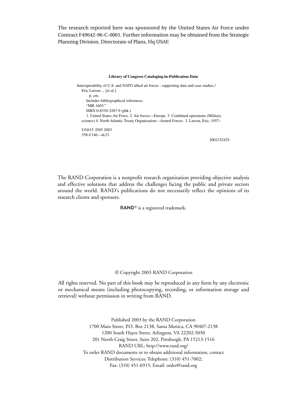The research reported here was sponsored by the United States Air Force under Contract F49642-96-C-0001. Further information may be obtained from the Strategic Planning Division, Directorate of Plans, Hq USAF.

#### **Library of Congress Cataloging-in-Publication Data**

Interoperability of U.S. and NATO allied air forces : supporting data and case studies / Eric Larson ... [et al.]. p. cm. Includes bibliographical references. "MR-1603." ISBN 0-8330-3287-9 (pbk.) 1. United States Air Force. 2. Air forces—Europe. 3. Combined operations (Military science) 4. North Atlantic Treaty Organization—Armed Forces. I. Larson, Eric, 1957–

UG633 .I585 2003 358.4'146—dc21

2002152425

The RAND Corporation is a nonprofit research organization providing objective analysis and effective solutions that address the challenges facing the public and private sectors around the world. RAND's publications do not necessarily reflect the opinions of its research clients and sponsors.

 $RAND^@$  is a registered trademark.

#### © Copyright 2003 RAND Corporation

All rights reserved. No part of this book may be reproduced in any form by any electronic or mechanical means (including photocopying, recording, or information storage and retrieval) without permission in writing from RAND.

> Published 2003 by the RAND Corporation 1700 Main Street, P.O. Box 2138, Santa Monica, CA 90407-2138 1200 South Hayes Street, Arlington, VA 22202-5050 201 North Craig Street, Suite 202, Pittsburgh, PA 15213-1516 RAND URL: http://www.rand.org/ To order RAND documents or to obtain additional information, contact Distribution Services: Telephone: (310) 451-7002; Fax: (310) 451-6915; Email: order@rand.org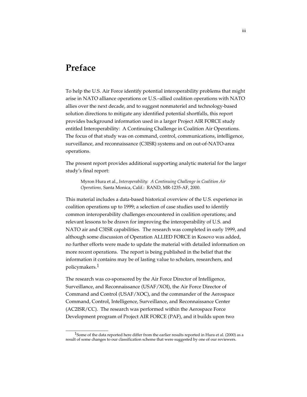## **Preface**

\_\_\_\_\_\_\_\_\_\_\_\_\_\_\_\_\_

To help the U.S. Air Force identify potential interoperability problems that might arise in NATO alliance operations or U.S.–allied coalition operations with NATO allies over the next decade, and to suggest nonmateriel and technology-based solution directions to mitigate any identified potential shortfalls, this report provides background information used in a larger Project AIR FORCE study entitled Interoperability: A Continuing Challenge in Coalition Air Operations. The focus of that study was on command, control, communications, intelligence, surveillance, and reconnaissance (C3ISR) systems and on out-of-NATO-area operations.

The present report provides additional supporting analytic material for the larger study's final report:

Myron Hura et al., *Interoperability: A Continuing Challenge in Coalition Air Operations,* Santa Monica, Calif.: RAND, MR-1235-AF, 2000.

This material includes a data-based historical overview of the U.S. experience in coalition operations up to 1999; a selection of case studies used to identify common interoperability challenges encountered in coalition operations; and relevant lessons to be drawn for improving the interoperability of U.S. and NATO air and C3ISR capabilities. The research was completed in early 1999, and although some discussion of Operation ALLIED FORCE in Kosovo was added, no further efforts were made to update the material with detailed information on more recent operations. The report is being published in the belief that the information it contains may be of lasting value to scholars, researchers, and policymakers.1

The research was co-sponsored by the Air Force Director of Intelligence, Surveillance, and Reconnaissance (USAF/XOI), the Air Force Director of Command and Control (USAF/XOC), and the commander of the Aerospace Command, Control, Intelligence, Surveillance, and Reconnaissance Center (AC2ISR/CC). The research was performed within the Aerospace Force Development program of Project AIR FORCE (PAF), and it builds upon two

<sup>&</sup>lt;sup>1</sup>Some of the data reported here differ from the earlier results reported in Hura et al. (2000) as a result of some changes to our classification scheme that were suggested by one of our reviewers.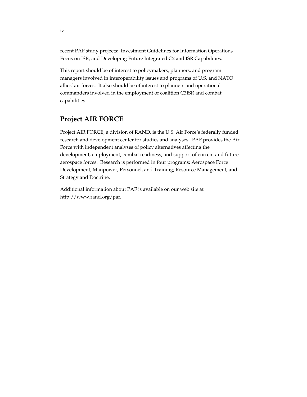recent PAF study projects: Investment Guidelines for Information Operations— Focus on ISR, and Developing Future Integrated C2 and ISR Capabilities.

This report should be of interest to policymakers, planners, and program managers involved in interoperability issues and programs of U.S. and NATO allies' air forces. It also should be of interest to planners and operational commanders involved in the employment of coalition C3ISR and combat capabilities.

### **Project AIR FORCE**

Project AIR FORCE, a division of RAND, is the U.S. Air Force's federally funded research and development center for studies and analyses. PAF provides the Air Force with independent analyses of policy alternatives affecting the development, employment, combat readiness, and support of current and future aerospace forces. Research is performed in four programs: Aerospace Force Development; Manpower, Personnel, and Training; Resource Management; and Strategy and Doctrine.

Additional information about PAF is available on our web site at http://www.rand.org/paf.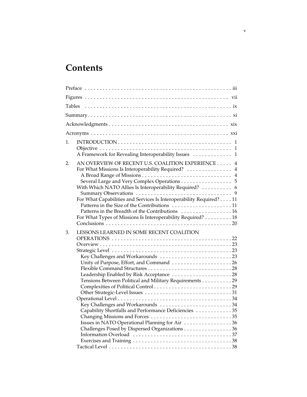# **Contents**

| 1. | A Framework for Revealing Interoperability Issues  1                                                                                                                                                                                                                                                                                                                                                                                                        |
|----|-------------------------------------------------------------------------------------------------------------------------------------------------------------------------------------------------------------------------------------------------------------------------------------------------------------------------------------------------------------------------------------------------------------------------------------------------------------|
| 2. | AN OVERVIEW OF RECENT U.S. COALITION EXPERIENCE 4<br>For What Missions Is Interoperability Required?  4<br>Several Large and Very Complex Operations 5<br>With Which NATO Allies Is Interoperability Required?  6<br>For What Capabilities and Services Is Interoperability Required? 11<br>Patterns in the Size of the Contributions 11<br>Patterns in the Breadth of the Contributions  16<br>For What Types of Missions Is Interoperability Required? 18 |
| 3. | LESSONS LEARNED IN SOME RECENT COALITION<br>Tensions Between Political and Military Requirements 29<br>Key Challenges and Workarounds 34<br>Capability Shortfalls and Performance Deficiencies 35<br>Issues in NATO Operational Planning for Air 36<br>Challenges Posed by Dispersed Organizations 36                                                                                                                                                       |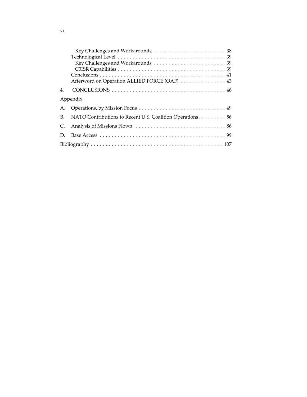|    | Afterword on Operation ALLIED FORCE (OAF)  43             |
|----|-----------------------------------------------------------|
| 4. |                                                           |
|    | Appendix                                                  |
| А. |                                                           |
| B. | NATO Contributions to Recent U.S. Coalition Operations 56 |
| C. |                                                           |
| D. |                                                           |
|    |                                                           |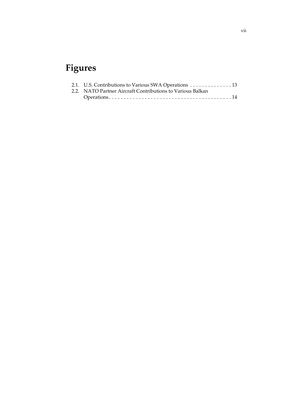# **Figures**

| 2.1. U.S. Contributions to Various SWA Operations 13       |  |
|------------------------------------------------------------|--|
| 2.2. NATO Partner Aircraft Contributions to Various Balkan |  |
|                                                            |  |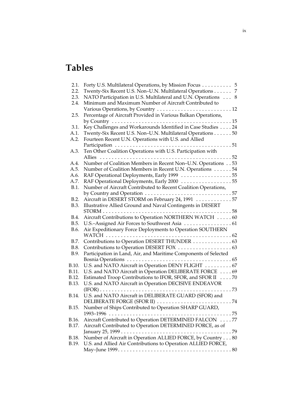# **Tables**

| 2.1.  | Forty U.S. Multilateral Operations, by Mission Focus 5                                       |
|-------|----------------------------------------------------------------------------------------------|
| 2.2.  | Twenty-Six Recent U.S. Non-U.N. Multilateral Operations<br>7                                 |
| 2.3.  | NATO Participation in U.S. Multilateral and U.N. Operations<br>8                             |
| 2.4.  | Minimum and Maximum Number of Aircraft Contributed to                                        |
|       |                                                                                              |
| 2.5.  | Percentage of Aircraft Provided in Various Balkan Operations,                                |
|       | by Country<br>. 15                                                                           |
| 3.1.  | Key Challenges and Workarounds Identified in Case Studies 24                                 |
| A.1.  | Twenty-Six Recent U.S. Non-U.N. Multilateral Operations 50                                   |
| A.2.  | Fourteen Recent U.N. Operations with U.S. and Allied                                         |
|       | Participation<br>. 51                                                                        |
| A.3.  | Ten Other Coalition Operations with U.S. Participation with                                  |
|       | Allies $\dots$<br>52                                                                         |
| A.4.  | Number of Coalition Members in Recent Non-U.N. Operations 53                                 |
| A.5.  | Number of Coalition Members in Recent U.N. Operations 54                                     |
| A.6.  | RAF Operational Deployments, Early 1999 55                                                   |
| A.7.  | RAF Operational Deployments, Early 2000 55                                                   |
| B.1.  | Number of Aircraft Contributed to Recent Coalition Operations,                               |
|       | by Country and Operation $\ldots \ldots \ldots \ldots \ldots \ldots \ldots \ldots \ldots 57$ |
| B.2.  | Aircraft in DESERT STORM on February 24, 1991 57                                             |
| B.3.  | Illustrative Allied Ground and Naval Contingents in DESERT                                   |
|       | STORM<br>. 58                                                                                |
| B.4.  | Aircraft Contributions to Operation NORTHERN WATCH 60                                        |
| B.5.  |                                                                                              |
| B.6.  | Air Expeditionary Force Deployments to Operation SOUTHERN                                    |
|       | WATCH<br>. 62                                                                                |
| B.7.  | Contributions to Operation DESERT THUNDER 63                                                 |
| B.8.  |                                                                                              |
| B.9.  | Participation in Land, Air, and Maritime Components of Selected                              |
|       |                                                                                              |
| B.10. | U.S. and NATO Aircraft in Operation DENY FLIGHT 67                                           |
| B.11. | U.S. and NATO Aircraft in Operation DELIBERATE FORCE 69                                      |
| B.12. | Estimated Troop Contributions to IFOR, SFOR, and SFOR II 70                                  |
| B.13. | U.S. and NATO Aircraft in Operation DECISIVE ENDEAVOR                                        |
|       | $\ldots$ 73<br>$(IFOR) \ldots \ldots$                                                        |
| B.14. | U.S. and NATO Aircraft in DELIBERATE GUARD (SFOR) and                                        |
|       |                                                                                              |
| B.15. | Number of Ships Contributed to Operation SHARP GUARD,                                        |
|       | 1993–1996                                                                                    |
| B.16. | Aircraft Contributed to Operation DETERMINED FALCON 77                                       |
| B.17. | Aircraft Contributed to Operation DETERMINED FORCE, as of                                    |
|       |                                                                                              |
| B.18. |                                                                                              |
| B.19. | U.S. and Allied Air Contributions to Operation ALLIED FORCE,                                 |
|       |                                                                                              |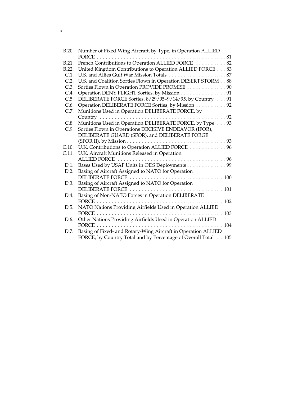| Number of Fixed-Wing Aircraft, by Type, in Operation ALLIED                                                                     |
|---------------------------------------------------------------------------------------------------------------------------------|
|                                                                                                                                 |
| French Contributions to Operation ALLIED FORCE  82                                                                              |
| United Kingdom Contributions to Operation ALLIED FORCE 83                                                                       |
|                                                                                                                                 |
| U.S. and Coalition Sorties Flown in Operation DESERT STORM 88                                                                   |
| Sorties Flown in Operation PROVIDE PROMISE 90                                                                                   |
| Operation DENY FLIGHT Sorties, by Mission 91                                                                                    |
| DELIBERATE FORCE Sorties, 8/29/95-9/14/95, by Country 91                                                                        |
| Operation DELIBERATE FORCE Sorties, by Mission 92                                                                               |
| Munitions Used in Operation DELIBERATE FORCE, by                                                                                |
|                                                                                                                                 |
| Munitions Used in Operation DELIBERATE FORCE, by Type 93                                                                        |
| Sorties Flown in Operations DECISIVE ENDEAVOR (IFOR),                                                                           |
| DELIBERATE GUARD (SFOR), and DELIBERATE FORGE                                                                                   |
|                                                                                                                                 |
| U.K. Contributions to Operation ALLIED FORCE  96                                                                                |
|                                                                                                                                 |
| U.K. Aircraft Munitions Released in Operation                                                                                   |
|                                                                                                                                 |
| Bases Used by USAF Units in ODS Deployments 99                                                                                  |
| Basing of Aircraft Assigned to NATO for Operation                                                                               |
|                                                                                                                                 |
| Basing of Aircraft Assigned to NATO for Operation                                                                               |
| DELIBERATE FORCE  101                                                                                                           |
| Basing of Non-NATO Forces in Operation DELIBERATE                                                                               |
| FORCE<br>. 102                                                                                                                  |
| NATO Nations Providing Airfields Used in Operation ALLIED                                                                       |
|                                                                                                                                 |
| Other Nations Providing Airfields Used in Operation ALLIED                                                                      |
| FORCE $\ldots \ldots \ldots \ldots$<br>. 104                                                                                    |
| Basing of Fixed- and Rotary-Wing Aircraft in Operation ALLIED<br>FORCE, by Country Total and by Percentage of Overall Total 105 |
|                                                                                                                                 |

x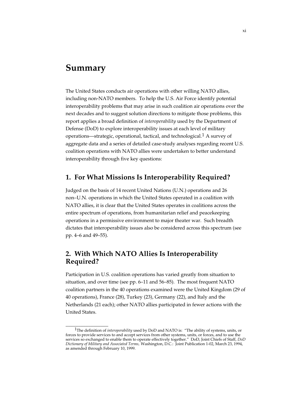## **Summary**

\_\_\_\_\_\_\_\_\_\_\_\_\_\_\_\_\_

The United States conducts air operations with other willing NATO allies, including non-NATO members. To help the U.S. Air Force identify potential interoperability problems that may arise in such coalition air operations over the next decades and to suggest solution directions to mitigate those problems, this report applies a broad definition of *interoperability* used by the Department of Defense (DoD) to explore interoperability issues at each level of military operations—strategic, operational, tactical, and technological.1 A survey of aggregate data and a series of detailed case-study analyses regarding recent U.S. coalition operations with NATO allies were undertaken to better understand interoperability through five key questions:

### **1. For What Missions Is Interoperability Required?**

Judged on the basis of 14 recent United Nations (U.N.) operations and 26 non–U.N. operations in which the United States operated in a coalition with NATO allies, it is clear that the United States operates in coalitions across the entire spectrum of operations, from humanitarian relief and peacekeeping operations in a permissive environment to major theater war. Such breadth dictates that interoperability issues also be considered across this spectrum (see pp. 4–6 and 49–55).

### **2. With Which NATO Allies Is Interoperability Required?**

Participation in U.S. coalition operations has varied greatly from situation to situation, and over time (see pp. 6–11 and 56–85). The most frequent NATO coalition partners in the 40 operations examined were the United Kingdom (29 of 40 operations), France (28), Turkey (23), Germany (22), and Italy and the Netherlands (21 each); other NATO allies participated in fewer actions with the United States.

<sup>1</sup>The definition of *interoperability* used by DoD and NATO is: "The ability of systems, units, or forces to provide services to and accept services from other systems, units, or forces, and to use the services so exchanged to enable them to operate effectively together." DoD, Joint Chiefs of Staff, *DoD Dictionary of Military and Associated Terms,* Washington, D.C.: Joint Publication 1-02, March 23, 1994, as amended through February 10, 1999.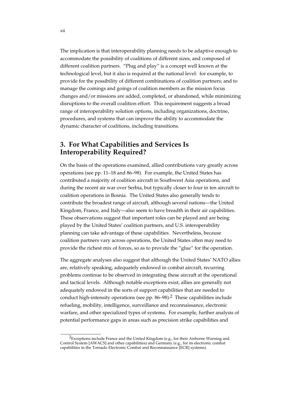The implication is that interoperability planning needs to be adaptive enough to accommodate the possibility of coalitions of different sizes, and composed of different coalition partners. "Plug and play" is a concept well known at the technological level, but it also is required at the national level: for example, to provide for the possibility of different combinations of coalition partners; and to manage the comings and goings of coalition members as the mission focus changes and/or missions are added, completed, or abandoned, while minimizing disruptions to the overall coalition effort. This requirement suggests a broad range of interoperability solution options, including organizations, doctrine, procedures, and systems that can improve the ability to accommodate the dynamic character of coalitions, including transitions.

### **3. For What Capabilities and Services Is Interoperability Required?**

On the basis of the operations examined, allied contributions vary greatly across operations (see pp. 11–18 and 86–98). For example, the United States has contributed a majority of coalition aircraft in Southwest Asia operations, and during the recent air war over Serbia, but typically closer to four in ten aircraft to coalition operations in Bosnia. The United States also generally tends to contribute the broadest range of aircraft, although several nations—the United Kingdom, France, and Italy—also seem to have breadth in their air capabilities. These observations suggest that important roles can be played and are being played by the United States' coalition partners, and U.S. interoperability planning can take advantage of these capabilities. Nevertheless, because coalition partners vary across operations, the United States often may need to provide the richest mix of forces, so as to provide the "glue" for the operation.

The aggregate analyses also suggest that although the United States' NATO allies are, relatively speaking, adequately endowed in combat aircraft, recurring problems continue to be observed in integrating these aircraft at the operational and tactical levels. Although notable exceptions exist, allies are generally not adequately endowed in the sorts of support capabilities that are needed to conduct high-intensity operations (see pp.  $86-98$ ).<sup>2</sup> These capabilities include refueling, mobility, intelligence, surveillance and reconnaissance, electronic warfare, and other specialized types of systems. For example, further analysis of potential performance gaps in areas such as precision strike capabilities and

\_\_\_\_\_\_\_\_\_\_\_\_\_\_\_\_

 $2E$ xceptions include France and the United Kingdom (e.g., for their Airborne Warning and Control System [AWACS] and other capabilities) and Germany (e.g., for its electronic combat capabilities in the Tornado Electronic Combat and Reconnaissance [ECR] systems).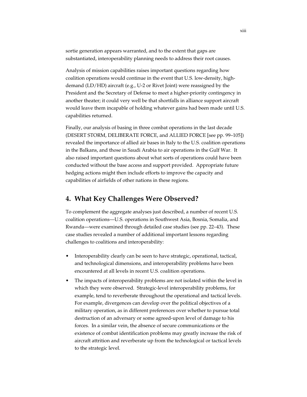sortie generation appears warranted, and to the extent that gaps are substantiated, interoperability planning needs to address their root causes.

Analysis of mission capabilities raises important questions regarding how coalition operations would continue in the event that U.S. low-density, highdemand (LD/HD) aircraft (e.g., U-2 or Rivet Joint) were reassigned by the President and the Secretary of Defense to meet a higher-priority contingency in another theater; it could very well be that shortfalls in alliance support aircraft would leave them incapable of holding whatever gains had been made until U.S. capabilities returned.

Finally, our analysis of basing in three combat operations in the last decade (DESERT STORM, DELIBERATE FORCE, and ALLIED FORCE [see pp. 99–105]) revealed the importance of allied air bases in Italy to the U.S. coalition operations in the Balkans, and those in Saudi Arabia to air operations in the Gulf War. It also raised important questions about what sorts of operations could have been conducted without the base access and support provided. Appropriate future hedging actions might then include efforts to improve the capacity and capabilities of airfields of other nations in these regions.

### **4. What Key Challenges Were Observed?**

To complement the aggregate analyses just described, a number of recent U.S. coalition operations—U.S. operations in Southwest Asia, Bosnia, Somalia, and Rwanda—were examined through detailed case studies (see pp. 22–43). These case studies revealed a number of additional important lessons regarding challenges to coalitions and interoperability:

- Interoperability clearly can be seen to have strategic, operational, tactical, and technological dimensions, and interoperability problems have been encountered at all levels in recent U.S. coalition operations.
- The impacts of interoperability problems are not isolated within the level in which they were observed. Strategic-level interoperability problems, for example, tend to reverberate throughout the operational and tactical levels. For example, divergences can develop over the political objectives of a military operation, as in different preferences over whether to pursue total destruction of an adversary or some agreed-upon level of damage to his forces. In a similar vein, the absence of secure communications or the existence of combat identification problems may greatly increase the risk of aircraft attrition and reverberate up from the technological or tactical levels to the strategic level.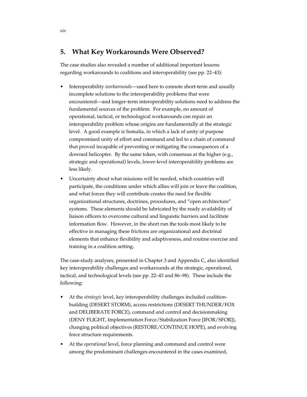### **5. What Key Workarounds Were Observed?**

The case studies also revealed a number of additional important lessons regarding workarounds to coalitions and interoperability (see pp. 22–43):

- Interoperability *workarounds*—used here to connote short-term and usually incomplete solutions to the interoperability problems that were encountered—and longer-term interoperability solutions need to address the fundamental sources of the problem. For example, no amount of operational, tactical, or technological workarounds can repair an interoperability problem whose origins are fundamentally at the strategic level. A good example is Somalia, in which a lack of unity of purpose compromised unity of effort and command and led to a chain of command that proved incapable of preventing or mitigating the consequences of a downed helicopter. By the same token, with consensus at the higher (e.g., strategic and operational) levels, lower-level interoperability problems are less likely.
- Uncertainty about what missions will be needed, which countries will participate, the conditions under which allies will join or leave the coalition, and what forces they will contribute creates the need for flexible organizational structures, doctrines, procedures, and "open architecture" systems. These elements should be lubricated by the ready availability of liaison officers to overcome cultural and linguistic barriers and facilitate information flow. However, in the short run the tools most likely to be effective in managing these frictions are organizational and doctrinal elements that enhance flexibility and adaptiveness, and routine exercise and training in a coalition setting.

The case-study analyses, presented in Chapter 3 and Appendix C, also identified key interoperability challenges and workarounds at the strategic, operational, tactical, and technological levels (see pp. 22–43 and 86–98). These include the following:

- At the *strategic* level, key interoperability challenges included coalitionbuilding (DESERT STORM), access restrictions (DESERT THUNDER/FOX and DELIBERATE FORCE), command and control and decisionmaking (DENY FLIGHT, Implementation Force/Stabilization Force [IFOR/SFOR]), changing political objectives (RESTORE/CONTINUE HOPE), and evolving force structure requirements.
- At the *operational* level, force planning and command and control were among the predominant challenges encountered in the cases examined,

xiv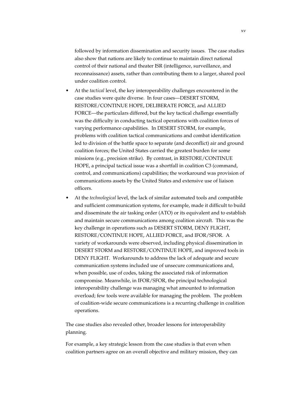followed by information dissemination and security issues. The case studies also show that nations are likely to continue to maintain direct national control of their national and theater ISR (intelligence, surveillance, and reconnaissance) assets, rather than contributing them to a larger, shared pool under coalition control.

- At the *tactical* level, the key interoperability challenges encountered in the case studies were quite diverse. In four cases—DESERT STORM, RESTORE/CONTINUE HOPE, DELIBERATE FORCE, and ALLIED FORCE—the particulars differed, but the key tactical challenge essentially was the difficulty in conducting tactical operations with coalition forces of varying performance capabilities. In DESERT STORM, for example, problems with coalition tactical communications and combat identification led to division of the battle space to separate (and deconflict) air and ground coalition forces; the United States carried the greatest burden for some missions (e.g., precision strike). By contrast, in RESTORE/CONTINUE HOPE, a principal tactical issue was a shortfall in coalition C3 (command, control, and communications) capabilities; the workaround was provision of communications assets by the United States and extensive use of liaison officers.
- At the *technological* level, the lack of similar automated tools and compatible and sufficient communication systems, for example, made it difficult to build and disseminate the air tasking order (ATO) or its equivalent and to establish and maintain secure communications among coalition aircraft. This was the key challenge in operations such as DESERT STORM, DENY FLIGHT, RESTORE/CONTINUE HOPE, ALLIED FORCE, and IFOR/SFOR. A variety of workarounds were observed, including physical dissemination in DESERT STORM and RESTORE/CONTINUE HOPE, and improved tools in DENY FLIGHT. Workarounds to address the lack of adequate and secure communication systems included use of unsecure communications and, when possible, use of codes, taking the associated risk of information compromise. Meanwhile, in IFOR/SFOR, the principal technological interoperability challenge was managing what amounted to information overload; few tools were available for managing the problem. The problem of coalition-wide secure communications is a recurring challenge in coalition operations.

The case studies also revealed other, broader lessons for interoperability planning.

For example, a key strategic lesson from the case studies is that even when coalition partners agree on an overall objective and military mission, they can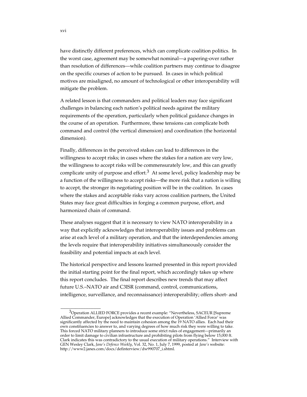have distinctly different preferences, which can complicate coalition politics. In the worst case, agreement may be somewhat nominal—a papering-over rather than resolution of differences—while coalition partners may continue to disagree on the specific courses of action to be pursued. In cases in which political motives are misaligned, no amount of technological or other interoperability will mitigate the problem.

A related lesson is that commanders and political leaders may face significant challenges in balancing each nation's political needs against the military requirements of the operation, particularly when political guidance changes in the course of an operation. Furthermore, these tensions can complicate both command and control (the vertical dimension) and coordination (the horizontal dimension).

Finally, differences in the perceived stakes can lead to differences in the willingness to accept risks; in cases where the stakes for a nation are very low, the willingness to accept risks will be commensurately low, and this can greatly complicate unity of purpose and effort.<sup>3</sup> At some level, policy leadership may be a function of the willingness to accept risks—the more risk that a nation is willing to accept, the stronger its negotiating position will be in the coalition. In cases where the stakes and acceptable risks vary across coalition partners, the United States may face great difficulties in forging a common purpose, effort, and harmonized chain of command.

These analyses suggest that it is necessary to view NATO interoperability in a way that explicitly acknowledges that interoperability issues and problems can arise at each level of a military operation, and that the interdependencies among the levels require that interoperability initiatives simultaneously consider the feasibility and potential impacts at each level.

The historical perspective and lessons learned presented in this report provided the initial starting point for the final report, which accordingly takes up where this report concludes. The final report describes new trends that may affect future U.S.–NATO air and C3ISR (command, control, communications, intelligence, surveillance, and reconnaissance) interoperability; offers short- and

\_\_\_\_\_\_\_\_\_\_\_\_\_\_\_\_

 $3$ Operation ALLIED FORCE provides a recent example: "Nevertheless, SACEUR [Supreme Allied Commander, Europe] acknowledges that the execution of Operation 'Allied Force' was significantly affected by the need to maintain cohesion among the 19 NATO allies. Each had their own constituencies to answer to, and varying degrees of how much risk they were willing to take. This forced NATO military planners to introduce some strict rules of engagement—primarily an order to limit damage to civilian infrastructure and prohibiting pilots from flying below 15,000 ft. Clark indicates this was contradictory to the usual execution of military operations." Interview with GEN Wesley Clark, *Jane's Defence Weekly*, Vol. 32, No. 1, July 7, 1999, posted at *Jane's* website: http://www2.janes.com/docs/definterview/dw990707\_i.shtml.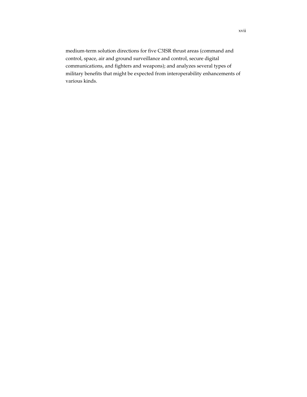medium-term solution directions for five C3ISR thrust areas (command and control, space, air and ground surveillance and control, secure digital communications, and fighters and weapons); and analyzes several types of military benefits that might be expected from interoperability enhancements of various kinds.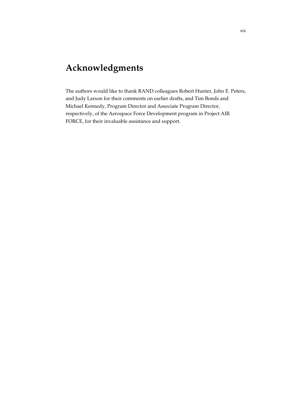# **Acknowledgments**

The authors would like to thank RAND colleagues Robert Hunter, John E. Peters, and Judy Larson for their comments on earlier drafts, and Tim Bonds and Michael Kennedy, Program Director and Associate Program Director, respectively, of the Aerospace Force Development program in Project AIR FORCE, for their invaluable assistance and support.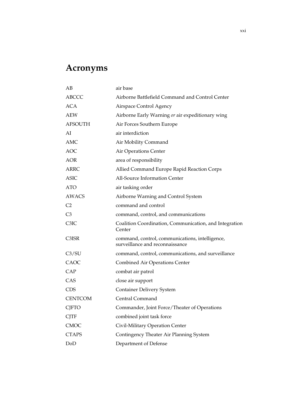# **Acronyms**

| AB             | air base                                                                           |
|----------------|------------------------------------------------------------------------------------|
| <b>ABCCC</b>   | Airborne Battlefield Command and Control Center                                    |
| <b>ACA</b>     | Airspace Control Agency                                                            |
| <b>AEW</b>     | Airborne Early Warning or air expeditionary wing                                   |
| <b>AFSOUTH</b> | Air Forces Southern Europe                                                         |
| AI             | air interdiction                                                                   |
| AMC            | Air Mobility Command                                                               |
| <b>AOC</b>     | Air Operations Center                                                              |
| <b>AOR</b>     | area of responsibility                                                             |
| <b>ARRC</b>    | Allied Command Europe Rapid Reaction Corps                                         |
| <b>ASIC</b>    | All-Source Information Center                                                      |
| <b>ATO</b>     | air tasking order                                                                  |
| <b>AWACS</b>   | Airborne Warning and Control System                                                |
| C <sub>2</sub> | command and control                                                                |
| C <sub>3</sub> | command, control, and communications                                               |
| C3IC           | Coalition Coordination, Communication, and Integration<br>Center                   |
| C3ISR          | command, control, communications, intelligence,<br>surveillance and reconnaissance |
| C3/SU          | command, control, communications, and surveillance                                 |
| CAOC           | Combined Air Operations Center                                                     |
| CAP            | combat air patrol                                                                  |
| CAS            | close air support                                                                  |
| <b>CDS</b>     | <b>Container Delivery System</b>                                                   |
| <b>CENTCOM</b> | Central Command                                                                    |
| <b>CJFTO</b>   | Commander, Joint Force/Theater of Operations                                       |
| <b>CJTF</b>    | combined joint task force                                                          |
| <b>CMOC</b>    | Civil-Military Operation Center                                                    |
| <b>CTAPS</b>   | Contingency Theater Air Planning System                                            |
| DoD            | Department of Defense                                                              |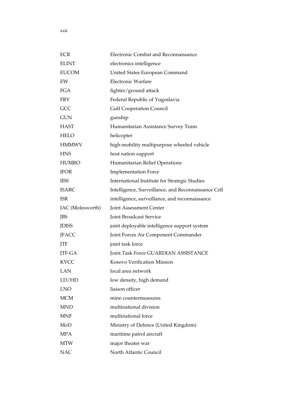| <b>ECR</b>       | Electronic Combat and Reconnaissance                |
|------------------|-----------------------------------------------------|
| <b>ELINT</b>     | electronics intelligence                            |
| <b>EUCOM</b>     | United States European Command                      |
| EW               | <b>Electronic Warfare</b>                           |
| <b>FGA</b>       | fighter/ground attack                               |
| <b>FRY</b>       | Federal Republic of Yugoslavia                      |
| GCC              | <b>Gulf Cooperation Council</b>                     |
| <b>GUN</b>       | gunship                                             |
| <b>HAST</b>      | Humanitarian Assistance Survey Team                 |
| <b>HELO</b>      | helicopter                                          |
| <b>HMMWV</b>     | high-mobility multipurpose wheeled vehicle          |
| <b>HNS</b>       | host nation support                                 |
| <b>HUMRO</b>     | Humanitarian Relief Operations                      |
| <b>IFOR</b>      | <b>Implementation Force</b>                         |
| <b>IISS</b>      | International Institute for Strategic Studies       |
| <b>ISARC</b>     | Intelligence, Surveillance, and Reconnaissance Cell |
| <b>ISR</b>       | intelligence, surveillance, and reconnaissance      |
| JAC (Molesworth) | Joint Assessment Center                             |
| JBS              | Joint Broadcast Service                             |
| <b>JDISS</b>     | joint deployable intelligence support system        |
| <b>JFACC</b>     | Joint Forces Air Component Commander                |
| JTF              | joint task force                                    |
| <b>JTF-GA</b>    | Joint Task Force GUARDIAN ASSISTANCE                |
| <b>KVCC</b>      | Kosovo Verification Mission                         |
| <b>LAN</b>       | local area network                                  |
| LD/HD            | low density, high demand                            |
| <b>LNO</b>       | liaison officer                                     |
| <b>MCM</b>       | mine countermeasures                                |
| <b>MND</b>       | multinational division                              |
| <b>MNF</b>       | multinational force                                 |
| MoD              | Ministry of Defence (United Kingdom)                |
| <b>MPA</b>       | maritime patrol aircraft                            |
| <b>MTW</b>       | major theater war                                   |
| <b>NAC</b>       | North Atlantic Council                              |

xxii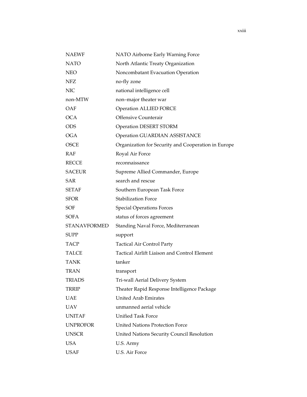| <b>NAEWF</b>        | NATO Airborne Early Warning Force                   |
|---------------------|-----------------------------------------------------|
| <b>NATO</b>         | North Atlantic Treaty Organization                  |
| <b>NEO</b>          | Noncombatant Evacuation Operation                   |
| <b>NFZ</b>          | no-fly zone                                         |
| <b>NIC</b>          | national intelligence cell                          |
| non-MTW             | non-major theater war                               |
| OAF                 | <b>Operation ALLIED FORCE</b>                       |
| <b>OCA</b>          | Offensive Counterair                                |
| <b>ODS</b>          | <b>Operation DESERT STORM</b>                       |
| <b>OGA</b>          | <b>Operation GUARDIAN ASSISTANCE</b>                |
| OSCE                | Organization for Security and Cooperation in Europe |
| <b>RAF</b>          | Royal Air Force                                     |
| <b>RECCE</b>        | reconnaissance                                      |
| <b>SACEUR</b>       | Supreme Allied Commander, Europe                    |
| <b>SAR</b>          | search and rescue                                   |
| <b>SETAF</b>        | Southern European Task Force                        |
| <b>SFOR</b>         | <b>Stabilization Force</b>                          |
| SOF                 | <b>Special Operations Forces</b>                    |
| SOFA                | status of forces agreement                          |
| <b>STANAVFORMED</b> | Standing Naval Force, Mediterranean                 |
| <b>SUPP</b>         | support                                             |
| <b>TACP</b>         | <b>Tactical Air Control Party</b>                   |
| TALCE               | Tactical Airlift Liaison and Control Element        |
| <b>TANK</b>         | tanker                                              |
| <b>TRAN</b>         | transport                                           |
| <b>TRIADS</b>       | Tri-wall Aerial Delivery System                     |
| <b>TRRIP</b>        | Theater Rapid Response Intelligence Package         |
| UAE                 | <b>United Arab Emirates</b>                         |
| <b>UAV</b>          | unmanned aerial vehicle                             |
| <b>UNITAF</b>       | <b>Unified Task Force</b>                           |
| <b>UNPROFOR</b>     | <b>United Nations Protection Force</b>              |
| <b>UNSCR</b>        | United Nations Security Council Resolution          |
| <b>USA</b>          | U.S. Army                                           |
| USAF                | U.S. Air Force                                      |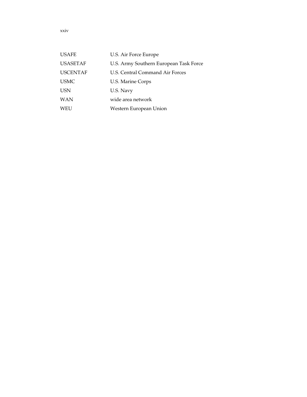| <b>USAFE</b>    | U.S. Air Force Europe                  |
|-----------------|----------------------------------------|
| <b>USASETAF</b> | U.S. Army Southern European Task Force |
| <b>USCENTAF</b> | U.S. Central Command Air Forces        |
| <b>USMC</b>     | U.S. Marine Corps                      |
| <b>USN</b>      | U.S. Navy                              |
| <b>WAN</b>      | wide area network                      |
| WEU             | Western European Union                 |

xxiv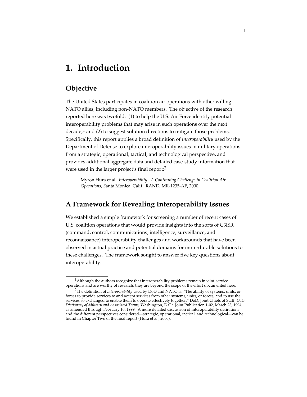## **1. Introduction**

### **Objective**

\_\_\_\_\_\_\_\_\_\_\_\_\_\_\_\_\_

The United States participates in coalition air operations with other willing NATO allies, including non-NATO members. The objective of the research reported here was twofold: (1) to help the U.S. Air Force identify potential interoperability problems that may arise in such operations over the next decade; $<sup>1</sup>$  and (2) to suggest solution directions to mitigate those problems.</sup> Specifically, this report applies a broad definition of *interoperability* used by the Department of Defense to explore interoperability issues in military operations from a strategic, operational, tactical, and technological perspective, and provides additional aggregate data and detailed case-study information that were used in the larger project's final report:<sup>2</sup>

Myron Hura et al., *Interoperability: A Continuing Challenge in Coalition Air Operations, S*anta Monica, Calif.: RAND, MR-1235-AF, 2000.

### **A Framework for Revealing Interoperability Issues**

We established a simple framework for screening a number of recent cases of U.S. coalition operations that would provide insights into the sorts of C3ISR (command, control, communications, intelligence, surveillance, and reconnaissance) interoperability challenges and workarounds that have been observed in actual practice and potential domains for more-durable solutions to these challenges. The framework sought to answer five key questions about interoperability.

<sup>1</sup>Although the authors recognize that interoperability problems remain in joint-service operations and are worthy of research, they are beyond the scope of the effort documented here.

<sup>2</sup>The definition of *interoperability* used by DoD and NATO is: "The ability of systems, units, or forces to provide services to and accept services from other systems, units, or forces, and to use the services so exchanged to enable them to operate effectively together." DoD, Joint Chiefs of Staff, *DoD Dictionary of Military and Associated Terms,* Washington, D.C.: Joint Publication 1-02, March 23, 1994, as amended through February 10, 1999. A more detailed discussion of interoperability definitions and the different perspectives considered—strategic, operational, tactical, and technological—can be found in Chapter Two of the final report (Hura et al., 2000).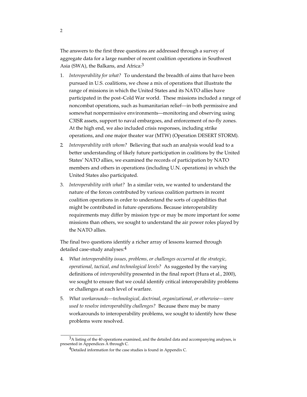The answers to the first three questions are addressed through a survey of aggregate data for a large number of recent coalition operations in Southwest Asia (SWA), the Balkans, and Africa:<sup>3</sup>

- 1. *Interoperability for what?* To understand the breadth of aims that have been pursued in U.S. coalitions, we chose a mix of operations that illustrate the range of missions in which the United States and its NATO allies have participated in the post–Cold War world. These missions included a range of noncombat operations, such as humanitarian relief—in both permissive and somewhat nonpermissive environments—monitoring and observing using C3ISR assets, support to naval embargoes, and enforcement of no-fly zones. At the high end, we also included crisis responses, including strike operations, and one major theater war (MTW) (Operation DESERT STORM).
- 2. *Interoperability with whom?* Believing that such an analysis would lead to a better understanding of likely future participation in coalitions by the United States' NATO allies, we examined the records of participation by NATO members and others in operations (including U.N. operations) in which the United States also participated.
- 3. *Interoperability with what?* In a similar vein, we wanted to understand the nature of the forces contributed by various coalition partners in recent coalition operations in order to understand the sorts of capabilities that might be contributed in future operations. Because interoperability requirements may differ by mission type or may be more important for some missions than others, we sought to understand the air power roles played by the NATO allies.

The final two questions identify a richer array of lessons learned through detailed case-study analyses:<sup>4</sup>

- 4. *What interoperability issues, problems, or challenges occurred at the strategic, operational, tactical, and technological levels?* As suggested by the varying definitions of *interoperability* presented in the final report (Hura et al., 2000), we sought to ensure that we could identify critical interoperability problems or challenges at each level of warfare.
- 5. *What workarounds—technological, doctrinal, organizational, or otherwise—were used to resolve interoperability challenges?* Because there may be many workarounds to interoperability problems, we sought to identify how these problems were resolved.

\_\_\_\_\_\_\_\_\_\_\_\_\_\_\_\_

 $3A$  listing of the 40 operations examined, and the detailed data and accompanying analyses, is presented in Appendices A through C.

<sup>&</sup>lt;sup>4</sup>Detailed information for the case studies is found in Appendix C.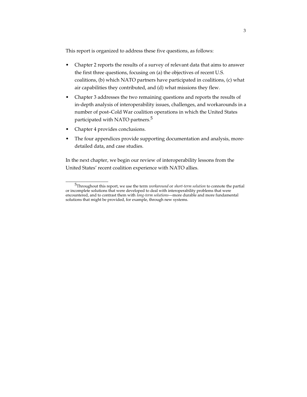This report is organized to address these five questions, as follows:

- Chapter 2 reports the results of a survey of relevant data that aims to answer the first three questions, focusing on (a) the objectives of recent U.S. coalitions, (b) which NATO partners have participated in coalitions, (c) what air capabilities they contributed, and (d) what missions they flew.
- Chapter 3 addresses the two remaining questions and reports the results of in-depth analysis of interoperability issues, challenges, and workarounds in a number of post–Cold War coalition operations in which the United States participated with NATO partners.<sup>5</sup>
- Chapter 4 provides conclusions.

\_\_\_\_\_\_\_\_\_\_\_\_\_\_\_\_\_

The four appendices provide supporting documentation and analysis, moredetailed data, and case studies.

In the next chapter, we begin our review of interoperability lessons from the United States' recent coalition experience with NATO allies.

<sup>5</sup>Throughout this report, we use the term *workaround* or *short-term solution* to connote the partial or incomplete solutions that were developed to deal with interoperability problems that were encountered, and to contrast them with *long-term solutions*—more durable and more fundamental solutions that might be provided, for example, through new systems.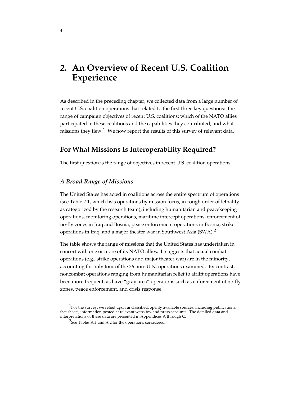## **2. An Overview of Recent U.S. Coalition Experience**

As described in the preceding chapter, we collected data from a large number of recent U.S. coalition operations that related to the first three key questions: the range of campaign objectives of recent U.S. coalitions; which of the NATO allies participated in these coalitions and the capabilities they contributed; and what missions they flew.<sup>1</sup> We now report the results of this survey of relevant data.

### **For What Missions Is Interoperability Required?**

The first question is the range of objectives in recent U.S. coalition operations.

#### *A Broad Range of Missions*

\_\_\_\_\_\_\_\_\_\_\_\_\_\_\_\_

The United States has acted in coalitions across the entire spectrum of operations (see Table 2.1, which lists operations by mission focus, in rough order of lethality as categorized by the research team), including humanitarian and peacekeeping operations, monitoring operations, maritime intercept operations, enforcement of no-fly zones in Iraq and Bosnia, peace enforcement operations in Bosnia, strike operations in Iraq, and a major theater war in Southwest Asia (SWA).<sup>2</sup>

The table shows the range of missions that the United States has undertaken in concert with one or more of its NATO allies. It suggests that actual combat operations (e.g., strike operations and major theater war) are in the minority, accounting for only four of the 26 non–U.N. operations examined. By contrast, noncombat operations ranging from humanitarian relief to airlift operations have been more frequent, as have "gray area" operations such as enforcement of no-fly zones, peace enforcement, and crisis response.

 $1$ For the survey, we relied upon unclassified, openly available sources, including publications, fact sheets, information posted at relevant websites, and press accounts. The detailed data and interpretations of these data are presented in Appendices A through C.

<sup>&</sup>lt;sup>2</sup>See Tables A.1 and A.2 for the operations considered.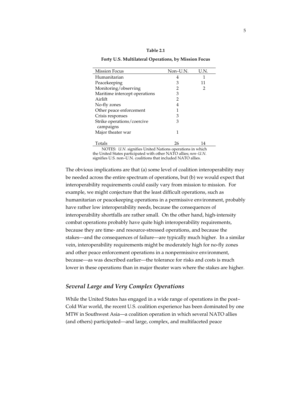#### **Table 2.1**

**Forty U.S. Multilateral Operations, by Mission Focus**

| <b>Mission Focus</b>          | Non-U.N. | U.N. |
|-------------------------------|----------|------|
| Humanitarian                  | 4        |      |
| Peacekeeping                  | 3        | 11   |
| Monitoring/observing          | 2        | 2    |
| Maritime intercept operations | З        |      |
| Airlift                       | 2        |      |
| No-fly zones                  |          |      |
| Other peace enforcement       |          |      |
| Crisis responses              | З        |      |
| Strike operations/coercive    | З        |      |
| campaigns                     |          |      |
| Major theater war             |          |      |
|                               |          |      |
| Totals                        | 26       |      |

NOTES: *U.N.* signifies United Nations operations in which the United States participated with other NATO allies; *non–U.N.* signifies U.S. non–U.N. coalitions that included NATO allies.

The obvious implications are that (a) some level of coalition interoperability may be needed across the entire spectrum of operations, but (b) we would expect that interoperability requirements could easily vary from mission to mission. For example, we might conjecture that the least difficult operations, such as humanitarian or peacekeeping operations in a permissive environment, probably have rather low interoperability needs, because the consequences of interoperability shortfalls are rather small. On the other hand, high-intensity combat operations probably have quite high interoperability requirements, because they are time- and resource-stressed operations, and because the stakes—and the consequences of failure—are typically much higher. In a similar vein, interoperability requirements might be moderately high for no-fly zones and other peace enforcement operations in a nonpermissive environment, because—as was described earlier—the tolerance for risks and costs is much lower in these operations than in major theater wars where the stakes are higher.

### *Several Large and Very Complex Operations*

While the United States has engaged in a wide range of operations in the post– Cold War world, the recent U.S. coalition experience has been dominated by one MTW in Southwest Asia—a coalition operation in which several NATO allies (and others) participated—and large, complex, and multifaceted peace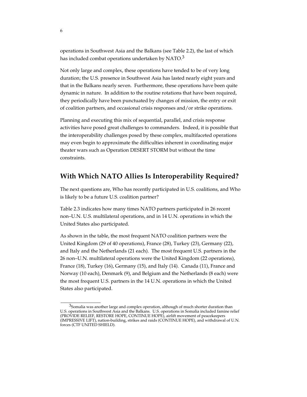operations in Southwest Asia and the Balkans (see Table 2.2), the last of which has included combat operations undertaken by NATO. $3$ 

Not only large and complex, these operations have tended to be of very long duration; the U.S. presence in Southwest Asia has lasted nearly eight years and that in the Balkans nearly seven. Furthermore, these operations have been quite dynamic in nature. In addition to the routine rotations that have been required, they periodically have been punctuated by changes of mission, the entry or exit of coalition partners, and occasional crisis responses and/or strike operations.

Planning and executing this mix of sequential, parallel, and crisis response activities have posed great challenges to commanders. Indeed, it is possible that the interoperability challenges posed by these complex, multifaceted operations may even begin to approximate the difficulties inherent in coordinating major theater wars such as Operation DESERT STORM but without the time constraints.

### **With Which NATO Allies Is Interoperability Required?**

The next questions are, Who has recently participated in U.S. coalitions, and Who is likely to be a future U.S. coalition partner?

Table 2.3 indicates how many times NATO partners participated in 26 recent non–U.N. U.S. multilateral operations, and in 14 U.N. operations in which the United States also participated.

As shown in the table, the most frequent NATO coalition partners were the United Kingdom (29 of 40 operations), France (28), Turkey (23), Germany (22), and Italy and the Netherlands (21 each). The most frequent U.S. partners in the 26 non–U.N. multilateral operations were the United Kingdom (22 operations), France (18), Turkey (16), Germany (15), and Italy (14). Canada (11), France and Norway (10 each), Denmark (9), and Belgium and the Netherlands (8 each) were the most frequent U.S. partners in the 14 U.N. operations in which the United States also participated.

\_\_\_\_\_\_\_\_\_\_\_\_\_\_\_\_

 $3$ Somalia was another large and complex operation, although of much shorter duration than U.S. operations in Southwest Asia and the Balkans. U.S. operations in Somalia included famine relief (PROVIDE RELIEF, RESTORE HOPE, CONTINUE HOPE), airlift movement of peacekeepers (IMPRESSIVE LIFT), nation-building, strikes and raids (CONTINUE HOPE), and withdrawal of U.N. forces (CTF UNITED SHIELD).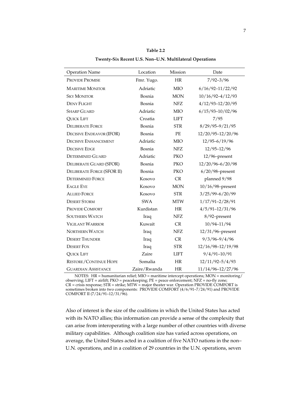| <b>Operation Name</b>             | Location     | Mission     | Date                 |
|-----------------------------------|--------------|-------------|----------------------|
| <b>PROVIDE PROMISE</b>            | Fmr. Yugo.   | HR          | $7/92 - 3/96$        |
| <b>MARITIME MONITOR</b>           | Adriatic     | <b>MIO</b>  | $6/16/92 - 11/22/92$ |
| <b>SKY MONITOR</b>                | Bosnia       | <b>MON</b>  | $10/16/92 - 4/12/93$ |
| <b>DENY FLIGHT</b>                | Bosnia       | <b>NFZ</b>  | $4/12/93 - 12/20/95$ |
| <b>SHARP GUARD</b>                | Adriatic     | <b>MIO</b>  | $6/15/93 - 10/02/96$ |
| <b>QUICK LIFT</b>                 | Croatia      | <b>LIFT</b> | 7/95                 |
| <b>DELIBERATE FORCE</b>           | Bosnia       | <b>STR</b>  | $8/29/95 - 9/21/95$  |
| <b>DECISIVE ENDEAVOR (IFOR)</b>   | Bosnia       | PE          | 12/20/95-12/20/96    |
| <b>DECISIVE ENHANCEMENT</b>       | Adriatic     | <b>MIO</b>  | $12/95 - 6/19/96$    |
| <b>DECISIVE EDGE</b>              | Bosnia       | <b>NFZ</b>  | $12/95 - 12/96$      |
| <b>DETERMINED GUARD</b>           | Adriatic     | PKO         | $12/96$ -present     |
| DELIBERATE GUARD (SFOR)           | Bosnia       | PKO         | 12/20/96-6/20/98     |
| <b>DELIBERATE FORGE (SFOR II)</b> | Bosnia       | <b>PKO</b>  | $6/20/98$ -present   |
| <b>DETERMINED FORCE</b>           | Kosovo       | CR          | planned 9/98         |
| <b>EAGLE EYE</b>                  | Kosovo       | <b>MON</b>  | $10/16/98$ -present  |
| <b>ALLIED FORCE</b>               | Kosovo       | <b>STR</b>  | $3/25/99 - 6/20/99$  |
| <b>DESERT STORM</b>               | <b>SWA</b>   | <b>MTW</b>  | $1/17/91 - 2/28/91$  |
| PROVIDE COMFORT                   | Kurdistan    | <b>HR</b>   | $4/5/91 - 12/31/96$  |
| <b>SOUTHERN WATCH</b>             | Iraq         | <b>NFZ</b>  | 8/92-present         |
| <b>VIGILANT WARRIOR</b>           | Kuwait       | CR          | 10/94-11/94          |
| <b>NORTHERN WATCH</b>             | Iraq         | <b>NFZ</b>  | 12/31/96-present     |
| <b>DESERT THUNDER</b>             | Iraq         | CR          | $9/3/96 - 9/4/96$    |
| <b>DESERT FOX</b>                 | Iraq         | <b>STR</b>  | 12/16/98-12/19/98    |
| <b>QUICK LIFT</b>                 | Zaire        | <b>LIFT</b> | $9/4/91 - 10/91$     |
| <b>RESTORE/CONTINUE HOPE</b>      | Somalia      | <b>HR</b>   | $12/11/92 - 5/4/93$  |
| <b>GUARDIAN ASSISTANCE</b>        | Zaire/Rwanda | HR          | 11/14/96-12/27/96    |

**Table 2.2 Twenty-Six Recent U.S. Non–U.N. Multilateral Operations**

NOTES: HR = humanitarian relief; MIO = maritime intercept operations; MON = monitoring/ observing; LIFT = airlift; PKO = peacekeeping; PE = peace enforcement; NFZ = no-fly zone; CR = crisis response; STR = strike; MTW = major theater war. Operation PROVIDE COMFORT is sometimes broken into two components: PROVIDE COMFORT (4/6/91–7/24/91) and PROVIDE COMFORT II (7/24/91-12/31/96).

Also of interest is the size of the coalitions in which the United States has acted with its NATO allies; this information can provide a sense of the complexity that can arise from interoperating with a large number of other countries with diverse military capabilities. Although coalition size has varied across operations, on average, the United States acted in a coalition of five NATO nations in the non– U.N. operations, and in a coalition of 29 countries in the U.N. operations, seven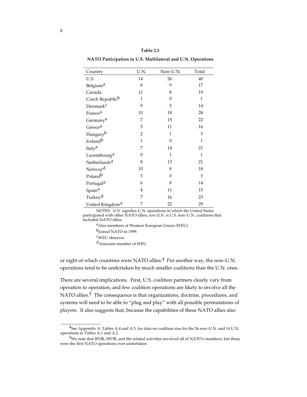**NATO Participation in U.S. Multilateral and U.N. Operations**

| Country                     | U.N.           | Non-U.N.       | Total        |
|-----------------------------|----------------|----------------|--------------|
| U.S.                        | 14             | 26             | 40           |
| Belgium <sup>a</sup>        | 8              | 9              | 17           |
| Canada                      | 11             | 8              | 19           |
| Czech Republic <sup>b</sup> | 1              | $\overline{0}$ | $\mathbf{1}$ |
| Denmark <sup>c</sup>        | 9              | 5              | 14           |
| France <sup>a</sup>         | 10             | 18             | 28           |
| Germany <sup>a</sup>        | 7              | 15             | 22           |
| Greece <sup>a</sup>         | 5              | 11             | 16           |
| Hungaryb                    | $\overline{2}$ | 1              | 3            |
| Iceland <sup>b</sup>        | 1              | $\overline{0}$ | $\mathbf{1}$ |
| Italy <sup>a</sup>          | 7              | 14             | 21           |
| Luxembourg <sup>a</sup>     | $\theta$       | $\mathbf{1}$   | 1            |
| Netherlands <sup>a</sup>    | 8              | 13             | 21           |
| Norway <sup>d</sup>         | 10             | 8              | 18           |
| Poland <sup>b</sup>         | 3              | $\overline{0}$ | 3            |
| Portugal <sup>a</sup>       | 6              | 8              | 14           |
| Spain <sup>a</sup>          | $\overline{4}$ | 11             | 15           |
| Turkey <sup>d</sup>         | 7              | 16             | 23           |
| United Kingdom <sup>a</sup> | 7              | 22             | 29           |

NOTES: *U.N.* signifies U.N. operations in which the United States participated with other NATO allies; *non-U.N.* is U.S. non–U.N. coalitions that included NATO allies.

aAlso members of Western European Union (WEU). b<sub>Joined</sub> NATO in 1999. cWEU observer.

dAssociate member of WEU.

\_\_\_\_\_\_\_\_\_\_\_\_\_\_\_\_

or eight of which countries were NATO allies.<sup>4</sup> Put another way, the non-U.N. operations tend to be undertaken by much smaller coalitions than the U.N. ones.

There are several implications. First, U.S. coalition partners clearly vary from operation to operation, and few coalition operations are likely to involve all the NATO allies.<sup>5</sup> The consequence is that organizations, doctrine, procedures, and systems will need to be able to "plug and play" with all possible permutations of players. It also suggests that, because the capabilities of these NATO allies also

<sup>4</sup>See Appendix A, Tables A.4 and A.5, for data on coalition size for the 26 non–U.N. and 14 U.N. operations in Tables A.1 and A.2.

<sup>5</sup>We note that IFOR, SFOR, and the related activities involved all of NATO's members, but these were the first NATO operations ever undertaken.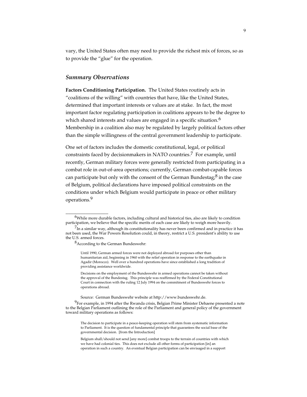vary, the United States often may need to provide the richest mix of forces, so as to provide the "glue" for the operation.

#### *Summary Observations*

**Factors Conditioning Participation.** The United States routinely acts in "coalitions of the willing" with countries that have, like the United States, determined that important interests or values are at stake. In fact, the most important factor regulating participation in coalitions appears to be the degree to which shared interests and values are engaged in a specific situation.<sup>6</sup> Membership in a coalition also may be regulated by largely political factors other than the simple willingness of the central government leadership to participate.

One set of factors includes the domestic constitutional, legal, or political constraints faced by decisionmakers in NATO countries.<sup>7</sup> For example, until recently, German military forces were generally restricted from participating in a combat role in out-of-area operations; currently, German combat-capable forces can participate but only with the consent of the German Bundestag; $8$  in the case of Belgium, political declarations have imposed political constraints on the conditions under which Belgium would participate in peace or other military operations.9

\_\_\_\_\_\_\_\_\_\_\_\_\_\_\_\_\_

<sup>6</sup>While more durable factors, including cultural and historical ties, also are likely to condition participation, we believe that the specific merits of each case are likely to weigh more heavily.

 $<sup>7</sup>$ In a similar way, although its constitutionality has never been confirmed and in practice it has</sup> not been used, the War Powers Resolution could, in theory, restrict a U.S. president's ability to use the U.S. armed forces.

<sup>8</sup>According to the German Bundeswehr:

Until 1990, German armed forces were not deployed abroad for purposes other than humanitarian aid, beginning in 1960 with the relief operation in response to the earthquake in Agadir (Morocco). Well over a hundred operations have since established a long tradition of providing assistance worldwide.

Decisions on the employment of the Bundeswehr in armed operations cannot be taken without the approval of the Bundestag. This principle was reaffirmed by the Federal Constitutional Court in connection with the ruling 12 July 1994 on the commitment of Bundeswehr forces to operations abroad.

Source: German Bundeswehr website at http://www.bundeswehr.de.

 $9$ For example, in 1994 after the Rwanda crisis, Belgian Prime Minister Dehaene presented a note to the Belgian Parliament outlining the role of the Parliament and general policy of the government toward military operations as follows:

The decision to participate in a peace-keeping operation will stem from systematic information to Parliament. It is the question of fundamental principle that guarantees the social base of the governmental decision. [from the Introduction]

Belgium shall/should not send [any more] combat troops to the terrain of countries with which we have had colonial ties. This does not exclude all other forms of participation [in] an operation in such a country. An eventual Belgian participation can be envisaged in a support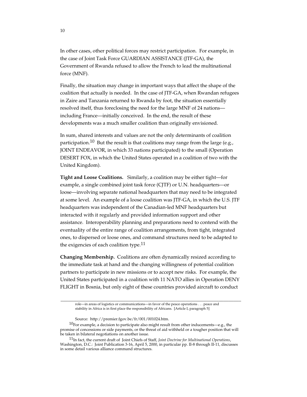In other cases, other political forces may restrict participation. For example, in the case of Joint Task Force GUARDIAN ASSISTANCE (JTF-GA), the Government of Rwanda refused to allow the French to lead the multinational force (MNF).

Finally, the situation may change in important ways that affect the shape of the coalition that actually is needed. In the case of JTF-GA, when Rwandan refugees in Zaire and Tanzania returned to Rwanda by foot, the situation essentially resolved itself, thus foreclosing the need for the large MNF of 24 nations including France—initially conceived. In the end, the result of these developments was a much smaller coalition than originally envisioned.

In sum, shared interests and values are not the only determinants of coalition participation.<sup>10</sup> But the result is that coalitions may range from the large (e.g., JOINT ENDEAVOR, in which 33 nations participated) to the small (Operation DESERT FOX, in which the United States operated in a coalition of two with the United Kingdom).

**Tight and Loose Coalitions.** Similarly, a coalition may be either tight—for example, a single combined joint task force (CJTF) or U.N. headquarters—or loose—involving separate national headquarters that may need to be integrated at some level. An example of a loose coalition was JTF-GA, in which the U.S. JTF headquarters was independent of the Canadian-led MNF headquarters but interacted with it regularly and provided information support and other assistance. Interoperability planning and preparations need to contend with the eventuality of the entire range of coalition arrangements, from tight, integrated ones, to dispersed or loose ones, and command structures need to be adapted to the exigencies of each coalition type.<sup>11</sup>

**Changing Membership.** Coalitions are often dynamically resized according to the immediate task at hand and the changing willingness of potential coalition partners to participate in new missions or to accept new risks. For example, the United States participated in a coalition with 11 NATO allies in Operation DENY FLIGHT in Bosnia, but only eight of these countries provided aircraft to conduct

\_\_\_\_\_\_\_\_\_\_\_\_\_\_\_\_\_\_\_\_\_\_\_\_\_\_\_\_\_\_\_\_\_\_\_\_\_\_\_\_\_\_\_\_\_\_\_\_\_\_\_\_\_\_\_\_\_\_\_\_\_\_\_\_\_\_\_\_\_\_\_\_

role—in areas of logistics or communications—in favor of the peace operations . . . peace and stability in Africa is in first place the responsibility of Africans. [Article I, paragraph 5]

Source: http://premier.fgov.be/fr/001/001024.htm.

 $10$ For example, a decision to participate also might result from other inducements—e.g., the promise of concessions or side payments, or the threat of aid withheld or a tougher position that will be taken in bilateral negotiations on another issue.

<sup>11</sup>In fact, the current draft of Joint Chiefs of Staff, *Joint Doctrine for Multinational Operations*, Washington, D.C.: Joint Publication 3-16, April 5, 2000, in particular pp. II-8 through II-11, discusses in some detail various alliance command structures.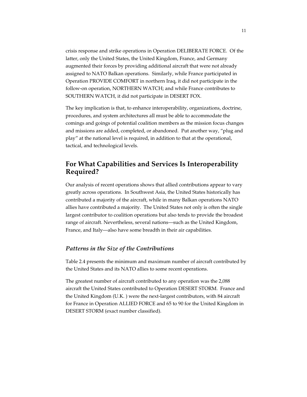crisis response and strike operations in Operation DELIBERATE FORCE. Of the latter, only the United States, the United Kingdom, France, and Germany augmented their forces by providing additional aircraft that were not already assigned to NATO Balkan operations. Similarly, while France participated in Operation PROVIDE COMFORT in northern Iraq, it did not participate in the follow-on operation, NORTHERN WATCH; and while France contributes to SOUTHERN WATCH, it did not participate in DESERT FOX.

The key implication is that, to enhance interoperability, organizations, doctrine, procedures, and system architectures all must be able to accommodate the comings and goings of potential coalition members as the mission focus changes and missions are added, completed, or abandoned. Put another way, "plug and play" at the national level is required, in addition to that at the operational, tactical, and technological levels.

### **For What Capabilities and Services Is Interoperability Required?**

Our analysis of recent operations shows that allied contributions appear to vary greatly across operations. In Southwest Asia, the United States historically has contributed a majority of the aircraft, while in many Balkan operations NATO allies have contributed a majority. The United States not only is often the single largest contributor to coalition operations but also tends to provide the broadest range of aircraft. Nevertheless, several nations—such as the United Kingdom, France, and Italy—also have some breadth in their air capabilities.

### *Patterns in the Size of the Contributions*

Table 2.4 presents the minimum and maximum number of aircraft contributed by the United States and its NATO allies to some recent operations.

The greatest number of aircraft contributed to any operation was the 2,088 aircraft the United States contributed to Operation DESERT STORM. France and the United Kingdom (U.K. ) were the next-largest contributors, with 84 aircraft for France in Operation ALLIED FORCE and 65 to 90 for the United Kingdom in DESERT STORM (exact number classified).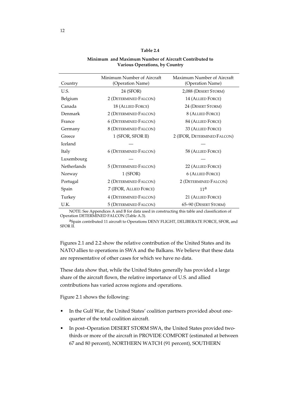#### **Table 2.4**

#### **Minimum and Maximum Number of Aircraft Contributed to Various Operations, by Country**

| Country     | Minimum Number of Aircraft<br>(Operation Name) | Maximum Number of Aircraft<br>(Operation Name) |
|-------------|------------------------------------------------|------------------------------------------------|
| U.S.        | 24 (SFOR)                                      | 2,088 (DESERT STORM)                           |
| Belgium     | 2 (DETERMINED FALCON)                          | 14 (ALLIED FORCE)                              |
| Canada      | 18 (ALLIED FORCE)                              | 24 (DESERT STORM)                              |
| Denmark     | 2 (DETERMINED FALCON)                          | 8 (ALLIED FORCE)                               |
| France      | <b>6 (DETERMINED FALCON)</b>                   | 84 (ALLIED FORCE)                              |
| Germany     | 8 (DETERMINED FALCON)                          | 33 (ALLIED FORCE)                              |
| Greece      | 1 (SFOR, SFOR II)                              | 2 (IFOR, DETERMINED FALCON)                    |
| Iceland     |                                                |                                                |
| Italy       | <b>6 (DETERMINED FALCON)</b>                   | 58 (ALLIED FORCE)                              |
| Luxembourg  |                                                |                                                |
| Netherlands | 5 (DETERMINED FALCON)                          | 22 (ALLIED FORCE)                              |
| Norway      | $1$ (SFOR)                                     | <b>6 (ALLIED FORCE)</b>                        |
| Portugal    | 2 (DETERMINED FALCON)                          | 2 (DETERMINED FALCON)                          |
| Spain       | 7 (IFOR, ALLIED FORCE)                         | 11 <sup>a</sup>                                |
| Turkey      | <b>4 (DETERMINED FALCON)</b>                   | 21 (ALLIED FORCE)                              |
| U.K.        | 5 (DETERMINED FALCON)                          | 65-90 (DESERT STORM)                           |

NOTE: See Appendices A and B for data used in constructing this table and classification of Operation DETERMINED FALCON (Table A.3).

aSpain contributed 11 aircraft to Operations DENY FLIGHT, DELIBERATE FORCE, SFOR, and SFOR II.

Figures 2.1 and 2.2 show the relative contribution of the United States and its NATO allies to operations in SWA and the Balkans. We believe that these data are representative of other cases for which we have no data.

These data show that, while the United States generally has provided a large share of the aircraft flown, the relative importance of U.S. and allied contributions has varied across regions and operations.

Figure 2.1 shows the following:

- In the Gulf War, the United States' coalition partners provided about onequarter of the total coalition aircraft.
- In post–Operation DESERT STORM SWA, the United States provided twothirds or more of the aircraft in PROVIDE COMFORT (estimated at between 67 and 80 percent), NORTHERN WATCH (91 percent), SOUTHERN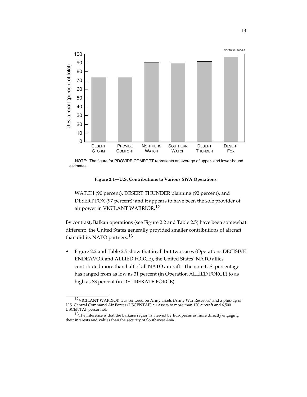

NOTE: The figure for PROVIDE COMFORT represents an average of upper- and lower-bound

**Figure 2.1—U.S. Contributions to Various SWA Operations**

WATCH (90 percent), DESERT THUNDER planning (92 percent), and DESERT FOX (97 percent); and it appears to have been the sole provider of air power in VIGILANT WARRIOR.12

By contrast, Balkan operations (see Figure 2.2 and Table 2.5) have been somewhat different: the United States generally provided smaller contributions of aircraft than did its NATO partners:<sup>13</sup>

• Figure 2.2 and Table 2.5 show that in all but two cases (Operations DECISIVE ENDEAVOR and ALLIED FORCE), the United States' NATO allies contributed more than half of all NATO aircraft. The non–U.S. percentage has ranged from as low as 31 percent (in Operation ALLIED FORCE) to as high as 83 percent (in DELIBERATE FORGE).

<sup>12</sup>VIGILANT WARRIOR was centered on Army assets (Army War Reserves) and a plus-up of U.S. Central Command Air Forces (USCENTAF) air assets to more than 170 aircraft and 6,500 USCENTAF personnel.

 $13$ The inference is that the Balkans region is viewed by Europeans as more directly engaging their interests and values than the security of Southwest Asia.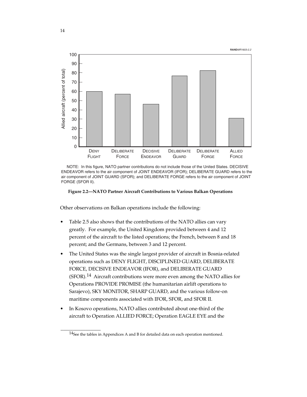



 NOTE: In this figure, NATO partner contributions do not include those of the United States. DECISIVE ENDEAVOR refers to the air component of JOINT ENDEAVOR (IFOR); DELIBERATE GUARD refers to the air component of JOINT GUARD (SFOR); and DELIBERATE FORGE refers to the air component of JOINT<br>FORGE (SFOR II).

**Figure 2.2—NATO Partner Aircraft Contributions to Various Balkan Operations**

Other observations on Balkan operations include the following:

- Table 2.5 also shows that the contributions of the NATO allies can vary greatly. For example, the United Kingdom provided between 4 and 12 percent of the aircraft to the listed operations; the French, between 8 and 18 percent; and the Germans, between 3 and 12 percent.
- The United States was the single largest provider of aircraft in Bosnia-related operations such as DENY FLIGHT, DISCIPLINED GUARD, DELIBERATE FORCE, DECISIVE ENDEAVOR (IFOR), and DELIBERATE GUARD (SFOR).14 Aircraft contributions were more even among the NATO allies for Operations PROVIDE PROMISE (the humanitarian airlift operations to Sarajevo), SKY MONITOR, SHARP GUARD, and the various follow-on maritime components associated with IFOR, SFOR, and SFOR II.
- In Kosovo operations, NATO allies contributed about one-third of the aircraft to Operation ALLIED FORCE; Operation EAGLE EYE and the

 $14$ See the tables in Appendices A and B for detailed data on each operation mentioned.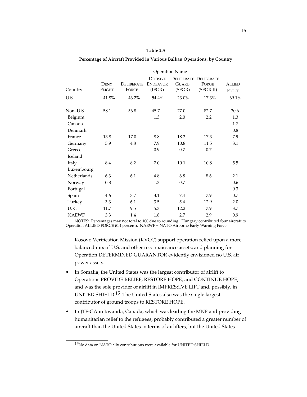|              |               |                   |                 | <b>Operation Name</b> |                              |               |
|--------------|---------------|-------------------|-----------------|-----------------------|------------------------------|---------------|
|              |               |                   | <b>DECISIVE</b> |                       | <b>DELIBERATE DELIBERATE</b> |               |
|              | <b>DENY</b>   | <b>DELIBERATE</b> | <b>ENDEAVOR</b> | <b>GUARD</b>          | FORGE                        | <b>ALLIED</b> |
| Country      | <b>FLIGHT</b> | <b>FORCE</b>      | (IFOR)          | (SFOR)                | (SFOR II)                    | FORCE         |
| U.S.         | 41.8%         | 43.2%             | 54.4%           | 23.0%                 | 17.3%                        | 69.1%         |
|              |               |                   |                 |                       |                              |               |
| Non-U.S.     | 58.1          | 56.8              | 45.7            | 77.0                  | 82.7                         | 30.6          |
| Belgium      |               |                   | 1.3             | 2.0                   | 2.2                          | 1.3           |
| Canada       |               |                   |                 |                       |                              | 1.7           |
| Denmark      |               |                   |                 |                       |                              | 0.8           |
| France       | 13.8          | 17.0              | 8.8             | 18.2                  | 17.3                         | 7.9           |
| Germany      | 5.9           | 4.8               | 7.9             | 10.8                  | 11.5                         | 3.1           |
| Greece       |               |                   | 0.9             | 0.7                   | 0.7                          |               |
| Iceland      |               |                   |                 |                       |                              |               |
| Italy        | 8.4           | 8.2               | 7.0             | 10.1                  | 10.8                         | 5.5           |
| Luxembourg   |               |                   |                 |                       |                              |               |
| Netherlands  | 6.3           | 6.1               | 4.8             | 6.8                   | 8.6                          | 2.1           |
| Norway       | 0.8           |                   | 1.3             | 0.7                   |                              | 0.6           |
| Portugal     |               |                   |                 |                       |                              | 0.3           |
| Spain        | 4.6           | 3.7               | 3.1             | 7.4                   | 7.9                          | 0.7           |
| Turkey       | 3.3           | 6.1               | 3.5             | 5.4                   | 12.9                         | 2.0           |
| U.K.         | 11.7          | 9.5               | 5.3             | 12.2                  | 7.9                          | 3.7           |
| <b>NAEWF</b> | 3.3           | 1.4               | 1.8             | 2.7                   | 2.9                          | 0.9           |

**Percentage of Aircraft Provided in Various Balkan Operations, by Country**

**Table 2.5**

NOTES: Percentages may not total to 100 due to rounding. Hungary contributed four aircraft to Operation ALLIED FORCE (0.4 percent). NAEWF = NATO Airborne Early Warning Force.

Kosovo Verification Mission (KVCC) support operation relied upon a more balanced mix of U.S. and other reconnaissance assets; and planning for Operation DETERMINED GUARANTOR evidently envisioned no U.S. air power assets.

- In Somalia, the United States was the largest contributor of airlift to Operations PROVIDE RELIEF, RESTORE HOPE, and CONTINUE HOPE, and was the sole provider of airlift in IMPRESSIVE LIFT and, possibly, in UNITED SHIELD.15 The United States also was the single largest contributor of ground troops to RESTORE HOPE.
- In JTF-GA in Rwanda, Canada, which was leading the MNF and providing humanitarian relief to the refugees, probably contributed a greater number of aircraft than the United States in terms of airlifters, but the United States

 $\overline{\phantom{a}}$  , where the contract of the contract of  $\overline{\phantom{a}}$ 

<sup>15</sup>No data on NATO ally contributions were available for UNITED SHIELD.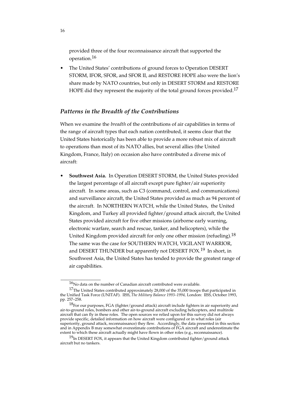provided three of the four reconnaissance aircraft that supported the operation.16

• The United States' contributions of ground forces to Operation DESERT STORM, IFOR, SFOR, and SFOR II, and RESTORE HOPE also were the lion's share made by NATO countries, but only in DESERT STORM and RESTORE HOPE did they represent the majority of the total ground forces provided.<sup>17</sup>

#### *Patterns in the Breadth of the Contributions*

When we examine the *breadth* of the contributions of air capabilities in terms of the range of aircraft types that each nation contributed, it seems clear that the United States historically has been able to provide a more robust mix of aircraft to operations than most of its NATO allies, but several allies (the United Kingdom, France, Italy) on occasion also have contributed a diverse mix of aircraft:

• **Southwest Asia.**In Operation DESERT STORM, the United States provided the largest percentage of all aircraft except pure fighter/air superiority aircraft. In some areas, such as C3 (command, control, and communications) and surveillance aircraft, the United States provided as much as 94 percent of the aircraft. In NORTHERN WATCH, while the United States, the United Kingdom, and Turkey all provided fighter/ground attack aircraft, the United States provided aircraft for five other missions (airborne early warning, electronic warfare, search and rescue, tanker, and helicopters), while the United Kingdom provided aircraft for only one other mission (refueling).<sup>18</sup> The same was the case for SOUTHERN WATCH, VIGILANT WARRIOR, and DESERT THUNDER but apparently not DESERT FOX.<sup>19</sup> In short, in Southwest Asia, the United States has tended to provide the greatest range of air capabilities.

 $16$ No data on the number of Canadian aircraft contributed were available.

<sup>&</sup>lt;sup>17</sup>The United States contributed approximately 28,000 of the 35,000 troops that participated in the Unified Task Force (UNITAF). IISS, *The Military Balance 1993–1994,* London: IISS, October 1993, pp. 257–258.

 $^{18}$ For our purposes, FGA (fighter/ground attack) aircraft include fighters in air superiority and air-to-ground roles, bombers and other air-to-ground aircraft excluding helicopters, and multirole aircraft that can fly in these roles. The open sources we relied upon for this survey did not always provide specific, detailed information on how aircraft were configured or in what roles (air superiority, ground attack, reconnaissance) they flew. Accordingly, the data presented in this section and in Appendix B may somewhat overestimate contributions of FGA aircraft and underestimate the extent to which these aircraft actually might have flown in other roles (e.g., reconnaissance).

 $19$ In DESERT FOX, it appears that the United Kingdom contributed fighter/ground attack aircraft but no tankers.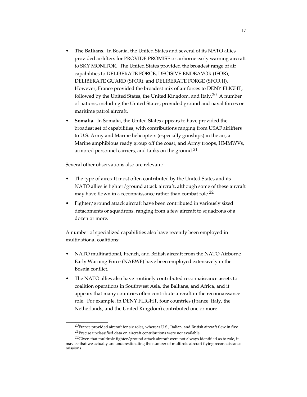- **The Balkans.**In Bosnia, the United States and several of its NATO allies provided airlifters for PROVIDE PROMISE or airborne early warning aircraft to SKY MONITOR. The United States provided the broadest range of air capabilities to DELIBERATE FORCE, DECISIVE ENDEAVOR (IFOR), DELIBERATE GUARD (SFOR), and DELIBERATE FORGE (SFOR II). However, France provided the broadest mix of air forces to DENY FLIGHT, followed by the United States, the United Kingdom, and Italy. $^{20}$  A number of nations, including the United States, provided ground and naval forces or maritime patrol aircraft.
- **Somalia.**In Somalia, the United States appears to have provided the broadest set of capabilities, with contributions ranging from USAF airlifters to U.S. Army and Marine helicopters (especially gunships) in the air, a Marine amphibious ready group off the coast, and Army troops, HMMWVs, armored personnel carriers, and tanks on the ground.<sup>21</sup>

Several other observations also are relevant:

\_\_\_\_\_\_\_\_\_\_\_\_\_\_\_\_\_

- The type of aircraft most often contributed by the United States and its NATO allies is fighter/ground attack aircraft, although some of these aircraft may have flown in a reconnaissance rather than combat role.<sup>22</sup>
- Fighter/ground attack aircraft have been contributed in variously sized detachments or squadrons, ranging from a few aircraft to squadrons of a dozen or more.

A number of specialized capabilities also have recently been employed in multinational coalitions:

- NATO multinational, French, and British aircraft from the NATO Airborne Early Warning Force (NAEWF) have been employed extensively in the Bosnia conflict.
- The NATO allies also have routinely contributed reconnaissance assets to coalition operations in Southwest Asia, the Balkans, and Africa, and it appears that many countries often contribute aircraft in the reconnaissance role. For example, in DENY FLIGHT, four countries (France, Italy, the Netherlands, and the United Kingdom) contributed one or more

 $^{20}$ France provided aircraft for six roles, whereas U.S., Italian, and British aircraft flew in five. 21Precise unclassified data on aircraft contributions were not available.

 $^{22}$ Given that multirole fighter/ground attack aircraft were not always identified as to role, it may be that we actually are underestimating the number of multirole aircraft flying reconnaissance missions.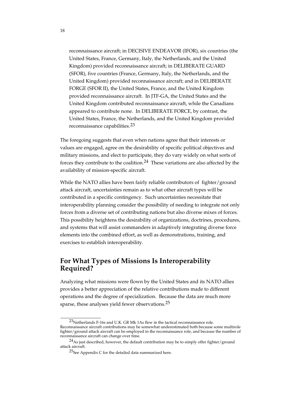reconnaissance aircraft; in DECISIVE ENDEAVOR (IFOR), six countries (the United States, France, Germany, Italy, the Netherlands, and the United Kingdom) provided reconnaissance aircraft; in DELIBERATE GUARD (SFOR), five countries (France, Germany, Italy, the Netherlands, and the United Kingdom) provided reconnaissance aircraft; and in DELIBERATE FORGE (SFOR II), the United States, France, and the United Kingdom provided reconnaissance aircraft. In JTF-GA, the United States and the United Kingdom contributed reconnaissance aircraft, while the Canadians appeared to contribute none. In DELIBERATE FORCE, by contrast, the United States, France, the Netherlands, and the United Kingdom provided reconnaissance capabilities.23

The foregoing suggests that even when nations agree that their interests or values are engaged, agree on the desirability of specific political objectives and military missions, and elect to participate, they do vary widely on what sorts of forces they contribute to the coalition.<sup>24</sup> These variations are also affected by the availability of mission-specific aircraft.

While the NATO allies have been fairly reliable contributors of fighter/ground attack aircraft, uncertainties remain as to what other aircraft types will be contributed in a specific contingency. Such uncertainties necessitate that interoperability planning consider the possibility of needing to integrate not only forces from a diverse set of contributing nations but also diverse mixes of forces. This possibility heightens the desirability of organizations, doctrines, procedures, and systems that will assist commanders in adaptively integrating diverse force elements into the combined effort, as well as demonstrations, training, and exercises to establish interoperability.

## **For What Types of Missions Is Interoperability Required?**

Analyzing what missions were flown by the United States and its NATO allies provides a better appreciation of the relative contributions made to different operations and the degree of specialization. Because the data are much more sparse, these analyses yield fewer observations. $25$ 

<sup>23</sup>Netherlands F-16s and U.K. GR Mk 1As flew in the tactical reconnaissance role. Reconnaissance aircraft contributions may be somewhat underestimated both because some multirole fighter/ground attack aircraft can be employed in the reconnaissance role, and because the number of reconnaissance aircraft can change over time.

<sup>&</sup>lt;sup>24</sup>As just described, however, the default contribution may be to simply offer fighter/ground attack aircraft.

 $25$ See Appendix C for the detailed data summarized here.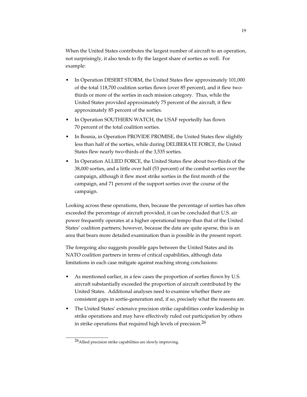When the United States contributes the largest number of aircraft to an operation, not surprisingly, it also tends to fly the largest share of sorties as well. For example:

- In Operation DESERT STORM, the United States flew approximately 101,000 of the total 118,700 coalition sorties flown (over 85 percent), and it flew twothirds or more of the sorties in each mission category. Thus, while the United States provided approximately 75 percent of the aircraft, it flew approximately 85 percent of the sorties.
- In Operation SOUTHERN WATCH, the USAF reportedly has flown 70 percent of the total coalition sorties.
- In Bosnia, in Operation PROVIDE PROMISE, the United States flew slightly less than half of the sorties, while during DELIBERATE FORCE, the United States flew nearly two-thirds of the 3,535 sorties.
- In Operation ALLIED FORCE, the United States flew about two-thirds of the 38,000 sorties, and a little over half (53 percent) of the combat sorties over the campaign, although it flew most strike sorties in the first month of the campaign, and 71 percent of the support sorties over the course of the campaign.

Looking across these operations, then, because the percentage of sorties has often exceeded the percentage of aircraft provided, it can be concluded that U.S. air power frequently operates at a higher operational tempo than that of the United States' coalition partners; however, because the data are quite sparse, this is an area that bears more detailed examination than is possible in the present report.

The foregoing also suggests possible gaps between the United States and its NATO coalition partners in terms of critical capabilities, although data limitations in each case mitigate against reaching strong conclusions:

- As mentioned earlier, in a few cases the proportion of sorties flown by U.S. aircraft substantially exceeded the proportion of aircraft contributed by the United States. Additional analyses need to examine whether there are consistent gaps in sortie-generation and, if so, precisely what the reasons are.
- The United States' extensive precision strike capabilities confer leadership in strike operations and may have effectively ruled out participation by others in strike operations that required high levels of precision.<sup>26</sup>

<sup>26</sup>Allied precision strike capabilities are slowly improving.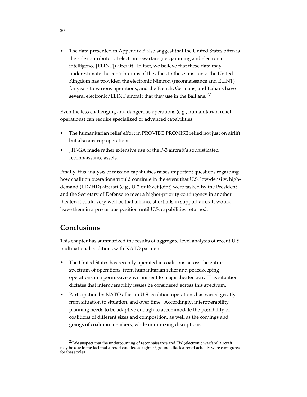The data presented in Appendix B also suggest that the United States often is the sole contributor of electronic warfare (i.e., jamming and electronic intelligence [ELINT]) aircraft. In fact, we believe that these data may underestimate the contributions of the allies to these missions: the United Kingdom has provided the electronic Nimrod (reconnaissance and ELINT) for years to various operations, and the French, Germans, and Italians have several electronic/ELINT aircraft that they use in the Balkans.<sup>27</sup>

Even the less challenging and dangerous operations (e.g., humanitarian relief operations) can require specialized or advanced capabilities:

- The humanitarian relief effort in PROVIDE PROMISE relied not just on airlift but also airdrop operations.
- JTF-GA made rather extensive use of the P-3 aircraft's sophisticated reconnaissance assets.

Finally, this analysis of mission capabilities raises important questions regarding how coalition operations would continue in the event that U.S. low-density, highdemand (LD/HD) aircraft (e.g., U-2 or Rivet Joint) were tasked by the President and the Secretary of Defense to meet a higher-priority contingency in another theater; it could very well be that alliance shortfalls in support aircraft would leave them in a precarious position until U.S. capabilities returned.

### **Conclusions**

\_\_\_\_\_\_\_\_\_\_\_\_\_\_\_\_

This chapter has summarized the results of aggregate-level analysis of recent U.S. multinational coalitions with NATO partners:

- The United States has recently operated in coalitions across the entire spectrum of operations, from humanitarian relief and peacekeeping operations in a permissive environment to major theater war. This situation dictates that interoperability issues be considered across this spectrum.
- Participation by NATO allies in U.S. coalition operations has varied greatly from situation to situation, and over time. Accordingly, interoperability planning needs to be adaptive enough to accommodate the possibility of coalitions of different sizes and composition, as well as the comings and goings of coalition members, while minimizing disruptions.

20

<sup>&</sup>lt;sup>27</sup>We suspect that the undercounting of reconnaissance and EW (electronic warfare) aircraft may be due to the fact that aircraft counted as fighter/ground attack aircraft actually were configured for these roles.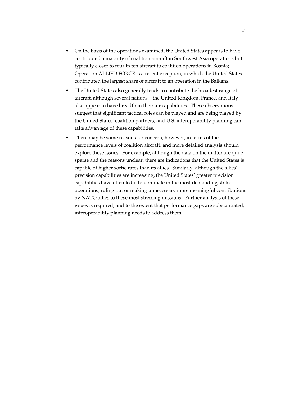- On the basis of the operations examined, the United States appears to have contributed a majority of coalition aircraft in Southwest Asia operations but typically closer to four in ten aircraft to coalition operations in Bosnia; Operation ALLIED FORCE is a recent exception, in which the United States contributed the largest share of aircraft to an operation in the Balkans.
- The United States also generally tends to contribute the broadest range of aircraft, although several nations—the United Kingdom, France, and Italy also appear to have breadth in their air capabilities. These observations suggest that significant tactical roles can be played and are being played by the United States' coalition partners, and U.S. interoperability planning can take advantage of these capabilities.
- There may be some reasons for concern, however, in terms of the performance levels of coalition aircraft, and more detailed analysis should explore these issues. For example, although the data on the matter are quite sparse and the reasons unclear, there are indications that the United States is capable of higher sortie rates than its allies. Similarly, although the allies' precision capabilities are increasing, the United States' greater precision capabilities have often led it to dominate in the most demanding strike operations, ruling out or making unnecessary more meaningful contributions by NATO allies to these most stressing missions. Further analysis of these issues is required, and to the extent that performance gaps are substantiated, interoperability planning needs to address them.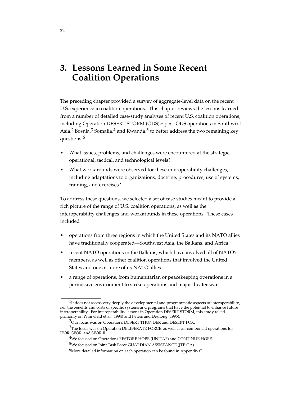# **3. Lessons Learned in Some Recent Coalition Operations**

The preceding chapter provided a survey of aggregate-level data on the recent U.S. experience in coalition operations. This chapter reviews the lessons learned from a number of detailed case-study analyses of recent U.S. coalition operations, including Operation DESERT STORM (ODS), $1$  post-ODS operations in Southwest Asia,<sup>2</sup> Bosnia,<sup>3</sup> Somalia,<sup>4</sup> and Rwanda,<sup>5</sup> to better address the two remaining key questions:6

- What issues, problems, and challenges were encountered at the strategic, operational, tactical, and technological levels?
- What workarounds were observed for these interoperability challenges, including adaptations to organizations, doctrine, procedures, use of systems, training, and exercises?

To address these questions, we selected a set of case studies meant to provide a rich picture of the range of U.S. coalition operations, as well as the interoperability challenges and workarounds in these operations. These cases included

- operations from three regions in which the United States and its NATO allies have traditionally cooperated—Southwest Asia, the Balkans, and Africa
- recent NATO operations in the Balkans, which have involved all of NATO's members, as well as other coalition operations that involved the United States and one or more of its NATO allies
- a range of operations, from humanitarian or peacekeeping operations in a permissive environment to strike operations and major theater war

 $^{\displaystyle 1}$  It does not assess very deeply the developmental and programmatic aspects of interoperability, i.e., the benefits and costs of specific systems and programs that have the potential to enhance future interoperability. For interoperability lessons in Operation DESERT STORM, this study relied primarily on Winnefeld et al. (1994) and Peters and Deshong (1995).

<sup>&</sup>lt;sup>2</sup>Our focus was on Operations DESERT THUNDER and DESERT FOX.

<sup>3</sup>The focus was on Operation DELIBERATE FORCE, as well as air component operations for IFOR, SFOR, and SFOR II.

<sup>4</sup>We focused on Operations RESTORE HOPE (UNITAF) and CONTINUE HOPE.

<sup>5</sup>We focused on Joint Task Force GUARDIAN ASSISTANCE (JTF-GA).

 $6$ More detailed information on each operation can be found in Appendix C.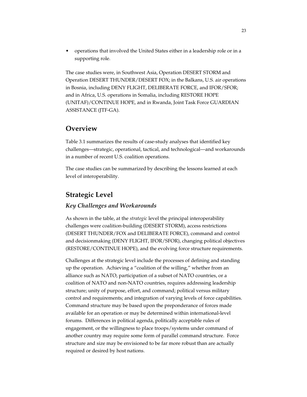• operations that involved the United States either in a leadership role or in a supporting role.

The case studies were, in Southwest Asia, Operation DESERT STORM and Operation DESERT THUNDER/DESERT FOX; in the Balkans, U.S. air operations in Bosnia, including DENY FLIGHT, DELIBERATE FORCE, and IFOR/SFOR; and in Africa, U.S. operations in Somalia, including RESTORE HOPE (UNITAF)/CONTINUE HOPE, and in Rwanda, Joint Task Force GUARDIAN ASSISTANCE (JTF-GA).

### **Overview**

Table 3.1 summarizes the results of case-study analyses that identified key challenges—strategic, operational, tactical, and technological—and workarounds in a number of recent U.S. coalition operations.

The case studies can be summarized by describing the lessons learned at each level of interoperability.

## **Strategic Level**

### *Key Challenges and Workarounds*

As shown in the table, at the *strategic* level the principal interoperability challenges were coalition-building (DESERT STORM), access restrictions (DESERT THUNDER/FOX and DELIBERATE FORCE), command and control and decisionmaking (DENY FLIGHT, IFOR/SFOR), changing political objectives (RESTORE/CONTINUE HOPE), and the evolving force structure requirements.

Challenges at the strategic level include the processes of defining and standing up the operation. Achieving a "coalition of the willing," whether from an alliance such as NATO, participation of a subset of NATO countries, or a coalition of NATO and non-NATO countries, requires addressing leadership structure; unity of purpose, effort, and command; political versus military control and requirements; and integration of varying levels of force capabilities. Command structure may be based upon the preponderance of forces made available for an operation or may be determined within international-level forums. Differences in political agenda, politically acceptable rules of engagement, or the willingness to place troops/systems under command of another country may require some form of parallel command structure. Force structure and size may be envisioned to be far more robust than are actually required or desired by host nations.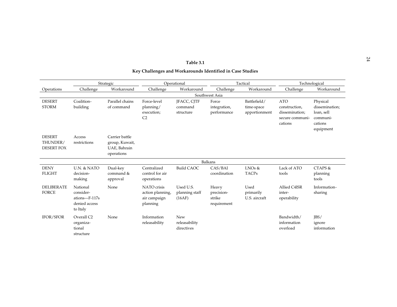| Table 3.1                                                 |  |
|-----------------------------------------------------------|--|
| Key Challenges and Workarounds Identified in Case Studies |  |

|                                                | Strategic                                                           |                                                                | Operational                                                 |                                            | Tactical                                     |                                             | Technological                                                               |                                                                              |
|------------------------------------------------|---------------------------------------------------------------------|----------------------------------------------------------------|-------------------------------------------------------------|--------------------------------------------|----------------------------------------------|---------------------------------------------|-----------------------------------------------------------------------------|------------------------------------------------------------------------------|
| Operations                                     | Challenge                                                           | Workaround                                                     | Challenge                                                   | Workaround                                 | Challenge                                    | Workaround                                  | Challenge                                                                   | Workaround                                                                   |
|                                                |                                                                     |                                                                |                                                             |                                            | Southwest Asia                               |                                             |                                                                             |                                                                              |
| <b>DESERT</b><br><b>STORM</b>                  | Coalition-<br>building                                              | Parallel chains<br>of command                                  | Force-level<br>planning/<br>execution;<br>C <sub>2</sub>    | <b>IFACC, CITF</b><br>command<br>structure | Force<br>integration,<br>performance         | Battlefield/<br>time-space<br>apportionment | <b>ATO</b><br>construction,<br>dissemination;<br>secure communi-<br>cations | Physical<br>dissemination;<br>loan, sell<br>communi-<br>cations<br>equipment |
| <b>DESERT</b><br>THUNDER/<br><b>DESERT FOX</b> | Access<br>restrictions                                              | Carrier battle<br>group, Kuwait,<br>UAE, Bahrain<br>operations |                                                             |                                            |                                              |                                             |                                                                             |                                                                              |
|                                                |                                                                     |                                                                |                                                             |                                            | <b>Balkans</b>                               |                                             |                                                                             |                                                                              |
| <b>DENY</b><br><b>FLIGHT</b>                   | U.N. & NATO<br>decision-<br>making                                  | Dual-key<br>command &<br>approval                              | Centralized<br>control for air<br>operations                | <b>Build CAOC</b>                          | CAS/BAI<br>coordination                      | $L$ NOs &<br><b>TACPs</b>                   | Lack of ATO<br>tools                                                        | CTAPS &<br>planning<br>tools                                                 |
| <b>DELIBERATE</b><br><b>FORCE</b>              | National<br>consider-<br>ations-F-117s<br>denied access<br>to Italy | None                                                           | NATO crisis<br>action planning,<br>air campaign<br>planning | Used U.S.<br>planning staff<br>(16AF)      | Heavy<br>precision-<br>strike<br>requirement | Used<br>primarily<br>U.S. aircraft          | Allied C4ISR<br>inter-<br>operability                                       | Information-<br>sharing                                                      |
| <b>IFOR/SFOR</b>                               | Overall C <sub>2</sub><br>organiza-<br>tional<br>structure          | None                                                           | Information<br>releasability                                | New<br>releasability<br>directives         |                                              |                                             | Bandwidth/<br>information<br>overload                                       | IBS/<br>ignore<br>information                                                |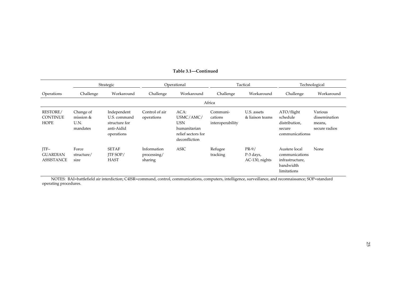|                                                   | Strategic                                  |                                                                          | Operational                           |                                                                                        | Tactical                                |                                        | Technological                                                                  |                                                     |
|---------------------------------------------------|--------------------------------------------|--------------------------------------------------------------------------|---------------------------------------|----------------------------------------------------------------------------------------|-----------------------------------------|----------------------------------------|--------------------------------------------------------------------------------|-----------------------------------------------------|
| Operations                                        | Challenge                                  | Workaround                                                               | Challenge                             | Workaround                                                                             | Challenge                               | Workaround                             | Challenge                                                                      | Workaround                                          |
|                                                   | Africa                                     |                                                                          |                                       |                                                                                        |                                         |                                        |                                                                                |                                                     |
| <b>RESTORE/</b><br><b>CONTINUE</b><br><b>HOPE</b> | Change of<br>mission &<br>U.N.<br>mandates | Independent<br>U.S. command<br>structure for<br>anti-Aidid<br>operations | Control of air<br>operations          | ACA:<br>USMC/AMC/<br><b>USN</b><br>humanitarian<br>relief sectors for<br>deconfliction | Communi-<br>cations<br>interoperability | U.S. assets<br>& liaison teams         | $\rm ATO/flight$<br>schedule<br>distribution,<br>secure<br>communicationss     | Various<br>dissemination<br>means,<br>secure radios |
| $ITF-$<br><b>GUARDIAN</b><br><b>ASSISTANCE</b>    | Force<br>structure/<br>size                | <b>SETAF</b><br><b>ITF SOP/</b><br><b>HAST</b>                           | Information<br>processing/<br>sharing | <b>ASIC</b>                                                                            | Refugee<br>tracking                     | $PR-9/$<br>P-3 days,<br>AC-130, nights | Austere local<br>communications<br>infrastructure,<br>bandwidth<br>limitations | None                                                |

#### **Table 3.1—Continued**

NOTES: BAI=battlefield air interdiction; C4ISR=command, control, communications, computers, intelligence, surveillance, and reconnaissance; SOP=standard operating procedures.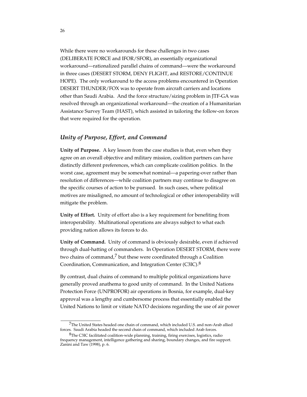While there were no workarounds for these challenges in two cases (DELIBERATE FORCE and IFOR/SFOR), an essentially organizational workaround—rationalized parallel chains of command—were the workaround in three cases (DESERT STORM, DENY FLIGHT, and RESTORE/CONTINUE HOPE). The only workaround to the access problems encountered in Operation DESERT THUNDER/FOX was to operate from aircraft carriers and locations other than Saudi Arabia. And the force structure/sizing problem in JTF-GA was resolved through an organizational workaround—the creation of a Humanitarian Assistance Survey Team (HAST), which assisted in tailoring the follow-on forces that were required for the operation.

### *Unity of Purpose, Effort, and Command*

**Unity of Purpose.** A key lesson from the case studies is that, even when they agree on an overall objective and military mission, coalition partners can have distinctly different preferences, which can complicate coalition politics. In the worst case, agreement may be somewhat nominal—a papering-over rather than resolution of differences—while coalition partners may continue to disagree on the specific courses of action to be pursued. In such cases, where political motives are misaligned, no amount of technological or other interoperability will mitigate the problem.

**Unity of Effort.** Unity of effort also is a key requirement for benefiting from interoperability. Multinational operations are always subject to what each providing nation allows its forces to do.

**Unity of Command.** Unity of command is obviously desirable, even if achieved through dual-hatting of commanders. In Operation DESERT STORM, there were two chains of command,7 but these were coordinated through a Coalition Coordination, Communication, and Integration Center (C3IC). $8$ 

By contrast, dual chains of command to multiple political organizations have generally proved anathema to good unity of command. In the United Nations Protection Force (UNPROFOR) air operations in Bosnia, for example, dual-key approval was a lengthy and cumbersome process that essentially enabled the United Nations to limit or vitiate NATO decisions regarding the use of air power

<sup>7</sup>The United States headed one chain of command, which included U.S. and non-Arab allied forces. Saudi Arabia headed the second chain of command, which included Arab forces.

<sup>8</sup>The C3IC facilitated coalition-wide planning, training, firing exercises, logistics, radio frequency management, intelligence gathering and sharing, boundary changes, and fire support. Zanini and Taw (1998), p. 6.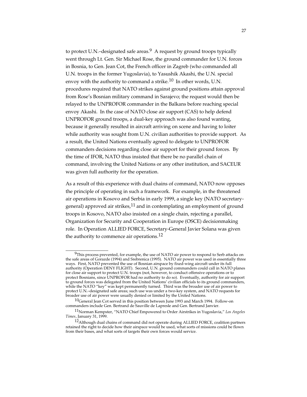to protect U.N.–designated safe areas.<sup>9</sup> A request by ground troops typically went through Lt. Gen. Sir Michael Rose, the ground commander for U.N. forces in Bosnia, to Gen. Jean Cot, the French officer in Zagreb (who commanded all U.N. troops in the former Yugoslavia), to Yasushik Akashi, the U.N. special envoy with the authority to command a strike.<sup>10</sup> In other words, U.N. procedures required that NATO strikes against ground positions attain approval from Rose's Bosnian military command in Sarajevo; the request would then be relayed to the UNPROFOR commander in the Balkans before reaching special envoy Akashi. In the case of NATO close air support (CAS) to help defend UNPROFOR ground troops, a dual-key approach was also found wanting, because it generally resulted in aircraft arriving on scene and having to loiter while authority was sought from U.N. civilian authorities to provide support. As a result, the United Nations eventually agreed to delegate to UNPROFOR commanders decisions regarding close air support for their ground forces. By the time of IFOR, NATO thus insisted that there be no parallel chain of command, involving the United Nations or any other institution, and SACEUR was given full authority for the operation.

As a result of this experience with dual chains of command, NATO now opposes the principle of operating in such a framework. For example, in the threatened air operations in Kosovo and Serbia in early 1999, a single key (NATO secretarygeneral) approved air strikes,<sup>11</sup> and in contemplating an employment of ground troops in Kosovo, NATO also insisted on a single chain, rejecting a parallel, Organization for Security and Cooperation in Europe (OSCE) decisionmaking role. In Operation ALLIED FORCE, Secretary-General Javier Solana was given the authority to commence air operations.<sup>12</sup>

 $^{9}$ This process prevented, for example, the use of NATO air power to respond to Serb attacks on the safe areas of Gorazde (1994) and Srebrenica (1995). NATO air power was used in essentially three ways. First, NATO prevented the use of Bosnian airspace by fixed-wing aircraft under its full authority (Operation DENY FLIGHT). Second, U.N. ground commanders could call in NATO planes for close air support to protect U.N. troops (not, however, to conduct offensive operations or to protect Bosnians, since UNPROFOR had no authority to do so). Eventually, authority for air support to ground forces was delegated from the United Nations' civilian officials to its ground commanders, while the NATO "key" was kept permanently turned. Third was the broader use of air power to protect U.N.–designated safe areas; such use was under a two-key system, and NATO requests for broader use of air power were usually denied or limited by the United Nations.

 $10$ General Jean Cot served in this position between June 1993 and March 1994. Follow-on commanders include Gen. Bertrand de Sauville de Lapresle and Gen. Bertrand Janvier.

<sup>11</sup>Norman Kempster, "NATO Chief Empowered to Order Airstrikes in Yugoslavia," *Los Angeles Times*, January 31, 1999.

<sup>12</sup>Although dual chains of command did not operate during ALLIED FORCE, coalition partners retained the right to decide how their airspace would be used, what sorts of missions could be flown from their bases, and what sorts of targets their own forces would service.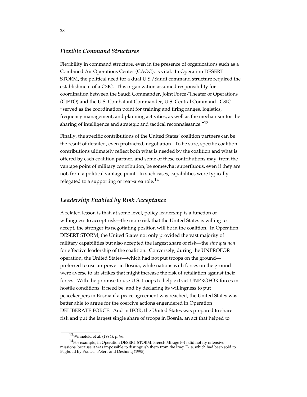### *Flexible Command Structures*

Flexibility in command structure, even in the presence of organizations such as a Combined Air Operations Center (CAOC), is vital. In Operation DESERT STORM, the political need for a dual U.S./Saudi command structure required the establishment of a C3IC. This organization assumed responsibility for coordination between the Saudi Commander, Joint Force/Theater of Operations (CJFTO) and the U.S. Combatant Commander, U.S. Central Command. C3IC "served as the coordination point for training and firing ranges, logistics, frequency management, and planning activities, as well as the mechanism for the sharing of intelligence and strategic and tactical reconnaissance.<sup>"13</sup>

Finally, the specific contributions of the United States' coalition partners can be the result of detailed, even protracted, negotiation. To be sure, specific coalition contributions ultimately reflect both what is needed by the coalition and what is offered by each coalition partner, and some of these contributions may, from the vantage point of military contribution, be somewhat superfluous, even if they are not, from a political vantage point. In such cases, capabilities were typically relegated to a supporting or rear-area role.<sup>14</sup>

#### *Leadership Enabled by Risk Acceptance*

A related lesson is that, at some level, policy leadership is a function of willingness to accept risk—the more risk that the United States is willing to accept, the stronger its negotiating position will be in the coalition. In Operation DESERT STORM, the United States not only provided the vast majority of military capabilities but also accepted the largest share of risk—the *sine qua non* for effective leadership of the coalition. Conversely, during the UNPROFOR operation, the United States—which had not put troops on the ground preferred to use air power in Bosnia, while nations with forces on the ground were averse to air strikes that might increase the risk of retaliation against their forces. With the promise to use U.S. troops to help extract UNPROFOR forces in hostile conditions, if need be, and by declaring its willingness to put peacekeepers in Bosnia if a peace agreement was reached, the United States was better able to argue for the coercive actions engendered in Operation DELIBERATE FORCE. And in IFOR, the United States was prepared to share risk and put the largest single share of troops in Bosnia, an act that helped to

<sup>13</sup>Winnefeld et al. (1994), p. 96.

<sup>&</sup>lt;sup>14</sup>For example, in Operation DESERT STORM, French Mirage F-1s did not fly offensive missions, because it was impossible to distinguish them from the Iraqi F-1s, which had been sold to Baghdad by France. Peters and Deshong (1995).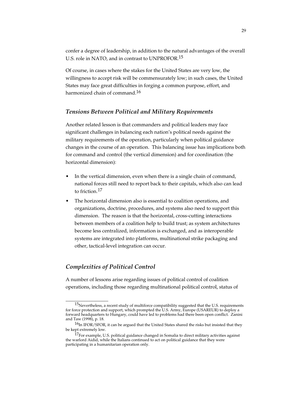confer a degree of leadership, in addition to the natural advantages of the overall U.S. role in NATO, and in contrast to UNPROFOR.<sup>15</sup>

Of course, in cases where the stakes for the United States are very low, the willingness to accept risk will be commensurately low; in such cases, the United States may face great difficulties in forging a common purpose, effort, and harmonized chain of command.<sup>16</sup>

#### *Tensions Between Political and Military Requirements*

Another related lesson is that commanders and political leaders may face significant challenges in balancing each nation's political needs against the military requirements of the operation, particularly when political guidance changes in the course of an operation. This balancing issue has implications both for command and control (the vertical dimension) and for coordination (the horizontal dimension):

- In the vertical dimension, even when there is a single chain of command, national forces still need to report back to their capitals, which also can lead to friction.17
- The horizontal dimension also is essential to coalition operations, and organizations, doctrine, procedures, and systems also need to support this dimension. The reason is that the horizontal, cross-cutting interactions between members of a coalition help to build trust; as system architectures become less centralized, information is exchanged, and as interoperable systems are integrated into platforms, multinational strike packaging and other, tactical-level integration can occur.

### *Complexities of Political Control*

\_\_\_\_\_\_\_\_\_\_\_\_\_\_\_\_\_

A number of lessons arise regarding issues of political control of coalition operations, including those regarding multinational political control, status of

 $15$ Nevertheless, a recent study of multiforce compatibility suggested that the U.S. requirements for force protection and support, which prompted the U.S. Army, Europe (USAREUR) to deploy a forward headquarters to Hungary, could have led to problems had there been open conflict. Zanini and Taw (1998), p. 18.

 $16$ In IFOR/SFOR, it can be argued that the United States shared the risks but insisted that they be kept extremely low.

 $17$ For example, U.S. political guidance changed in Somalia to direct military activities against the warlord Aidid, while the Italians continued to act on political guidance that they were participating in a humanitarian operation only.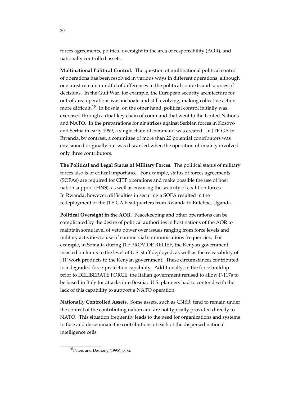forces agreements, political oversight in the area of responsibility (AOR), and nationally controlled assets.

**Multinational Political Control.** The question of multinational political control of operations has been resolved in various ways in different operations, although one must remain mindful of differences in the political contexts and sources of decisions. In the Gulf War, for example, the European security architecture for out-of-area operations was inchoate and still evolving, making collective action more difficult.<sup>18</sup> In Bosnia, on the other hand, political control initially was exercised through a dual-key chain of command that went to the United Nations and NATO. In the preparations for air strikes against Serbian forces in Kosovo and Serbia in early 1999, a single chain of command was created. In JTF-GA in Rwanda, by contrast, a committee of more than 20 potential contributors was envisioned originally but was discarded when the operation ultimately involved only three contributors.

**The Political and Legal Status of Military Forces.** The political status of military forces also is of critical importance. For example, status of forces agreements (SOFAs) are required for CJTF operations and make possible the use of host nation support (HNS), as well as ensuring the security of coalition forces. In Rwanda, however, difficulties in securing a SOFA resulted in the redeployment of the JTF-GA headquarters from Rwanda to Entebbe, Uganda.

**Political Oversight in the AOR.** Peacekeeping and other operations can be complicated by the desire of political authorities in host nations of the AOR to maintain some level of veto power over issues ranging from force levels and military activities to use of commercial communications frequencies. For example, in Somalia during JTF PROVIDE RELIEF, the Kenyan government insisted on limits to the level of U.S. staff deployed, as well as the releasability of JTF work products to the Kenyan government. These circumstances contributed to a degraded force-protection capability. Additionally, in the force buildup prior to DELIBERATE FORCE, the Italian government refused to allow F-117s to be based in Italy for attacks into Bosnia. U.S. planners had to contend with the lack of this capability to support a NATO operation.

**Nationally Controlled Assets.** Some assets, such as C3ISR, tend to remain under the control of the contributing nation and are not typically provided directly to NATO. This situation frequently leads to the need for organizations and systems to fuse and disseminate the contributions of each of the dispersed national intelligence cells.

<sup>18</sup>Peters and Deshong (1995), p. xi.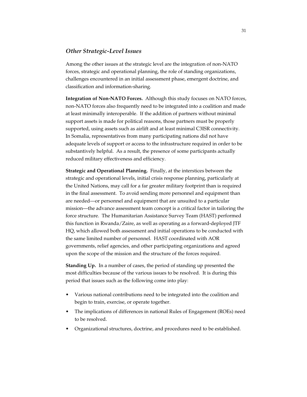#### *Other Strategic-Level Issues*

Among the other issues at the strategic level are the integration of non-NATO forces, strategic and operational planning, the role of standing organizations, challenges encountered in an initial assessment phase, emergent doctrine, and classification and information-sharing.

**Integration of Non-NATO Forces.** Although this study focuses on NATO forces, non-NATO forces also frequently need to be integrated into a coalition and made at least minimally interoperable. If the addition of partners without minimal support assets is made for political reasons, those partners must be properly supported, using assets such as airlift and at least minimal C3ISR connectivity. In Somalia, representatives from many participating nations did not have adequate levels of support or access to the infrastructure required in order to be substantively helpful. As a result, the presence of some participants actually reduced military effectiveness and efficiency.

**Strategic and Operational Planning.** Finally, at the interstices between the strategic and operational levels, initial crisis response planning, particularly at the United Nations, may call for a far greater military footprint than is required in the final assessment. To avoid sending more personnel and equipment than are needed—or personnel and equipment that are unsuited to a particular mission—the advance assessment team concept is a critical factor in tailoring the force structure. The Humanitarian Assistance Survey Team (HAST) performed this function in Rwanda/Zaire, as well as operating as a forward-deployed JTF HQ, which allowed both assessment and initial operations to be conducted with the same limited number of personnel. HAST coordinated with AOR governments, relief agencies, and other participating organizations and agreed upon the scope of the mission and the structure of the forces required.

**Standing Up.** In a number of cases, the period of standing up presented the most difficulties because of the various issues to be resolved. It is during this period that issues such as the following come into play:

- Various national contributions need to be integrated into the coalition and begin to train, exercise, or operate together.
- The implications of differences in national Rules of Engagement (ROEs) need to be resolved.
- Organizational structures, doctrine, and procedures need to be established.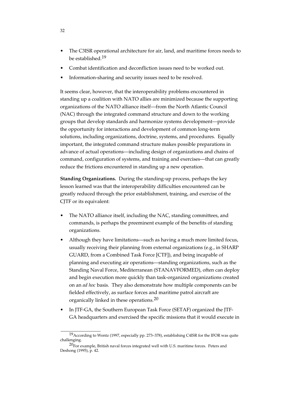- The C3ISR operational architecture for air, land, and maritime forces needs to be established.19
- Combat identification and deconfliction issues need to be worked out.
- Information-sharing and security issues need to be resolved.

It seems clear, however, that the interoperability problems encountered in standing up a coalition with NATO allies are minimized because the supporting organizations of the NATO alliance itself—from the North Atlantic Council (NAC) through the integrated command structure and down to the working groups that develop standards and harmonize systems development—provide the opportunity for interactions and development of common long-term solutions, including organizations, doctrine, systems, and procedures. Equally important, the integrated command structure makes possible preparations in advance of actual operations—including design of organizations and chains of command, configuration of systems, and training and exercises—that can greatly reduce the frictions encountered in standing up a new operation.

**Standing Organizations.** During the standing-up process, perhaps the key lesson learned was that the interoperability difficulties encountered can be greatly reduced through the prior establishment, training, and exercise of the CJTF or its equivalent:

- The NATO alliance itself, including the NAC, standing committees, and commands, is perhaps the preeminent example of the benefits of standing organizations.
- Although they have limitations—such as having a much more limited focus, usually receiving their planning from external organizations (e.g., in SHARP GUARD, from a Combined Task Force [CTF]), and being incapable of planning and executing air operations—standing organizations, such as the Standing Naval Force, Mediterranean (STANAVFORMED), often can deploy and begin execution more quickly than task-organized organizations created on an *ad hoc* basis. They also demonstrate how multiple components can be fielded effectively, as surface forces and maritime patrol aircraft are organically linked in these operations.20
- In JTF-GA, the Southern European Task Force (SETAF) organized the JTF-GA headquarters and exercised the specific missions that it would execute in

<sup>&</sup>lt;sup>19</sup> According to Wentz (1997, especially pp. 273-378), establishing C4ISR for the IFOR was quite challenging.

 $20$ For example, British naval forces integrated well with U.S. maritime forces. Peters and Deshong (1995), p. 42.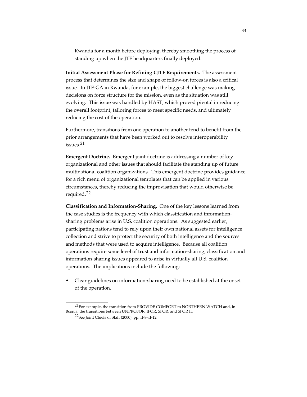Rwanda for a month before deploying, thereby smoothing the process of standing up when the JTF headquarters finally deployed.

**Initial Assessment Phase for Refining CJTF Requirements.** The assessment process that determines the size and shape of follow-on forces is also a critical issue. In JTF-GA in Rwanda, for example, the biggest challenge was making decisions on force structure for the mission, even as the situation was still evolving. This issue was handled by HAST, which proved pivotal in reducing the overall footprint, tailoring forces to meet specific needs, and ultimately reducing the cost of the operation.

Furthermore, transitions from one operation to another tend to benefit from the prior arrangements that have been worked out to resolve interoperability  $is <sub>s</sub>$  21

**Emergent Doctrine.** Emergent joint doctrine is addressing a number of key organizational and other issues that should facilitate the standing up of future multinational coalition organizations. This emergent doctrine provides guidance for a rich menu of organizational templates that can be applied in various circumstances, thereby reducing the improvisation that would otherwise be required.22

**Classification and Information-Sharing.** One of the key lessons learned from the case studies is the frequency with which classification and informationsharing problems arise in U.S. coalition operations. As suggested earlier, participating nations tend to rely upon their own national assets for intelligence collection and strive to protect the security of both intelligence and the sources and methods that were used to acquire intelligence. Because all coalition operations require some level of trust and information-sharing, classification and information-sharing issues appeared to arise in virtually all U.S. coalition operations. The implications include the following:

• Clear guidelines on information-sharing need to be established at the onset of the operation.

<sup>21</sup>For example, the transition from PROVIDE COMFORT to NORTHERN WATCH and, in Bosnia, the transitions between UNPROFOR, IFOR, SFOR, and SFOR II.

<sup>22</sup>See Joint Chiefs of Staff (2000), pp. II-8–II-12.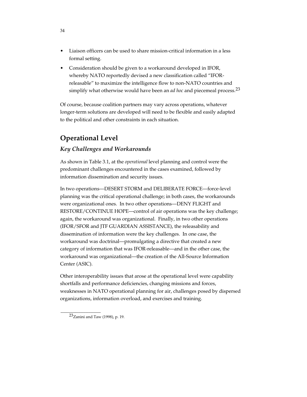- Liaison officers can be used to share mission-critical information in a less formal setting.
- Consideration should be given to a workaround developed in IFOR, whereby NATO reportedly devised a new classification called "IFORreleasable" to maximize the intelligence flow to non-NATO countries and simplify what otherwise would have been an *ad hoc* and piecemeal process.23

Of course, because coalition partners may vary across operations, whatever longer-term solutions are developed will need to be flexible and easily adapted to the political and other constraints in each situation.

# **Operational Level**

### *Key Challenges and Workarounds*

As shown in Table 3.1, at the *operational* level planning and control were the predominant challenges encountered in the cases examined, followed by information dissemination and security issues.

In two operations—DESERT STORM and DELIBERATE FORCE—force-level planning was the critical operational challenge; in both cases, the workarounds were organizational ones. In two other operations—DENY FLIGHT and RESTORE/CONTINUE HOPE—control of air operations was the key challenge; again, the workaround was organizational. Finally, in two other operations (IFOR/SFOR and JTF GUARDIAN ASSISTANCE), the releasability and dissemination of information were the key challenges. In one case, the workaround was doctrinal—promulgating a directive that created a new category of information that was IFOR-releasable—and in the other case, the workaround was organizational—the creation of the All-Source Information Center (ASIC).

Other interoperability issues that arose at the operational level were capability shortfalls and performance deficiencies, changing missions and forces, weaknesses in NATO operational planning for air, challenges posed by dispersed organizations, information overload, and exercises and training.

<sup>23</sup>Zanini and Taw (1998), p. 19.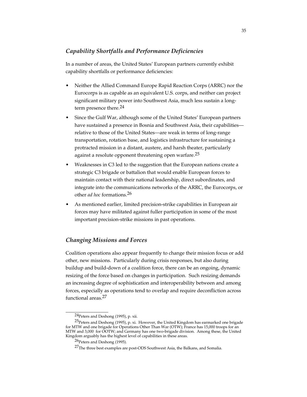### *Capability Shortfalls and Performance Deficiencies*

In a number of areas, the United States' European partners currently exhibit capability shortfalls or performance deficiencies:

- Neither the Allied Command Europe Rapid Reaction Corps (ARRC) nor the Eurocorps is as capable as an equivalent U.S. corps, and neither can project significant military power into Southwest Asia, much less sustain a longterm presence there.24
- Since the Gulf War, although some of the United States' European partners have sustained a presence in Bosnia and Southwest Asia, their capabilities relative to those of the United States—are weak in terms of long-range transportation, rotation base, and logistics infrastructure for sustaining a protracted mission in a distant, austere, and harsh theater, particularly against a resolute opponent threatening open warfare.<sup>25</sup>
- Weaknesses in C3 led to the suggestion that the European nations create a strategic C3 brigade or battalion that would enable European forces to maintain contact with their national leadership, direct subordinates, and integrate into the communications networks of the ARRC, the Eurocorps, or other *ad hoc* formations.26
- As mentioned earlier, limited precision-strike capabilities in European air forces may have militated against fuller participation in some of the most important precision-strike missions in past operations.

### *Changing Missions and Forces*

Coalition operations also appear frequently to change their mission focus or add other, new missions. Particularly during crisis responses, but also during buildup and build-down of a coalition force, there can be an ongoing, dynamic resizing of the force based on changes in participation. Such resizing demands an increasing degree of sophistication and interoperability between and among forces, especially as operations tend to overlap and require deconfliction across functional areas.27

<sup>24</sup>Peters and Deshong (1995), p. xii.

<sup>&</sup>lt;sup>25</sup>Peters and Deshong (1995), p. xi. However, the United Kingdom has earmarked one brigade for MTW and one brigade for Operations Other Than War (OTW); France has 15,000 troops for an MTW and 3,000 for OOTW; and Germany has one two-brigade division. Among these, the United Kingdom arguably has the highest level of capabilities in these areas.

<sup>26</sup>Peters and Deshong (1995).

<sup>&</sup>lt;sup>27</sup>The three best examples are post-ODS Southwest Asia, the Balkans, and Somalia.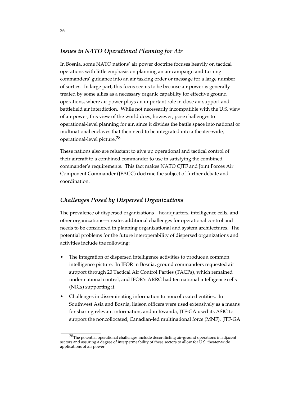### *Issues in NATO Operational Planning for Air*

In Bosnia, some NATO nations' air power doctrine focuses heavily on tactical operations with little emphasis on planning an air campaign and turning commanders' guidance into an air tasking order or message for a large number of sorties. In large part, this focus seems to be because air power is generally treated by some allies as a necessary organic capability for effective ground operations, where air power plays an important role in close air support and battlefield air interdiction. While not necessarily incompatible with the U.S. view of air power, this view of the world does, however, pose challenges to operational-level planning for air, since it divides the battle space into national or multinational enclaves that then need to be integrated into a theater-wide, operational-level picture.28

These nations also are reluctant to give up operational and tactical control of their aircraft to a combined commander to use in satisfying the combined commander's requirements. This fact makes NATO CJTF and Joint Forces Air Component Commander (JFACC) doctrine the subject of further debate and coordination.

### *Challenges Posed by Dispersed Organizations*

\_\_\_\_\_\_\_\_\_\_\_\_\_\_\_\_

The prevalence of dispersed organizations—headquarters, intelligence cells, and other organizations—creates additional challenges for operational control and needs to be considered in planning organizational and system architectures. The potential problems for the future interoperability of dispersed organizations and activities include the following:

- The integration of dispersed intelligence activities to produce a common intelligence picture. In IFOR in Bosnia, ground commanders requested air support through 20 Tactical Air Control Parties (TACPs), which remained under national control, and IFOR's ARRC had ten national intelligence cells (NICs) supporting it.
- Challenges in disseminating information to noncollocated entities. In Southwest Asia and Bosnia, liaison officers were used extensively as a means for sharing relevant information, and in Rwanda, JTF-GA used its ASIC to support the noncollocated, Canadian-led multinational force (MNF). JTF-GA

 $^{28}$ The potential operational challenges include deconflicting air-ground operations in adjacent sectors and assuring a degree of interpermeability of these sectors to allow for U.S. theater-wide applications of air power.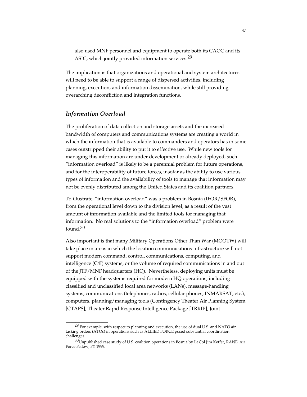also used MNF personnel and equipment to operate both its CAOC and its ASIC, which jointly provided information services.<sup>29</sup>

The implication is that organizations and operational and system architectures will need to be able to support a range of dispersed activities, including planning, execution, and information dissemination, while still providing overarching deconfliction and integration functions.

### *Information Overload*

\_\_\_\_\_\_\_\_\_\_\_\_\_\_\_\_\_

The proliferation of data collection and storage assets and the increased bandwidth of computers and communications systems are creating a world in which the information that is available to commanders and operators has in some cases outstripped their ability to put it to effective use. While new tools for managing this information are under development or already deployed, such "information overload" is likely to be a perennial problem for future operations, and for the interoperability of future forces, insofar as the ability to use various types of information and the availability of tools to manage that information may not be evenly distributed among the United States and its coalition partners.

To illustrate, "information overload" was a problem in Bosnia (IFOR/SFOR), from the operational level down to the division level, as a result of the vast amount of information available and the limited tools for managing that information. No real solutions to the "information overload" problem were found.30

Also important is that many Military Operations Other Than War (MOOTW) will take place in areas in which the location communications infrastructure will not support modern command, control, communications, computing, and intelligence (C4I) systems, or the volume of required communications in and out of the JTF/MNF headquarters (HQ). Nevertheless, deploying units must be equipped with the systems required for modern HQ operations, including classified and unclassified local area networks (LANs), message-handling systems, communications (telephones, radios, cellular phones, INMARSAT, etc.), computers, planning/managing tools (Contingency Theater Air Planning System [CTAPS], Theater Rapid Response Intelligence Package [TRRIP], Joint

 $29$  For example, with respect to planning and execution, the use of dual U.S. and NATO air tasking orders (ATOs) in operations such as ALLIED FORCE posed substantial coordination challenges.

 $30$ Unpublished case study of U.S. coalition operations in Bosnia by Lt Col Jim Keffer, RAND Air Force Fellow, FY 1999.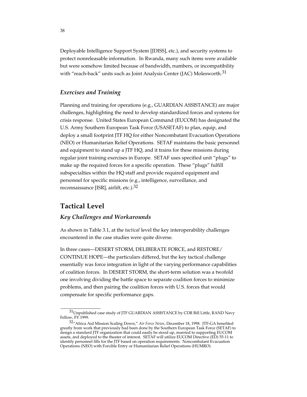Deployable Intelligence Support System [JDISS], etc.), and security systems to protect nonreleasable information. In Rwanda, many such items were available but were somehow limited because of bandwidth, numbers, or incompatibility with "reach-back" units such as Joint Analysis Center (JAC) Molesworth.<sup>31</sup>

### *Exercises and Training*

Planning and training for operations (e.g., GUARDIAN ASSISTANCE) are major challenges, highlighting the need to develop standardized forces and systems for crisis response. United States European Command (EUCOM) has designated the U.S. Army Southern European Task Force (USASETAF) to plan, equip, and deploy a small footprint JTF HQ for either Noncombatant Evacuation Operations (NEO) or Humanitarian Relief Operations. SETAF maintains the basic personnel and equipment to stand up a JTF HQ, and it trains for these missions during regular joint training exercises in Europe. SETAF uses specified unit "plugs" to make up the required forces for a specific operation. These "plugs" fulfill subspecialties within the HQ staff and provide required equipment and personnel for specific missions (e.g., intelligence, surveillance, and reconnaissance [ISR], airlift, etc.).<sup>32</sup>

## **Tactical Level**

\_\_\_\_\_\_\_\_\_\_\_\_\_\_\_\_

#### *Key Challenges and Workarounds*

As shown in Table 3.1, at the *tactical* level the key interoperability challenges encountered in the case studies were quite diverse.

In three cases—DESERT STORM, DELIBERATE FORCE, and RESTORE/ CONTINUE HOPE—the particulars differed, but the key tactical challenge essentially was force integration in light of the varying performance capabilities of coalition forces. In DESERT STORM, the short-term solution was a twofold one involving dividing the battle space to separate coalition forces to minimize problems, and then pairing the coalition forces with U.S. forces that would compensate for specific performance gaps.

<sup>31</sup>Unpublished case study of JTF GUARDIAN ASSISTANCE by CDR Bill Little, RAND Navy Fellow, FY 1999.

<sup>32&</sup>quot;Africa Aid Mission Scaling Down," *Air Force News*, December 18, 1998. JTF-GA benefited greatly from work that previously had been done by the Southern European Task Force (SETAF) to design a standard JTF organization that could easily be stood up, married to supporting EUCOM assets, and deployed to the theater of interest. SETAF will utilize EUCOM Directive (ED) 55-11 to identify personnel fills for the JTF based on operation requirements: Noncombatant Evacuation Operations (NEO) with Forcible Entry or Humanitarian Relief Operations (HUMRO).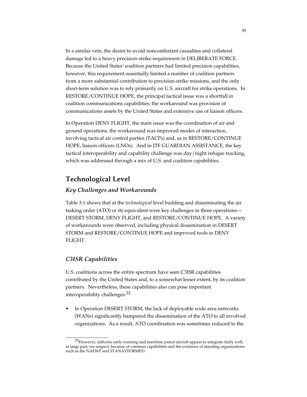In a similar vein, the desire to avoid noncombatant casualties and collateral damage led to a heavy precision-strike requirement in DELIBERATE FORCE. Because the United States' coalition partners had limited precision capabilities, however, this requirement essentially limited a number of coalition partners from a more substantial contribution to precision-strike missions, and the only short-term solution was to rely primarily on U.S. aircraft for strike operations. In RESTORE/CONTINUE HOPE, the principal tactical issue was a shortfall in coalition communications capabilities; the workaround was provision of communications assets by the United States and extensive use of liaison officers.

In Operation DENY FLIGHT, the main issue was the coordination of air and ground operations; the workaround was improved modes of interaction, involving tactical air control parties (TACPs) and, as in RESTORE/CONTINUE HOPE, liaison officers (LNOs). And in JTF GUARDIAN ASSISTANCE, the key tactical interoperability and capability challenge was day/night refugee tracking, which was addressed through a mix of U.S. and coalition capabilities.

## **Technological Level**

#### *Key Challenges and Workarounds*

Table 3.1 shows that at the *technological* level building and disseminating the air tasking order (ATO) or its equivalent were key challenges in three operations— DESERT STORM, DENY FLIGHT, and RESTORE/CONTINUE HOPE. A variety of workarounds were observed, including physical dissemination in DESERT STORM and RESTORE/CONTINUE HOPE and improved tools in DENY FLIGHT.

### *C3ISR Capabilities*

\_\_\_\_\_\_\_\_\_\_\_\_\_\_\_\_\_

U.S. coalitions across the entire spectrum have seen C3ISR capabilities contributed by the United States and, to a somewhat lesser extent, by its coalition partners. Nevertheless, these capabilities also can pose important interoperability challenges: 33

• In Operation DESERT STORM, the lack of deployable wide area networks (WANs) significantly hampered the dissemination of the ATO to all involved organizations. As a result, ATO coordination was sometimes reduced to the

 $33$ However, airborne early warning and maritime patrol aircraft appear to integrate fairly well, in large part, we suspect, because of common capabilities and the existence of standing organizations such as the NAEWF and STANAVFORMED.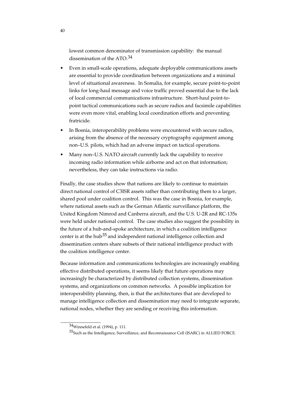lowest common denominator of transmission capability: the manual dissemination of the ATO.34

- Even in small-scale operations, adequate deployable communications assets are essential to provide coordination between organizations and a minimal level of situational awareness. In Somalia, for example, secure point-to-point links for long-haul message and voice traffic proved essential due to the lack of local commercial communications infrastructure. Short-haul point-topoint tactical communications such as secure radios and facsimile capabilities were even more vital, enabling local coordination efforts and preventing fratricide.
- In Bosnia, interoperability problems were encountered with secure radios, arising from the absence of the necessary cryptography equipment among non–U.S. pilots, which had an adverse impact on tactical operations.
- Many non–U.S. NATO aircraft currently lack the capability to receive incoming radio information while airborne and act on that information; nevertheless, they can take instructions via radio.

Finally, the case studies show that nations are likely to continue to maintain direct national control of C3ISR assets rather than contributing them to a larger, shared pool under coalition control. This was the case in Bosnia, for example, where national assets such as the German Atlantic surveillance platform, the United Kingdom Nimrod and Canberra aircraft, and the U.S. U-2R and RC-135s were held under national control. The case studies also suggest the possibility in the future of a hub-and-spoke architecture, in which a coalition intelligence center is at the hub<sup>35</sup> and independent national intelligence collection and dissemination centers share subsets of their national intelligence product with the coalition intelligence center.

Because information and communications technologies are increasingly enabling effective distributed operations, it seems likely that future operations may increasingly be characterized by distributed collection systems, dissemination systems, and organizations on common networks. A possible implication for interoperability planning, then, is that the architectures that are developed to manage intelligence collection and dissemination may need to integrate separate, national nodes, whether they are sending or receiving this information.

<sup>34</sup>Winnefeld et al. (1994), p. 111.

<sup>35</sup>Such as the Intelligence, Surveillance, and Reconnaissance Cell (ISARC) in ALLIED FORCE.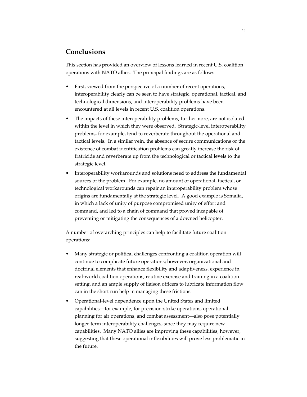## **Conclusions**

This section has provided an overview of lessons learned in recent U.S. coalition operations with NATO allies. The principal findings are as follows:

- First, viewed from the perspective of a number of recent operations, interoperability clearly can be seen to have strategic, operational, tactical, and technological dimensions, and interoperability problems have been encountered at all levels in recent U.S. coalition operations.
- The impacts of these interoperability problems, furthermore, are not isolated within the level in which they were observed. Strategic-level interoperability problems, for example, tend to reverberate throughout the operational and tactical levels. In a similar vein, the absence of secure communications or the existence of combat identification problems can greatly increase the risk of fratricide and reverberate up from the technological or tactical levels to the strategic level.
- Interoperability workarounds and solutions need to address the fundamental sources of the problem. For example, no amount of operational, tactical, or technological workarounds can repair an interoperability problem whose origins are fundamentally at the strategic level. A good example is Somalia, in which a lack of unity of purpose compromised unity of effort and command, and led to a chain of command that proved incapable of preventing or mitigating the consequences of a downed helicopter.

A number of overarching principles can help to facilitate future coalition operations:

- Many strategic or political challenges confronting a coalition operation will continue to complicate future operations; however, organizational and doctrinal elements that enhance flexibility and adaptiveness, experience in real-world coalition operations, routine exercise and training in a coalition setting, and an ample supply of liaison officers to lubricate information flow can in the short run help in managing these frictions.
- Operational-level dependence upon the United States and limited capabilities—for example, for precision-strike operations, operational planning for air operations, and combat assessment—also pose potentially longer-term interoperability challenges, since they may require new capabilities. Many NATO allies are improving these capabilities, however, suggesting that these operational inflexibilities will prove less problematic in the future.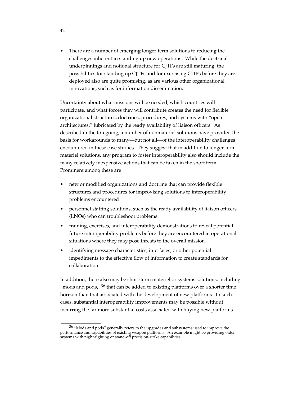There are a number of emerging longer-term solutions to reducing the challenges inherent in standing up new operations. While the doctrinal underpinnings and notional structure for CJTFs are still maturing, the possibilities for standing up CJTFs and for exercising CJTFs before they are deployed also are quite promising, as are various other organizational innovations, such as for information dissemination.

Uncertainty about what missions will be needed, which countries will participate, and what forces they will contribute creates the need for flexible organizational structures, doctrines, procedures, and systems with "open architectures," lubricated by the ready availability of liaison officers. As described in the foregoing, a number of nonmateriel solutions have provided the basis for workarounds to many—but not all—of the interoperability challenges encountered in these case studies. They suggest that in addition to longer-term materiel solutions, any program to foster interoperability also should include the many relatively inexpensive actions that can be taken in the short term. Prominent among these are

- new or modified organizations and doctrine that can provide flexible structures and procedures for improvising solutions to interoperability problems encountered
- personnel staffing solutions, such as the ready availability of liaison officers (LNOs) who can troubleshoot problems
- training, exercises, and interoperability demonstrations to reveal potential future interoperability problems before they are encountered in operational situations where they may pose threats to the overall mission
- identifying message characteristics, interfaces, or other potential impediments to the effective flow of information to create standards for collaboration.

In addition, there also may be short-term materiel or systems solutions, including "mods and pods," $36$  that can be added to existing platforms over a shorter time horizon than that associated with the development of new platforms. In such cases, substantial interoperability improvements may be possible without incurring the far more substantial costs associated with buying new platforms.

\_\_\_\_\_\_\_\_\_\_\_\_\_\_\_\_

42

<sup>36 &</sup>quot;Mods and pods" generally refers to the upgrades and subsystems used to improve the performance and capabilities of existing weapon platforms. An example might be providing older systems with night-fighting or stand-off precision-strike capabilities.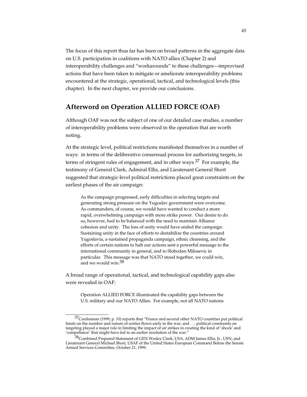The focus of this report thus far has been on broad patterns in the aggregate data on U.S. participation in coalitions with NATO allies (Chapter 2) and interoperability challenges and "workarounds" to these challenges—improvised actions that have been taken to mitigate or ameliorate interoperability problems encountered at the strategic, operational, tactical, and technological levels (this chapter). In the next chapter, we provide our conclusions.

## **Afterword on Operation ALLIED FORCE (OAF)**

Although OAF was not the subject of one of our detailed case studies, a number of interoperability problems were observed in the operation that are worth noting.

At the strategic level, political restrictions manifested themselves in a number of ways: in terms of the deliberative consensual process for authorizing targets, in terms of stringent rules of engagement, and in other ways.<sup>37</sup> For example, the testimony of General Clark, Admiral Ellis, and Lieutenant General Short suggested that strategic-level political restrictions placed great constraints on the earliest phases of the air campaign:

As the campaign progressed, early difficulties in selecting targets and generating strong pressure on the Yugoslav government were overcome. As commanders, of course, we would have wanted to conduct a more rapid, overwhelming campaign with more strike power. Our desire to do so, however, had to be balanced with the need to maintain Alliance cohesion and unity. The loss of unity would have ended the campaign. Sustaining unity in the face of efforts to destabilize the countries around Yugoslavia, a sustained propaganda campaign, ethnic cleansing, and the efforts of certain nations to halt our actions sent a powerful message to the international community in general, and to Slobodan Milosevic in particular. This message was that NATO stood together, we could win, and we would win.38

A broad range of operational, tactical, and technological capability gaps also were revealed in OAF:

Operation ALLIED FORCE illuminated the capability gaps between the U.S. military and our NATO Allies. For example, not all NATO nations

<sup>&</sup>lt;sup>37</sup>Cordesman (1999, p. 10) reports that "France and several other NATO countries put political limits on the number and nature of sorties flown early in the war, and . . . political constraints on targeting played a major role in limiting the impact of air strikes in creating the kind of 'shock' and 'compellance' that might have led to an earlier resolution of the war."

<sup>38</sup>Combined Prepared Statement of GEN Wesley Clark, USA, ADM James Ellis, Jr., USN, and Lieutenant General Michael Short, USAF of the United States European Command Before the Senate Armed Services Committee, October 21, 1999.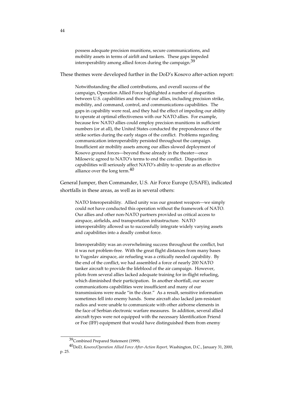possess adequate precision munitions, secure communications, and mobility assets in terms of airlift and tankers. These gaps impeded interoperability among allied forces during the campaign.<sup>39</sup>

These themes were developed further in the DoD's Kosovo after-action report:

Notwithstanding the allied contributions, and overall success of the campaign, Operation Allied Force highlighted a number of disparities between U.S. capabilities and those of our allies, including precision strike, mobility, and command, control, and communications capabilities. The gaps in capability were real, and they had the effect of impeding our ability to operate at optimal effectiveness with our NATO allies. For example, because few NATO allies could employ precision munitions in sufficient numbers (or at all), the United States conducted the preponderance of the strike sorties during the early stages of the conflict. Problems regarding communication interoperability persisted throughout the campaign. Insufficient air mobility assets among our allies slowed deployment of Kosovo ground forces—beyond those already in the theater—once Milosevic agreed to NATO's terms to end the conflict. Disparities in capabilities will seriously affect NATO's ability to operate as an effective alliance over the long term. $40$ 

General Jumper, then Commander, U.S. Air Force Europe (USAFE), indicated shortfalls in these areas, as well as in several others:

NATO Interoperability. Allied unity was our greatest weapon—we simply could not have conducted this operation without the framework of NATO. Our allies and other non-NATO partners provided us critical access to airspace, airfields, and transportation infrastructure. NATO interoperability allowed us to successfully integrate widely varying assets and capabilities into a deadly combat force.

Interoperability was an overwhelming success throughout the conflict, but it was not problem-free. With the great flight distances from many bases to Yugoslav airspace, air refueling was a critically needed capability. By the end of the conflict, we had assembled a force of nearly 200 NATO tanker aircraft to provide the lifeblood of the air campaign. However, pilots from several allies lacked adequate training for in-flight refueling, which diminished their participation. In another shortfall, our secure communications capabilities were insufficient and many of our transmissions were made "in the clear." As a result, sensitive information sometimes fell into enemy hands. Some aircraft also lacked jam-resistant radios and were unable to communicate with other airborne elements in the face of Serbian electronic warfare measures. In addition, several allied aircraft types were not equipped with the necessary Identification Friend or Foe (IFF) equipment that would have distinguished them from enemy

<sup>39</sup> Combined Prepared Statement (1999).

<sup>40</sup>DoD, *Kosovo/Operation Allied Force After-Action Report,* Washington, D.C., January 31, 2000, p. 25.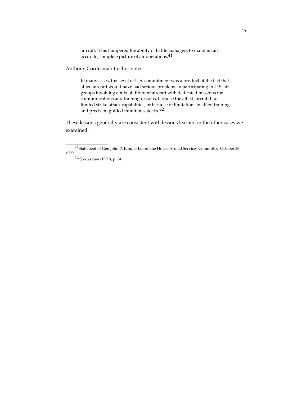aircraft. This hampered the ability of battle managers to maintain an accurate, complete picture of air operations.41

Anthony Cordesman further notes:

In many cases, this level of U.S. commitment was a product of the fact that allied aircraft would have had serious problems in participating in U.S. air groups involving a mix of different aircraft with dedicated missions for communications and training reasons, because the allied aircraft had limited strike-attack capabilities, or because of limitations in allied training and precision guided munitions stocks.<sup>42</sup>

These lessons generally are consistent with lessons learned in the other cases we examined.

 $^{41}$ Statement of Gen John P. Jumper before the House Armed Services Committee, October 26, 1999.

<sup>42</sup>Cordesman (1999), p. 34.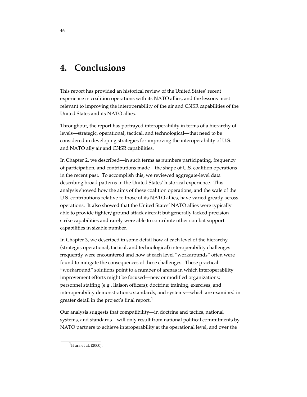# **4. Conclusions**

This report has provided an historical review of the United States' recent experience in coalition operations with its NATO allies, and the lessons most relevant to improving the interoperability of the air and C3ISR capabilities of the United States and its NATO allies.

Throughout, the report has portrayed interoperability in terms of a hierarchy of levels—strategic, operational, tactical, and technological—that need to be considered in developing strategies for improving the interoperability of U.S. and NATO ally air and C3ISR capabilities.

In Chapter 2, we described—in such terms as numbers participating, frequency of participation, and contributions made—the shape of U.S. coalition operations in the recent past. To accomplish this, we reviewed aggregate-level data describing broad patterns in the United States' historical experience. This analysis showed how the aims of these coalition operations, and the scale of the U.S. contributions relative to those of its NATO allies, have varied greatly across operations. It also showed that the United States' NATO allies were typically able to provide fighter/ground attack aircraft but generally lacked precisionstrike capabilities and rarely were able to contribute other combat support capabilities in sizable number.

In Chapter 3, we described in some detail how at each level of the hierarchy (strategic, operational, tactical, and technological) interoperability challenges frequently were encountered and how at each level "workarounds" often were found to mitigate the consequences of these challenges. These practical "workaround" solutions point to a number of arenas in which interoperability improvement efforts might be focused—new or modified organizations; personnel staffing (e.g., liaison officers); doctrine; training, exercises, and interoperability demonstrations; standards; and systems—which are examined in greater detail in the project's final report.<sup>1</sup>

Our analysis suggests that compatibility—in doctrine and tactics, national systems, and standards—will only result from national political commitments by NATO partners to achieve interoperability at the operational level, and over the

 $1$ Hura et al. (2000).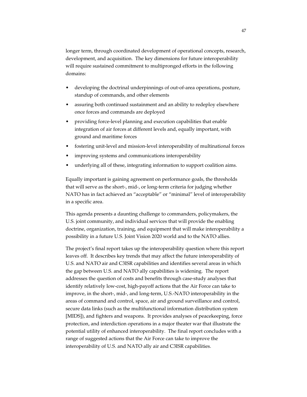longer term, through coordinated development of operational concepts, research, development, and acquisition. The key dimensions for future interoperability will require sustained commitment to multipronged efforts in the following domains:

- developing the doctrinal underpinnings of out-of-area operations, posture, standup of commands, and other elements
- assuring both continued sustainment and an ability to redeploy elsewhere once forces and commands are deployed
- providing force-level planning and execution capabilities that enable integration of air forces at different levels and, equally important, with ground and maritime forces
- fostering unit-level and mission-level interoperability of multinational forces
- improving systems and communications interoperability
- underlying all of these, integrating information to support coalition aims.

Equally important is gaining agreement on performance goals, the thresholds that will serve as the short-, mid-, or long-term criteria for judging whether NATO has in fact achieved an "acceptable" or "minimal" level of interoperability in a specific area.

This agenda presents a daunting challenge to commanders, policymakers, the U.S. joint community, and individual services that will provide the enabling doctrine, organization, training, and equipment that will make interoperability a possibility in a future U.S. Joint Vision 2020 world and to the NATO allies.

The project's final report takes up the interoperability question where this report leaves off. It describes key trends that may affect the future interoperability of U.S. and NATO air and C3ISR capabilities and identifies several areas in which the gap between U.S. and NATO ally capabilities is widening. The report addresses the question of costs and benefits through case-study analyses that identify relatively low-cost, high-payoff actions that the Air Force can take to improve, in the short-, mid-, and long-term, U.S.-NATO interoperability in the areas of command and control, space, air and ground surveillance and control, secure data links (such as the multifunctional information distribution system [MIDS]), and fighters and weapons. It provides analyses of peacekeeping, force protection, and interdiction operations in a major theater war that illustrate the potential utility of enhanced interoperability. The final report concludes with a range of suggested actions that the Air Force can take to improve the interoperability of U.S. and NATO ally air and C3ISR capabilities.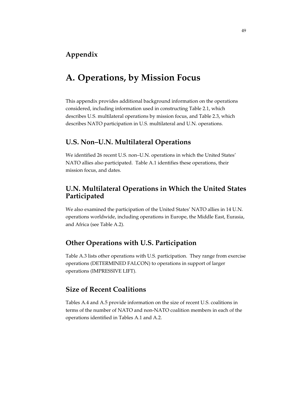# **Appendix**

# **A. Operations, by Mission Focus**

This appendix provides additional background information on the operations considered, including information used in constructing Table 2.1, which describes U.S. multilateral operations by mission focus, and Table 2.3, which describes NATO participation in U.S. multilateral and U.N. operations.

# **U.S. Non–U.N. Multilateral Operations**

We identified 26 recent U.S. non–U.N. operations in which the United States' NATO allies also participated. Table A.1 identifies these operations, their mission focus, and dates.

# **U.N. Multilateral Operations in Which the United States Participated**

We also examined the participation of the United States' NATO allies in 14 U.N. operations worldwide, including operations in Europe, the Middle East, Eurasia, and Africa (see Table A.2).

# **Other Operations with U.S. Participation**

Table A.3 lists other operations with U.S. participation. They range from exercise operations (DETERMINED FALCON) to operations in support of larger operations (IMPRESSIVE LIFT).

# **Size of Recent Coalitions**

Tables A.4 and A.5 provide information on the size of recent U.S. coalitions in terms of the number of NATO and non-NATO coalition members in each of the operations identified in Tables A.1 and A.2.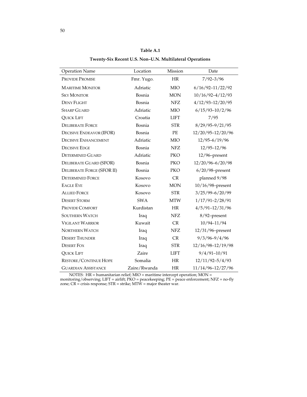| Table A.1                                               |
|---------------------------------------------------------|
| Twenty-Six Recent U.S. Non-U.N. Multilateral Operations |

| <b>Operation Name</b>             | Location     | Mission     | Date                 |
|-----------------------------------|--------------|-------------|----------------------|
| <b>PROVIDE PROMISE</b>            | Fmr. Yugo.   | HR          | $7/92 - 3/96$        |
| <b>MARITIME MONITOR</b>           | Adriatic     | <b>MIO</b>  | $6/16/92 - 11/22/92$ |
| <b>SKY MONITOR</b>                | Bosnia       | <b>MON</b>  | $10/16/92 - 4/12/93$ |
| <b>DENY FLIGHT</b>                | Bosnia       | <b>NFZ</b>  | $4/12/93 - 12/20/95$ |
| <b>SHARP GUARD</b>                | Adriatic     | <b>MIO</b>  | $6/15/93 - 10/2/96$  |
| <b>QUICK LIFT</b>                 | Croatia      | <b>LIFT</b> | 7/95                 |
| <b>DELIBERATE FORCE</b>           | Bosnia       | <b>STR</b>  | $8/29/95 - 9/21/95$  |
| <b>DECISIVE ENDEAVOR (IFOR)</b>   | Bosnia       | PE          | 12/20/95-12/20/96    |
| <b>DECISIVE ENHANCEMENT</b>       | Adriatic     | <b>MIO</b>  | $12/95 - 6/19/96$    |
| <b>DECISIVE EDGE</b>              | Bosnia       | <b>NFZ</b>  | $12/95 - 12/96$      |
| <b>DETERMINED GUARD</b>           | Adriatic     | <b>PKO</b>  | $12/96$ -present     |
| DELIBERATE GUARD (SFOR)           | Bosnia       | <b>PKO</b>  | 12/20/96-6/20/98     |
| <b>DELIBERATE FORGE (SFOR II)</b> | Bosnia       | <b>PKO</b>  | $6/20/98$ -present   |
| <b>DETERMINED FORCE</b>           | Kosovo       | CR          | planned 9/98         |
| <b>EAGLE EYE</b>                  | Kosovo       | <b>MON</b>  | $10/16/98$ -present  |
| <b>ALLIED FORCE</b>               | Kosovo       | <b>STR</b>  | $3/25/99 - 6/20/99$  |
| <b>DESERT STORM</b>               | <b>SWA</b>   | <b>MTW</b>  | $1/17/91 - 2/28/91$  |
| PROVIDE COMFORT                   | Kurdistan    | HR          | $4/5/91 - 12/31/96$  |
| <b>SOUTHERN WATCH</b>             | Iraq         | <b>NFZ</b>  | 8/92-present         |
| <b>VIGILANT WARRIOR</b>           | Kuwait       | <b>CR</b>   | 10/94-11/94          |
| <b>NORTHERN WATCH</b>             | Iraq         | <b>NFZ</b>  | 12/31/96-present     |
| <b>DESERT THUNDER</b>             | Iraq         | CR          | $9/3/96 - 9/4/96$    |
| <b>DESERT FOX</b>                 | Iraq         | <b>STR</b>  | 12/16/98-12/19/98    |
| <b>QUICK LIFT</b>                 | Zaire        | <b>LIFT</b> | $9/4/91 - 10/91$     |
| <b>RESTORE/CONTINUE HOPE</b>      | Somalia      | <b>HR</b>   | $12/11/92 - 5/4/93$  |
| <b>GUARDIAN ASSISTANCE</b>        | Zaire/Rwanda | HR          | 11/14/96-12/27/96    |

NOTES: HR = humanitarian relief; MIO = maritime intercept operation; MON =

monitoring/observing; LIFT = airlift; PKO = peacekeeping; PE = peace enforcement; NFZ = no-fly zone; CR = crisis response; STR = strike; MTW = major theater war.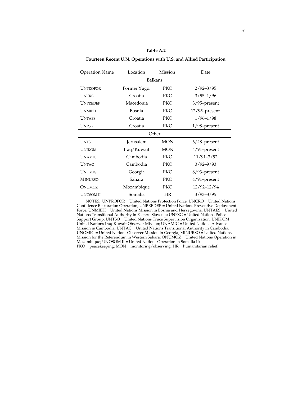#### **Table A.2**

**Fourteen Recent U.N. Operations with U.S. and Allied Participation**

| <b>Operation Name</b> | Location         | Mission    | Date             |  |  |  |
|-----------------------|------------------|------------|------------------|--|--|--|
| Balkans               |                  |            |                  |  |  |  |
| <b>UNPROFOR</b>       | Former Yugo.     | <b>PKO</b> | $2/92 - 3/95$    |  |  |  |
| <b>UNCRO</b>          | Croatia          | PKO        | $3/95 - 1/96$    |  |  |  |
| <b>UNPREDEP</b>       | Macedonia        | PKO        | 3/95-present     |  |  |  |
| <b>UNMIBH</b>         | Bosnia           | PKO        | $12/95$ -present |  |  |  |
| <b>UNTAES</b>         | Croatia          | PKO        | $1/96 - 1/98$    |  |  |  |
| <b>UNPSG</b>          | Croatia          | PKO        | $1/98$ -present  |  |  |  |
|                       |                  | Other      |                  |  |  |  |
| <b>UNTSO</b>          | <b>Jerusalem</b> | MON        | $6/48$ -present  |  |  |  |
| <b>UNIKOM</b>         | Iraq/Kuwait      | <b>MON</b> | $4/91$ -present  |  |  |  |
| <b>UNAMIC</b>         | Cambodia         | PKO        | $11/91 - 3/92$   |  |  |  |
| <b>UNTAC</b>          | Cambodia         | PKO        | $3/92 - 9/93$    |  |  |  |
| <b>UNOMIG</b>         | Georgia          | PKO        | 8/93-present     |  |  |  |
| <b>MINURSO</b>        | Sahara           | PKO        | 4/91-present     |  |  |  |
| ONUMOZ                | Mozambique       | PKO        | 12/92-12/94      |  |  |  |
| <b>UNOSOM II</b>      | Somalia          | HR         | $3/93 - 3/95$    |  |  |  |

NOTES: UNPROFOR = United Nations Protection Force; UNCRO = United Nations Confidence Restoration Operation; UNPREDEP = United Nations Preventive Deployment Force; UNMIBH = United Nations Mission in Bosnia and Herzegovina; UNTAES = United Nations Transitional Authority in Eastern Slovenia; UNPSG = United Nations Police Support Group; UNTSO = United Nations Truce Supervision Organization; UNIKOM = United Nations Iraq-Kuwait Observer Mission; UNAMIC = United Nations Advance Mission in Cambodia; UNTAC = United Nations Transitional Authority in Cambodia; UNOMIG = United Nations Observer Mission in Georgia; MINURSO = United Nations Mission for the Referendum in Western Sahara; ONUMOZ = United Nations Operation in Mozambique; UNOSOM II = United Nations Operation in Somalia II; PKO = peacekeeping; MON = monitoring/observing; HR = humanitarian relief.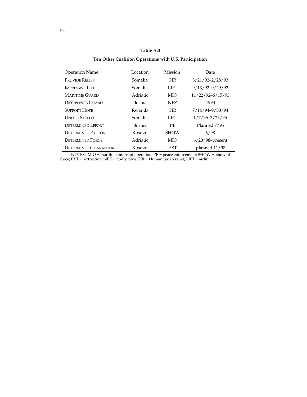## **Table A.3**

**Ten Other Coalition Operations with U.S. Participation**

| <b>Operation Name</b>       | Location | <b>Mission</b> | Date                 |
|-----------------------------|----------|----------------|----------------------|
| <b>PROVIDE RELIEF</b>       | Somalia  | <b>HR</b>      | $8/21/92 - 2/28/93$  |
| <b>IMPRESSIVE LIFT</b>      | Somalia  | LIFT           | $9/13/92 - 9/29/92$  |
| <b>MARITIME GUARD</b>       | Adriatic | <b>MIO</b>     | $11/22/92 - 6/15/93$ |
| DISCIPLINED GUARD           | Bosnia   | NFZ.           | 1993                 |
| <b>SUPPORT HOPE</b>         | Rwanda   | <b>HR</b>      | 7/14/94-9/30/94      |
| <b>UNITED SHIELD</b>        | Somalia  | LIFT           | $1/7/95 - 3/23/95$   |
| <b>DETERMINED EFFORT</b>    | Bosnia   | PF.            | Planned 7/95         |
| DETERMINED FALCON           | Kosovo   | <b>SHOW</b>    | 6/98                 |
| <b>DETERMINED FORGE</b>     | Adriatic | <b>MIO</b>     | $6/20/98$ -present   |
| <b>DETERMINED GUARANTOR</b> | Kosovo   | <b>EXT</b>     | planned $11/98$      |
|                             |          |                |                      |

NOTES: MIO = maritime intercept operation; PE = peace enforcement; SHOW = show of force; EXT = extraction; NFZ = no-fly zone; HR = Humanitarian relief; LIFT = airlift.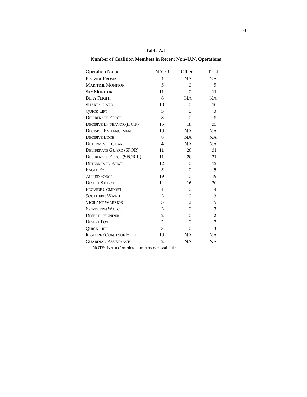| <b>Operation Name</b>             | <b>NATO</b>    | Others    | Total          |
|-----------------------------------|----------------|-----------|----------------|
| <b>PROVIDE PROMISE</b>            | $\overline{4}$ | NA        | NA             |
| <b>MARITIME MONITOR</b>           | 5              | $\Omega$  | 5              |
| <b>SKY MONITOR</b>                | 11             | $\Omega$  | 11             |
| <b>DENY FLIGHT</b>                | 8              | <b>NA</b> | NA             |
| <b>SHARP GUARD</b>                | 10             | $\Omega$  | 10             |
| <b>QUICK LIFT</b>                 | 3              | $\theta$  | 3              |
| <b>DELIBERATE FORCE</b>           | 8              | $\Omega$  | 8              |
| <b>DECISIVE ENDEAVOR (IFOR)</b>   | 15             | 18        | 33             |
| <b>DECISIVE ENHANCEMENT</b>       | 10             | <b>NA</b> | NA             |
| <b>DECISIVE EDGE</b>              | 8              | NA        | NA             |
| <b>DETERMINED GUARD</b>           | 4              | NA        | <b>NA</b>      |
| DELIBERATE GUARD (SFOR)           | 11             | 20        | 31             |
| <b>DELIBERATE FORGE (SFOR II)</b> | 11             | 20        | 31             |
| <b>DETERMINED FORCE</b>           | 12             | $\Omega$  | 12             |
| <b>EAGLE EYE</b>                  | 5              | $\Omega$  | 5              |
| <b>ALLIED FORCE</b>               | 19             | $\Omega$  | 19             |
| <b>DESERT STORM</b>               | 14             | 16        | 30             |
| <b>PROVIDE COMFORT</b>            | $\overline{4}$ | $\theta$  | $\overline{4}$ |
| <b>SOUTHERN WATCH</b>             | 3              | 0         | 3              |
| <b>VIGILANT WARRIOR</b>           | 3              | 2         | 5              |
| <b>NORTHERN WATCH</b>             | 3              | $\Omega$  | 3              |
| <b>DESERT THUNDER</b>             | $\overline{2}$ | $\Omega$  | $\overline{2}$ |
| <b>DESERT FOX</b>                 | $\overline{2}$ | $\Omega$  | $\overline{2}$ |
| <b>QUICK LIFT</b>                 | 3              | 0         | 3              |
| <b>RESTORE/CONTINUE HOPE</b>      | 10             | <b>NA</b> | NA             |
| <b>GUARDIAN ASSISTANCE</b>        | $\overline{2}$ | <b>NA</b> | NA             |

**Table A.4**

**Number of Coalition Members in Recent Non–U.N. Operations**

NOTE: NA = Complete numbers not available.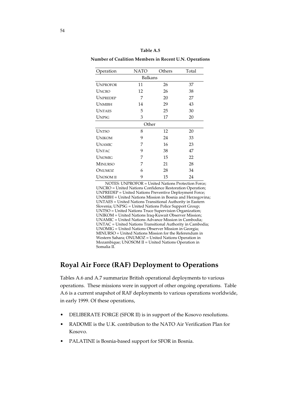**Number of Coalition Members in Recent U.N. Operations**

| Operation       | NATO    | Others | Total |
|-----------------|---------|--------|-------|
|                 | Balkans |        |       |
| <b>UNPROFOR</b> | 11      | 26     | 37    |
| <b>UNCRO</b>    | 12      | 26     | 38    |
| UNPREDEP        | 7       | 20     | 27    |
| UNMIBH          | 14      | 29     | 43    |
| UNTAES          | 5       | 25     | 30    |
| <b>UNPSG</b>    | 3       | 17     | 20    |
|                 | Other   |        |       |
| <b>UNTSO</b>    | 8       | 12     | 20    |
| <b>UNIKOM</b>   | 9       | 24     | 33    |
| <b>UNAMIC</b>   | 7       | 16     | 23    |
| <b>UNTAC</b>    | 9       | 38     | 47    |
| UNOMIG          | 7       | 15     | 22    |
| <b>MINURSO</b>  | 7       | 21     | 28    |
| ONUMOZ          | 6       | 28     | 34    |
| <b>UNOSOMII</b> | 9       | 15     | 24    |

NOTES: UNPROFOR = United Nations Protection Force; UNCRO = United Nations Confidence Restoration Operation; UNPREDEP = United Nations Preventive Deployment Force; UNMIBH = United Nations Mission in Bosnia and Herzegovina; UNTAES = United Nations Transitional Authority in Eastern Slovenia; UNPSG = United Nations Police Support Group; UNTSO = United Nations Truce Supervision Organization; UNIKOM = United Nations Iraq-Kuwait Observer Mission; UNAMIC = United Nations Advance Mission in Cambodia; UNTAC = United Nations Transitional Authority in Cambodia; UNOMIG = United Nations Observer Mission in Georgia; MINURSO = United Nations Mission for the Referendum in Western Sahara; ONUMOZ = United Nations Operation in Mozambique; UNOSOM II = United Nations Operation in Somalia II.

# **Royal Air Force (RAF) Deployment to Operations**

Tables A.6 and A.7 summarize British operational deployments to various operations. These missions were in support of other ongoing operations. Table A.6 is a current snapshot of RAF deployments to various operations worldwide, in early 1999. Of these operations,

- DELIBERATE FORGE (SFOR II) is in support of the Kosovo resolutions.
- RADOME is the U.K. contribution to the NATO Air Verification Plan for Kosovo.
- PALATINE is Bosnia-based support for SFOR in Bosnia.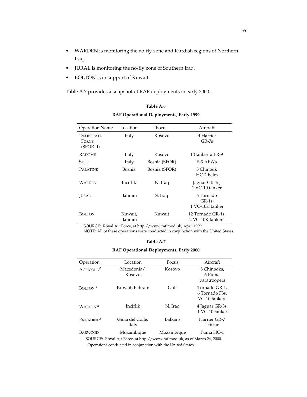- WARDEN is monitoring the no-fly zone and Kurdish regions of Northern Iraq.
- JURAL is monitoring the no-fly zone of Southern Iraq.
- BOLTON is in support of Kuwait.

Table A.7 provides a snapshot of RAF deployments in early 2000.

| <b>Operation Name</b>            | Location           | Focus         | Aircraft                                |
|----------------------------------|--------------------|---------------|-----------------------------------------|
| DELIBERATE<br>FORGE<br>(SFOR II) | Italy              | Kosovo        | 4 Harrier<br>$GR-7s$                    |
| <b>RADOME</b>                    | Italy              | Kosovo        | 1 Canberra PR-9                         |
| <b>SFOR</b>                      | Italy              | Bosnia (SFOR) | E-3 AEWs                                |
| <b>PALATINE</b>                  | Bosnia             | Bosnia (SFOR) | 3 Chinook<br>$HC-2$ helos               |
| Warden                           | Incirlik           | N. Iraq       | Jaguar GR-1s,<br>1 VC-10 tanker         |
| <b>JURAL</b>                     | Bahrain            | S. Iraq       | 6 Tornado<br>$GR-1s$<br>1 VC-10K tanker |
| <b>BOLTON</b>                    | Kuwait,<br>Bahrain | Kuwait        | 12 Tornado GR-1s,<br>2 VC-10K tankers   |

**Table A.6 RAF Operational Deployments, Early 1999**

SOURCE: Royal Air Force, at http://www.raf.mod.uk, April 1999.

NOTE: All of these operations were conducted in conjunction with the United States.

#### **Table A.7**

#### **RAF Operational Deployments, Early 2000**

| Operation             | Location                  | Focus          | Aircraft                                         |
|-----------------------|---------------------------|----------------|--------------------------------------------------|
| AGRICOLA <sup>a</sup> | Macedonia/<br>Kosovo      | Kosovo         | 8 Chinooks,<br>6 Puma<br>paratroopers            |
| BOLTON <sup>a</sup>   | Kuwait, Bahrain           | Gulf           | Tornado GR-1,<br>6 Tornado F3s,<br>VC-10 tankers |
| WARDEN <sup>a</sup>   | Incirlik                  | N. Iraq        | 4 Jaguar GR-3s,<br>1 VC-10 tanker                |
| ENGADINE <sup>a</sup> | Gioia del Colle,<br>Italy | <b>Balkans</b> | Harrier GR-7<br>Tristar                          |
| BARWOOD               | Mozambique                | Mozambique     | Puma HC-1                                        |
|                       |                           |                |                                                  |

SOURCE: Royal Air Force, at http://www.raf.mod.uk, as of March 24, 2000. aOperations conducted in conjunction with the United States.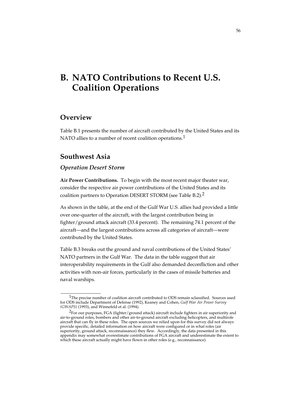# **B. NATO Contributions to Recent U.S. Coalition Operations**

# **Overview**

Table B.1 presents the number of aircraft contributed by the United States and its NATO allies to a number of recent coalition operations.<sup>1</sup>

# **Southwest Asia**

\_\_\_\_\_\_\_\_\_\_\_\_\_\_\_\_

### *Operation Desert Storm*

**Air Power Contributions.** To begin with the most recent major theater war, consider the respective air power contributions of the United States and its coalition partners to Operation DESERT STORM (see Table B.2).2

As shown in the table, at the end of the Gulf War U.S. allies had provided a little over one-quarter of the aircraft, with the largest contribution being in fighter/ground attack aircraft (33.4 percent). The remaining 74.1 percent of the aircraft—and the largest contributions across all categories of aircraft—were contributed by the United States.

Table B.3 breaks out the ground and naval contributions of the United States' NATO partners in the Gulf War. The data in the table suggest that air interoperability requirements in the Gulf also demanded deconfliction and other activities with non-air forces, particularly in the cases of missile batteries and naval warships.

 $1$ The precise number of coalition aircraft contributed to ODS remain sclassified. Sources used for ODS include Department of Defense (1992), Keaney and Cohen, *Gulf War Air Power Survey (GWAPS)* (1993), and Winnefeld et al. (1994).

<sup>&</sup>lt;sup>2</sup>For our purposes, FGA (fighter/ground attack) aircraft include fighters in air superiority and air-to-ground roles, bombers and other air-to-ground aircraft excluding helicopters, and multirole aircraft that can fly in these roles. The open sources we relied upon for this survey did not always provide specific, detailed information on how aircraft were configured or in what roles (air superiority, ground attack, reconnaissance) they flew. Accordingly, the data presented in this appendix may somewhat overestimate contributions of FGA aircraft and underestimate the extent to which these aircraft actually might have flown in other roles (e.g., reconnaissance).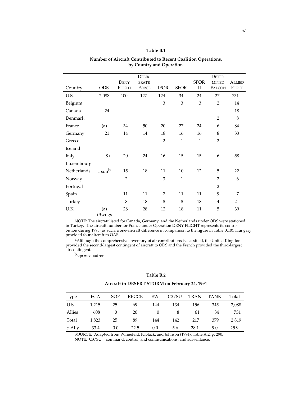### **Table B.1**

57

Country ODS **DENY** FLIGHT DELIB-ERATE FORCE IFOR SFOR SFOR II DETER-MINED FALCON ALLIED **FORCE** U.S. 2,088 100 127 124 34 24 27 731 Belgium 3 3 3 2 14 Canada 24 18 Denmark 2 8 France (a) 34 50 20 27 24 6 84 Germany 21 14 14 18 16 16 8 33 Greece  $2 \t 1 \t 1 \t 2$ Iceland Italy 8+ 20 24 16 15 15 6 58 Luxembourg Netherlands 1 sqn<sup>b</sup> 15 18 11 10 12 5 22 Norway 2 2 3 1 2 6 Portugal 2 Spain 11 11 7 11 11 9 7 Turkey 8 18 8 8 18 4 21 U.K. (a) +3wngs 28 28 12 18 11 5 39

## **Number of Aircraft Contributed to Recent Coalition Operations, by Country and Operation**

NOTE: The aircraft listed for Canada, Germany, and the Netherlands under ODS were stationed in Turkey. The aircraft number for France under Operation DENY FLIGHT represents its contribution during 1995 (as such, a one-aircraft difference in comparison to the figure in Table B.10). Hungary provided four aircraft to OAF.

aAlthough the comprehensive inventory of air contributions is classified, the United Kingdom provided the second-largest contingent of aircraft to ODS and the French provided the third-largest air contingent.

 $b_{\text{sqn}} = \text{square}$ 

#### **Table B.2**

### **Aircraft in DESERT STORM on February 24, 1991**

| <b>Type</b> | FGA   | SOF | RECCE | EW  | C3/SU | TRAN | <b>TANK</b> | Total |
|-------------|-------|-----|-------|-----|-------|------|-------------|-------|
| U.S.        | 1,215 | 25  | 69    | 144 | 134   | 156  | 345         | 2,088 |
| Allies      | 608   |     | 20    |     |       | 61   | 34          | 731   |
| Total       | 1,823 | 25  | 89    | 144 | 142   | 217  | 379         | 2,819 |
| %Ally       | 33.4  | 0.0 | 22.5  | 0.0 | 5.6   | 28.1 | 9.0         | 25.9  |

SOURCE: Adapted from Winnefeld, Niblack, and Johnson (1994), Table A.2, p. 290. NOTE: C3/SU = command, control, and communications, and surveillance.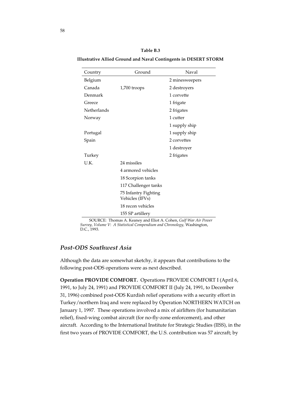| Table B.3                                                               |  |
|-------------------------------------------------------------------------|--|
| <b>Illustrative Allied Ground and Naval Contingents in DESERT STORM</b> |  |

| Country     | Ground                                  | Naval          |
|-------------|-----------------------------------------|----------------|
| Belgium     |                                         | 2 minesweepers |
| Canada      | 1,700 troops                            | 2 destroyers   |
| Denmark     |                                         | 1 corvette     |
| Greece      |                                         | 1 frigate      |
| Netherlands |                                         | 2 frigates     |
| Norway      |                                         | 1 cutter       |
|             |                                         | 1 supply ship  |
| Portugal    |                                         | 1 supply ship  |
| Spain       |                                         | 2 corvettes    |
|             |                                         | 1 destroyer    |
| Turkey      |                                         | 2 frigates     |
| U.K.        | 24 missiles                             |                |
|             | 4 armored vehicles                      |                |
|             | 18 Scorpion tanks                       |                |
|             | 117 Challenger tanks                    |                |
|             | 75 Infantry Fighting<br>Vehicles (IFVs) |                |
|             | 18 recon vehicles                       |                |
|             | 155 SP artillery                        |                |

SOURCE: Thomas A. Keaney and Eliot A. Cohen, *Gulf War Air Power Survey, Volume V*: *A Statistical Compendium and Chronology,* Washington, D.C., 1993.

# *Post-ODS Southwest Asia*

Although the data are somewhat sketchy, it appears that contributions to the following post-ODS operations were as next described.

**Operation PROVIDE COMFORT.** Operations PROVIDE COMFORT I (April 6, 1991, to July 24, 1991) and PROVIDE COMFORT II (July 24, 1991, to December 31, 1996) combined post-ODS Kurdish relief operations with a security effort in Turkey/northern Iraq and were replaced by Operation NORTHERN WATCH on January 1, 1997. These operations involved a mix of airlifters (for humanitarian relief), fixed-wing combat aircraft (for no-fly-zone enforcement), and other aircraft. According to the International Institute for Strategic Studies (IISS), in the first two years of PROVIDE COMFORT, the U.S. contribution was 57 aircraft; by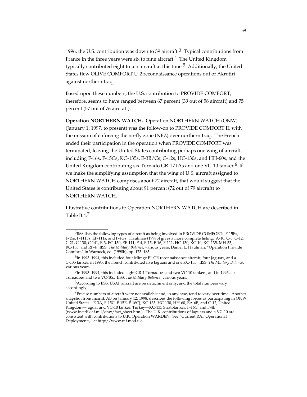1996, the U.S. contribution was down to 39 aircraft.<sup>3</sup> Typical contributions from France in the three years were six to nine aircraft.<sup>4</sup> The United Kingdom typically contributed eight to ten aircraft at this time.<sup>5</sup> Additionally, the United States flew OLIVE COMFORT U-2 reconnaissance operations out of Akrotiri against northern Iraq.

Based upon these numbers, the U.S. contribution to PROVIDE COMFORT, therefore, seems to have ranged between 67 percent (39 out of 58 aircraft) and 75 percent (57 out of 76 aircraft).

**Operation NORTHERN WATCH.** Operation NORTHERN WATCH (ONW) (January 1, 1997, to present) was the follow-on to PROVIDE COMFORT II, with the mission of enforcing the no-fly zone (NFZ) over northern Iraq. The French ended their participation in the operation when PROVIDE COMFORT was terminated, leaving the United States contributing perhaps one wing of aircraft, including F-16s, F-15Cs, KC-135s, E-3B/Cs, C-12s, HC-130s, and HH-60s, and the United Kingdom contributing six Tornado GR-1/1As and one VC-10 tanker.<sup>6</sup> If we make the simplifying assumption that the wing of U.S. aircraft assigned to NORTHERN WATCH comprises about 72 aircraft, that would suggest that the United States is contributing about 91 percent (72 out of 79 aircraft) to NORTHERN WATCH.

Illustrative contributions to Operation NORTHERN WATCH are described in Table B.4.7

<sup>3</sup>IISS lists the following types of aircraft as being involved in PROVIDE COMFORT: F-15Es, F-15s, F-111Fs, EF-111s, and F-4Gs Haulman (1998b) gives a more complete listing: A-10, C-5, C-12, C-21, C-130, C-141, E-3, EC-130, EF-111, F-4, F-15, F-16, F-111, HC-130, KC-10, KC-135, MH-53, RC-135, and RF-4. IISS, *The Military Balance,* various years; Daniel L. Haulman, "Operation Provide Comfort," in Warnock, ed. (1998b), pp. 173–183.

 $^{4}$ In 1993–1994, this included four Mirage F1-CR reconnaissance aircraft, four Jaguars, and a C-135 tanker; in 1995, the French contributed five Jaguars and one KC-135. IISS, *The Military Balance*, various years.

<sup>&</sup>lt;sup>5</sup>In 1993–1994, this included eight GR-1 Tornadoes and two VC-10 tankers, and in 1995, six Tornadoes and two VC-10s. IISS, *The Military Balance*, various years.

 $6$ According to IISS, USAF aircraft are on detachment only, and the total numbers vary accordingly.

<sup>&</sup>lt;sup>7</sup>Precise numbers of aircraft were not available and, in any case, tend to vary over time. Another snapshot from Incirlik AB on January 12, 1998, describes the following forces as participating in ONW: United States—E-3A, F-15C, F-15E, F-16CJ, KC-135, HC-130, HH-60, EA-6B, and C-12; United Kingdom—Jaguar and VC-10 tanker; Turkey—KC-135 Stratotanker, F-16C, and F-4E (www.incirlik.af.mil/onw/fact\_sheet.htm.). The U.K. contributions of Jaguars and a VC-10 are consistent with contributions to U.K. Operation WARDEN. See "Current RAF Operational Deployments," at http://www.raf.mod.uk.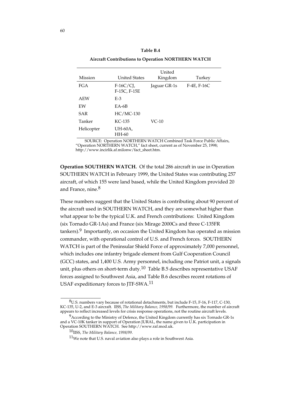#### **Table B.4**

#### **Aircraft Contributions to Operation NORTHERN WATCH**

| Mission    | <b>United States</b>       | United<br>Kingdom | Turkey      |
|------------|----------------------------|-------------------|-------------|
| FGA        | $F-16C/CJ$<br>F-15C, F-15E | Jaguar GR-1s      | F-4E, F-16C |
| AEW        | $E-3$                      |                   |             |
| EW         | $E$ A-6B                   |                   |             |
| <b>SAR</b> | HC/MC-130                  |                   |             |
| Tanker     | KC-135                     | $VC-10$           |             |
| Helicopter | UH-60A,<br>HH-60           |                   |             |

SOURCE: Operation NORTHERN WATCH Combined Task Force Public Affairs, "Operation NORTHERN WATCH," fact sheet, current as of November 25, 1998; http://www.incirlik.af.milonw/fact\_sheet.htm.

**Operation SOUTHERN WATCH.** Of the total 286 aircraft in use in Operation SOUTHERN WATCH in February 1999, the United States was contributing 257 aircraft, of which 155 were land based, while the United Kingdom provided 20 and France, nine.<sup>8</sup>

These numbers suggest that the United States is contributing about 90 percent of the aircraft used in SOUTHERN WATCH, and they are somewhat higher than what appear to be the typical U.K. and French contributions: United Kingdom (six Tornado GR-1As) and France (six Mirage 2000Cs and three C-135FR  $t$ ankers).<sup>9</sup> Importantly, on occasion the United Kingdom has operated as mission commander, with operational control of U.S. and French forces. SOUTHERN WATCH is part of the Peninsular Shield Force of approximately 7,000 personnel, which includes one infantry brigade element from Gulf Cooperation Council (GCC) states, and 1,400 U.S. Army personnel, including one Patriot unit, a signals unit, plus others on short-term duty.<sup>10</sup> Table B.5 describes representative USAF forces assigned to Southwest Asia, and Table B.6 describes recent rotations of USAF expeditionary forces to JTF-SWA.11

<sup>8</sup>U.S. numbers vary because of rotational detachments, but include F-15, F-16, F-117, C-130, KC-135, U-2, and E-3 aircraft. IISS, *The Military Balance, 1998/99.* Furthermore, the number of aircraft appears to reflect increased levels for crisis response operations, not the routine aircraft levels.

 $9$ According to the Ministry of Defence, the United Kingdom currently has six Tornado GR-1s and a VC-10K tanker in support of Operation JURAL, the name given to U.K. participation in Operation SOUTHERN WATCH. See http://www.raf.mod.uk.

<sup>10</sup>IISS, *The Military Balance, 1998/99*.

 $11$ We note that U.S. naval aviation also plays a role in Southwest Asia.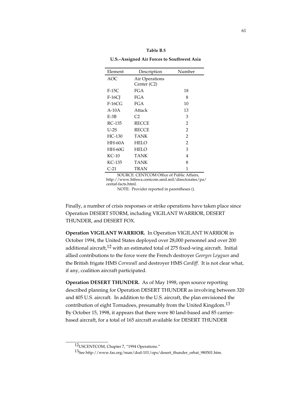#### **Table B.5**

**U.S.–Assigned Air Forces to Southwest Asia**

| Element  | Description    | Number         |
|----------|----------------|----------------|
| AOC      | Air Operations |                |
|          | Center (C2)    |                |
| $F-15C$  | <b>FGA</b>     | 18             |
| $F-16CI$ | FGA            | 8              |
| $F-16CG$ | FGA            | 10             |
| $A-10A$  | Attack         | 13             |
| $E-3B$   | C <sub>2</sub> | 3              |
| RC-135   | <b>RECCE</b>   | $\overline{2}$ |
| $U-2S$   | <b>RECCE</b>   | $\overline{2}$ |
| $HC-130$ | TANK           | $\overline{2}$ |
| $HH-60A$ | HELO           | $\overline{2}$ |
| $HH-60G$ | HELO           | 3              |
| $KC-10$  | TANK           | 4              |
| KC-135   | TANK           | 8              |
| C-21     | TRAN           | 1              |

SOURCE: CENTCOM Office of Public Affairs, http://www.htfswa.centcom.smil.mil/directorates/pa/ centaf-facts.html.

NOTE: Provider reported in parentheses ().

Finally, a number of crisis responses or strike operations have taken place since Operation DESERT STORM, including VIGILANT WARRIOR, DESERT THUNDER, and DESERT FOX.

**Operation VIGILANT WARRIOR.** In Operation VIGILANT WARRIOR in October 1994, the United States deployed over 28,000 personnel and over 200 additional aircraft,<sup>12</sup> with an estimated total of 275 fixed-wing aircraft. Initial allied contributions to the force were the French destroyer *Georges Leygues* and the British frigate HMS *Cornwall* and destroyer HMS *Cardiff*. It is not clear what, if any, coalition aircraft participated.

**Operation DESERT THUNDER.** As of May 1998, open source reporting described planning for Operation DESERT THUNDER as involving between 320 and 405 U.S. aircraft. In addition to the U.S. aircraft, the plan envisioned the contribution of eight Tornadoes, presumably from the United Kingdom.<sup>13</sup> By October 15, 1998, it appears that there were 80 land-based and 85 carrierbased aircraft, for a total of 165 aircraft available for DESERT THUNDER

<sup>12</sup>USCENTCOM, Chapter 7, "1994 Operations."

<sup>13</sup>See http://www.fas.org/man/dod-101/ops/desert\_thunder\_orbat\_980501.htm.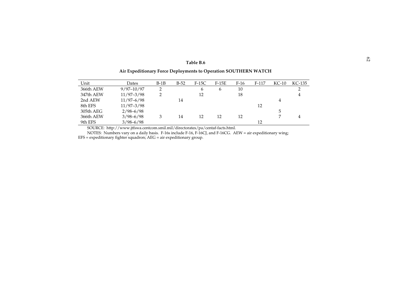### <sup>62</sup> **Table B.6**Table B.6 **Air Expeditionary Force Deployments to Operation SOUTHERN WATCH**

#### Unit Dates B-1B B-52 F-15C F-15E F-16 F-117 KC-10 KC-135KC-135 366th AEW 9/97-10/97 2 6 6 10 2 347th AEW 11/97-3/98 2 12 18 18 2nd AEW 11/97–6/98 14 4 8th EFS 11/97-3/98 12 305th AEG 2/98–6/98 5 366th AEW 3/98–6/98 3 14 12 12 12 7 4 9th EFS 3/98-6/98 12

SOURCE: http://www.jtfswa.centcom.smil.mil/directorates/pa/centaf-facts.html.

NOTES: Numbers vary on a daily basis. F-16s include F-16, F-16CJ, and F-16CG. AEW = air expeditionary wing; EFS = expeditionary fighter squadron; AEG = air expeditionary group.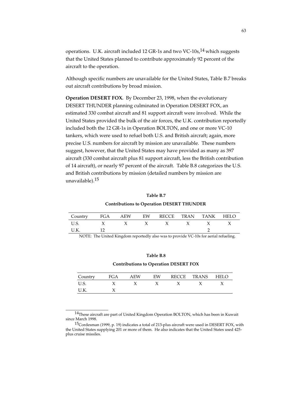operations. U.K. aircraft included 12 GR-1s and two VC-10s,  $^{14}$  which suggests that the United States planned to contribute approximately 92 percent of the aircraft to the operation.

Although specific numbers are unavailable for the United States, Table B.7 breaks out aircraft contributions by broad mission.

**Operation DESERT FOX.** By December 23, 1998, when the evolutionary DESERT THUNDER planning culminated in Operation DESERT FOX, an estimated 330 combat aircraft and 81 support aircraft were involved. While the United States provided the bulk of the air forces, the U.K. contribution reportedly included both the 12 GR-1s in Operation BOLTON, and one or more VC-10 tankers, which were used to refuel both U.S. and British aircraft; again, more precise U.S. numbers for aircraft by mission are unavailable. These numbers suggest, however, that the United States may have provided as many as 397 aircraft (330 combat aircraft plus 81 support aircraft, less the British contribution of 14 aircraft), or nearly 97 percent of the aircraft. Table B.8 categorizes the U.S. and British contributions by mission (detailed numbers by mission are unavailable).15

#### **Table B.7**

### **Contributions to Operation DESERT THUNDER**

| Country  |  | FGA AEW EW RECCE TRAN TANK HELO |  |  |
|----------|--|---------------------------------|--|--|
| U.S. $X$ |  | $X \times X \times X \times X$  |  |  |
|          |  |                                 |  |  |

NOTE: The United Kingdom reportedly also was to provide VC-10s for aerial refueling.

#### **Table B.8**

**Contributions to Operation DESERT FOX**

| Country    | FGA | AEW | EW | RECCE | TRANS | <b>HELO</b> |
|------------|-----|-----|----|-------|-------|-------------|
| U.S.       |     |     |    |       |       |             |
| $\cdot$ r. |     |     |    |       |       |             |

<sup>14</sup>These aircraft are part of United Kingdom Operation BOLTON, which has been in Kuwait since March 1998.

<sup>&</sup>lt;sup>15</sup>Cordesman (1999, p. 19) indicates a total of 213-plus aircraft were used in DESERT FOX, with the United States supplying 201 or more of them. He also indicates that the United States used 425 plus cruise missiles.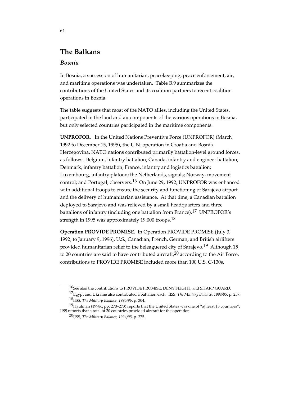# **The Balkans**

### *Bosnia*

In Bosnia, a succession of humanitarian, peacekeeping, peace enforcement, air, and maritime operations was undertaken. Table B.9 summarizes the contributions of the United States and its coalition partners to recent coalition operations in Bosnia.

The table suggests that most of the NATO allies, including the United States, participated in the land and air components of the various operations in Bosnia, but only selected countries participated in the maritime components.

**UNPROFOR.** In the United Nations Preventive Force (UNPROFOR) (March 1992 to December 15, 1995), the U.N. operation in Croatia and Bosnia-Herzegovina, NATO nations contributed primarily battalion-level ground forces, as follows: Belgium, infantry battalion; Canada, infantry and engineer battalion; Denmark, infantry battalion; France, infantry and logistics battalion; Luxembourg, infantry platoon; the Netherlands, signals; Norway, movement control; and Portugal, observers.<sup>16</sup> On June 29, 1992, UNPROFOR was enhanced with additional troops to ensure the security and functioning of Sarajevo airport and the delivery of humanitarian assistance. At that time, a Canadian battalion deployed to Sarajevo and was relieved by a small headquarters and three battalions of infantry (including one battalion from France).17 UNPROFOR's strength in 1995 was approximately 19,000 troops.<sup>18</sup>

**Operation PROVIDE PROMISE.** In Operation PROVIDE PROMISE (July 3, 1992, to January 9, 1996), U.S., Canadian, French, German, and British airlifters provided humanitarian relief to the beleaguered city of Sarajevo.<sup>19</sup> Although 15 to 20 countries are said to have contributed aircraft, $20$  according to the Air Force, contributions to PROVIDE PROMISE included more than 100 U.S. C-130s,

<sup>16</sup>See also the contributions to PROVIDE PROMISE, DENY FLIGHT, and SHARP GUARD. 17Egypt and Ukraine also contributed a battalion each. IISS, *The Military Balance, 1994/95*, p. 257.

<sup>18</sup>IISS, *The Military Balance, 1995/96*, p. 304.

<sup>&</sup>lt;sup>19</sup>Haulman (1998c, pp. 270–273) reports that the United States was one of "at least 15 countries"; IISS reports that a total of 20 countries provided aircraft for the operation.

<sup>20</sup>IISS, *The Military Balance, 1994/95*, p. 275.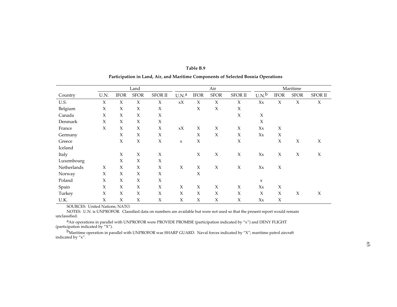|             |        |             | Land        |                     |                     | Air                 |                     |                     |                     | Maritime    |                     |                |  |
|-------------|--------|-------------|-------------|---------------------|---------------------|---------------------|---------------------|---------------------|---------------------|-------------|---------------------|----------------|--|
| Country     | U.N.   | <b>IFOR</b> | <b>SFOR</b> | <b>SFOR II</b>      | U.N. <sup>a</sup>   | <b>IFOR</b>         | <b>SFOR</b>         | <b>SFOR II</b>      | U.N. <sup>b</sup>   | <b>IFOR</b> | <b>SFOR</b>         | <b>SFOR II</b> |  |
| U.S.        | X      | $\chi$      | X           | $\chi$              | xX                  | $\chi$              | $\chi$              | $\chi$              | $X_{X}$             | X           | $\chi$              | X              |  |
| Belgium     | X      | $\chi$      | X           | X                   |                     | $\boldsymbol{\chi}$ | X                   | $\chi$              |                     |             |                     |                |  |
| Canada      | X      | $\chi$      | X           | $\chi$              |                     |                     |                     | $\chi$              | $\boldsymbol{\chi}$ |             |                     |                |  |
| Denmark     | X      | $\chi$      | X           | X                   |                     |                     |                     |                     | $\boldsymbol{\chi}$ |             |                     |                |  |
| France      | $\chi$ | X           | X           | X                   | xX                  | $\chi$              | X                   | $\chi$              | $X_{X}$             | $\chi$      |                     |                |  |
| Germany     |        | X           | X           | $\boldsymbol{\chi}$ |                     | $\boldsymbol{\chi}$ | X                   | $\chi$              | $X_{X}$             | X           |                     |                |  |
| Greece      |        | X           | $\chi$      | $\chi$              | $\mathsf X$         | $\boldsymbol{\chi}$ |                     | $\boldsymbol{\chi}$ |                     | $\chi$      | $\mathsf X$         | X              |  |
| Iceland     |        |             |             |                     |                     |                     |                     |                     |                     |             |                     |                |  |
| Italy       |        | X           | X           | $\chi$              |                     | $\boldsymbol{\chi}$ | X                   | $\chi$              | $X_{X}$             | $\chi$      | $\boldsymbol{\chi}$ | X              |  |
| Luxembourg  |        | X           | X           | X                   |                     |                     |                     |                     |                     |             |                     |                |  |
| Netherlands | X      | X           | $\chi$      | $\boldsymbol{\chi}$ | $\boldsymbol{\chi}$ | $\boldsymbol{\chi}$ | X                   | $\chi$              | $X_{X}$             | $\chi$      |                     |                |  |
| Norway      | X      | $\chi$      | X           | X                   |                     | $\boldsymbol{\chi}$ |                     |                     |                     |             |                     |                |  |
| Poland      | $\chi$ | $\chi$      | X           | X                   |                     |                     |                     |                     | $\mathbf x$         |             |                     |                |  |
| Spain       | X      | X           | X           | $\boldsymbol{\chi}$ | X                   | $\boldsymbol{\chi}$ | $\boldsymbol{\chi}$ | $\chi$              | $X_{X}$             | X           |                     |                |  |
| Turkey      | X      | X           | X           | X                   | X                   | $\chi$              | X                   | $\chi$              | X                   | X           | X                   | X              |  |
| U.K.        | X      | $\chi$      | X           | X                   | X                   | X                   | X                   | X                   | $X_{X}$             | X           |                     |                |  |

**Table B.9Participation in Land, Air, and Maritime Components of Selected Bosnia Operations**

SOURCES: United Nations; NATO.

NOTES: U.N. is UNPROFOR. Classified data on numbers are available but were not used so that the present report would remain unclassified.

<sup>a</sup>Air operations in parallel with UNPROFOR were PROVIDE PROMISE (participation indicated by "x") and DENY FLIGHT (participation indicated by "X").

bMaritime operation in parallel with UNPROFOR was SHARP GUARD. Naval forces indicated by "X"; maritime patrol aircraft indicated by "x".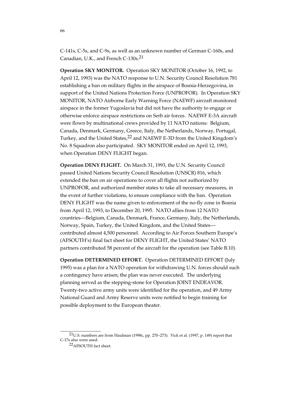C-141s, C-5s, and C-9s, as well as an unknown number of German C-160s, and Canadian, U.K., and French C-130s.<sup>21</sup>

**Operation SKY MONITOR.** Operation SKY MONITOR (October 16, 1992, to April 12, 1993) was the NATO response to U.N. Security Council Resolution 781 establishing a ban on military flights in the airspace of Bosnia-Herzegovina, in support of the United Nations Protection Force (UNPROFOR). In Operation SKY MONITOR, NATO Airborne Early Warning Force (NAEWF) aircraft monitored airspace in the former Yugoslavia but did not have the authority to engage or otherwise enforce airspace restrictions on Serb air forces. NAEWF E-3A aircraft were flown by multinational crews provided by 11 NATO nations: Belgium, Canada, Denmark, Germany, Greece, Italy, the Netherlands, Norway, Portugal, Turkey, and the United States,<sup>22</sup> and NAEWF E-3D from the United Kingdom's No. 8 Squadron also participated. SKY MONITOR ended on April 12, 1993, when Operation DENY FLIGHT began.

**Operation DENY FLIGHT.** On March 31, 1993, the U.N. Security Council passed United Nations Security Council Resolution (UNSCR) 816, which extended the ban on air operations to cover all flights not authorized by UNPROFOR, and authorized member states to take all necessary measures, in the event of further violations, to ensure compliance with the ban. Operation DENY FLIGHT was the name given to enforcement of the no-fly zone in Bosnia from April 12, 1993, to December 20, 1995. NATO allies from 12 NATO countries—Belgium, Canada, Denmark, France, Germany, Italy, the Netherlands, Norway, Spain, Turkey, the United Kingdom, and the United States contributed almost 4,500 personnel. According to Air Forces Southern Europe's (AFSOUTH's) final fact sheet for DENY FLIGHT, the United States' NATO partners contributed 58 percent of the aircraft for the operation (see Table B.10).

**Operation DETERMINED EFFORT.** Operation DETERMINED EFFORT (July 1995) was a plan for a NATO operation for withdrawing U.N. forces should such a contingency have arisen; the plan was never executed. The underlying planning served as the stepping-stone for Operation JOINT ENDEAVOR. Twenty-two active army units were identified for the operation, and 49 Army National Guard and Army Reserve units were notified to begin training for possible deployment to the European theater.

<sup>21</sup>U.S. numbers are from Haulman (1998c, pp. 270–273). Vick et al. (1997, p. 149) report that C-17s also were used.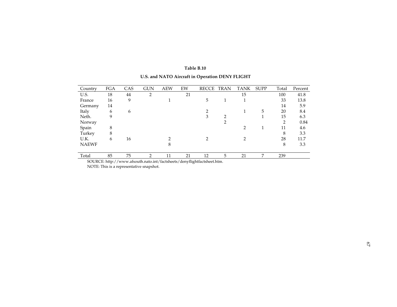|  | Table B.10 |  |  |  |
|--|------------|--|--|--|
|--|------------|--|--|--|

| Country      | FGA | CAS | <b>GUN</b> | <b>AEW</b> | EW | <b>RECCE</b> | TRAN           | TANK           | <b>SUPP</b> | Total          | Percent |
|--------------|-----|-----|------------|------------|----|--------------|----------------|----------------|-------------|----------------|---------|
| U.S.         | 18  | 44  | 2          |            | 21 |              |                | 15             |             | 100            | 41.8    |
| France       | 16  | 9   |            |            |    | 5            |                |                |             | 33             | 13.8    |
| Germany      | 14  |     |            |            |    |              |                |                |             | 14             | 5.9     |
| Italy        | 6   | 6   |            |            |    | ∍            |                |                | 5           | 20             | 8.4     |
| Neth.        | 9   |     |            |            |    | 3            | C              |                |             | 15             | 6.3     |
| Norway       |     |     |            |            |    |              | $\overline{2}$ |                |             | $\overline{2}$ | 0.84    |
| Spain        | 8   |     |            |            |    |              |                | $\mathfrak{D}$ |             | 11             | 4.6     |
| Turkey       | 8   |     |            |            |    |              |                |                |             | 8              | 3.3     |
| U.K.         | 6   | 16  |            | ◠          |    | 2            |                | 2              |             | 28             | 11.7    |
| <b>NAEWF</b> |     |     |            | 8          |    |              |                |                |             | 8              | 3.3     |
|              |     |     |            |            |    |              |                |                |             |                |         |
| Total        | 85  | 75  | 2          | 11         | 21 | 12           | 5              | 21             | 7           | 239            |         |

# **U.S. and NATO Aircraft in Operation DENY FLIGHT**

SOURCE: http://www.afsouth.nato.int/factsheets/denyflightfactsheet.htm.

NOTE: This is a representative snapshot.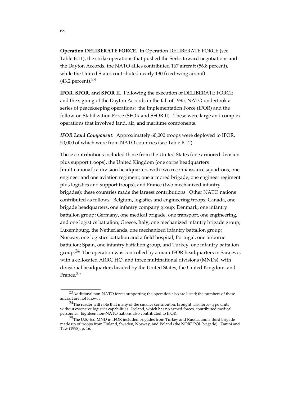**Operation DELIBERATE FORCE.** In Operation DELIBERATE FORCE (see Table B.11), the strike operations that pushed the Serbs toward negotiations and the Dayton Accords, the NATO allies contributed 167 aircraft (56.8 percent), while the United States contributed nearly 130 fixed-wing aircraft (43.2 percent).23

**IFOR, SFOR, and SFOR II.** Following the execution of DELIBERATE FORCE and the signing of the Dayton Accords in the fall of 1995, NATO undertook a series of peacekeeping operations: the Implementation Force (IFOR) and the follow-on Stabilization Force (SFOR and SFOR II). These were large and complex operations that involved land, air, and maritime components.

*IFOR Land Component.* Approximately 60,000 troops were deployed to IFOR, 50,000 of which were from NATO countries (see Table B.12).

These contributions included those from the United States (one armored division plus support troops), the United Kingdom (one corps headquarters [multinational]; a division headquarters with two reconnaissance squadrons, one engineer and one aviation regiment; one armored brigade; one engineer regiment plus logistics and support troops), and France (two mechanized infantry brigades); these countries made the largest contributions. Other NATO nations contributed as follows: Belgium, logistics and engineering troops; Canada, one brigade headquarters, one infantry company group; Denmark, one infantry battalion group; Germany, one medical brigade, one transport, one engineering, and one logistics battalion; Greece, Italy, one mechanized infantry brigade group; Luxembourg, the Netherlands, one mechanized infantry battalion group; Norway, one logistics battalion and a field hospital; Portugal, one airborne battalion; Spain, one infantry battalion group; and Turkey, one infantry battalion group.<sup>24</sup> The operation was controlled by a main IFOR headquarters in Sarajevo, with a collocated ARRC HQ, and three multinational divisions (MNDs), with divisional headquarters headed by the United States, the United Kingdom, and France.25

\_\_\_\_\_\_\_\_\_\_\_\_\_\_\_\_

68

<sup>23</sup>Additional non-NATO forces supporting the operation also are listed; the numbers of these aircraft are not known.

 $24$ The reader will note that many of the smaller contributors brought task force-type units without extensive logistics capabilities. Iceland, which has no armed forces, contributed medical personnel. Eighteen non-NATO nations also contributed to IFOR.

<sup>&</sup>lt;sup>25</sup>The U.S.-led MND in IFOR included brigades from Turkey and Russia, and a third brigade made up of troops from Finland, Sweden, Norway, and Poland (the NORDPOL brigade). Zanini and Taw (1998), p. 16.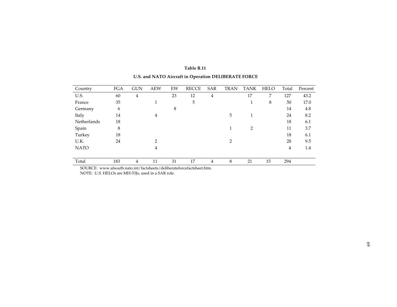| Country     | <b>FGA</b> | <b>GUN</b> | <b>AEW</b>     | EW | <b>RECCE</b> | <b>SAR</b> | <b>TRAN</b>    | <b>TANK</b>    | <b>HELO</b> | Total          | Percent |
|-------------|------------|------------|----------------|----|--------------|------------|----------------|----------------|-------------|----------------|---------|
| U.S.        | 60         | 4          |                | 23 | 12           | 4          |                | 17             | 7           | 127            | 43.2    |
| France      | 35         |            |                |    | 5            |            |                | 1<br>Ŧ.        | 8           | 50             | 17.0    |
| Germany     | 6          |            |                | 8  |              |            |                |                |             | 14             | 4.8     |
| Italy       | 14         |            | 4              |    |              |            | 5              |                |             | 24             | 8.2     |
| Netherlands | 18         |            |                |    |              |            |                |                |             | 18             | 6.1     |
| Spain       | 8          |            |                |    |              |            | 1              | $\overline{2}$ |             | 11             | 3.7     |
| Turkey      | 18         |            |                |    |              |            |                |                |             | 18             | 6.1     |
| U.K.        | 24         |            | $\mathfrak{D}$ |    |              |            | $\overline{2}$ |                |             | 28             | 9.5     |
| <b>NATO</b> |            |            | 4              |    |              |            |                |                |             | $\overline{4}$ | 1.4     |
|             |            |            |                |    |              |            |                |                |             |                |         |
| Total       | 183        | 4          | 11             | 31 | 17           | 4          | 8              | 21             | 15          | 294            |         |

# **Table B.11**

**U.S. and NATO Aircraft in Operation DELIBERATE FORCE**

SOURCE: www.afsouth.nato.int/factsheets/deliberateforcefactsheet.htm.

NOTE: U.S. HELOs are MH-53Js, used in a SAR role.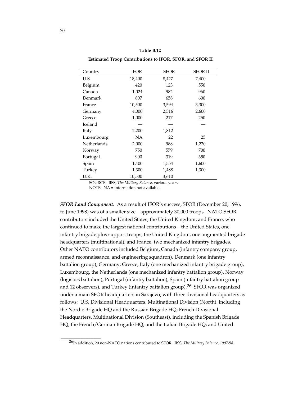**Estimated Troop Contributions to IFOR, SFOR, and SFOR II**

| Country     | <b>IFOR</b> | <b>SFOR</b> | <b>SFOR II</b> |
|-------------|-------------|-------------|----------------|
| U.S.        | 18,400      | 8,427       | 7,400          |
| Belgium     | 420         | 123         | 550            |
| Canada      | 1,024       | 982         | 960            |
| Denmark     | 807         | 658         | 600            |
| France      | 10,500      | 3,594       | 3,300          |
| Germany     | 4,000       | 2,516       | 2,600          |
| Greece      | 1,000       | 217         | 250            |
| Iceland     |             |             |                |
| Italy       | 2,200       | 1,812       |                |
| Luxembourg  | NA          | 22          | 25             |
| Netherlands | 2,000       | 988         | 1,220          |
| Norway      | 750         | 579         | 700            |
| Portugal    | 900         | 319         | 350            |
| Spain       | 1,400       | 1,554       | 1,600          |
| Turkey      | 1,300       | 1,488       | 1,300          |
| U.K.        | 10,500      | 3,610       |                |

SOURCE: IISS, *The Military Balance,* various years.

NOTE: NA = information not available.

*SFOR Land Component.* As a result of IFOR's success, SFOR (December 20, 1996, to June 1998) was of a smaller size—approximately 30,000 troops. NATO SFOR contributors included the United States, the United Kingdom, and France, who continued to make the largest national contributions—the United States, one infantry brigade plus support troops; the United Kingdom, one augmented brigade headquarters (multinational); and France, two mechanized infantry brigades. Other NATO contributors included Belgium, Canada (infantry company group, armed reconnaissance, and engineering squadron), Denmark (one infantry battalion group), Germany, Greece, Italy (one mechanized infantry brigade group), Luxembourg, the Netherlands (one mechanized infantry battalion group), Norway (logistics battalion), Portugal (infantry battalion), Spain (infantry battalion group and 12 observers), and Turkey (infantry battalion group).<sup>26</sup> SFOR was organized under a main SFOR headquarters in Sarajevo, with three divisional headquarters as follows: U.S. Divisional Headquarters, Multinational Division (North), including the Nordic Brigade HQ and the Russian Brigade HQ; French Divisional Headquarters, Multinational Division (Southeast), including the Spanish Brigade HQ, the French/German Brigade HQ, and the Italian Brigade HQ; and United

<sup>26</sup>In addition, 20 non-NATO nations contributed to SFOR. IISS, *The Military Balance, 1997/98*.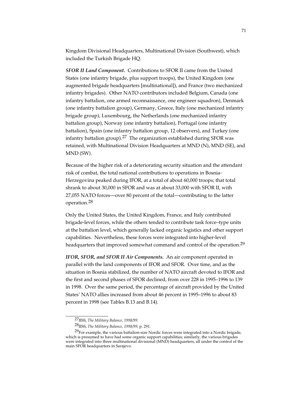Kingdom Divisional Headquarters, Multinational Division (Southwest), which included the Turkish Brigade HQ.

*SFOR II Land Component.* Contributions to SFOR II came from the United States (one infantry brigade, plus support troops), the United Kingdom (one augmented brigade headquarters [multinational]), and France (two mechanized infantry brigades). Other NATO contributors included Belgium, Canada (one infantry battalion, one armed reconnaissance, one engineer squadron), Denmark (one infantry battalion group), Germany, Greece, Italy (one mechanized infantry brigade group), Luxembourg, the Netherlands (one mechanized infantry battalion group), Norway (one infantry battalion), Portugal (one infantry battalion), Spain (one infantry battalion group, 12 observers), and Turkey (one infantry battalion group).<sup>27</sup> The organization established during SFOR was retained, with Multinational Division Headquarters at MND (N), MND (SE), and MND (SW).

Because of the higher risk of a deteriorating security situation and the attendant risk of combat, the total national contributions to operations in Bosnia-Herzegovina peaked during IFOR, at a total of about 60,000 troops; that total shrank to about 30,000 in SFOR and was at about 33,000 with SFOR II, with 27,055 NATO forces—over 80 percent of the total—contributing to the latter operation.28

Only the United States, the United Kingdom, France, and Italy contributed brigade-level forces, while the others tended to contribute task force–type units at the battalion level, which generally lacked organic logistics and other support capabilities. Nevertheless, these forces were integrated into higher-level headquarters that improved somewhat command and control of the operation.<sup>29</sup>

*IFOR, SFOR, and SFOR II Air Components.*An air component operated in parallel with the land components of IFOR and SFOR. Over time, and as the situation in Bosnia stabilized, the number of NATO aircraft devoted to IFOR and the first and second phases of SFOR declined, from over 228 in 1995–1996 to 139 in 1998. Over the same period, the percentage of aircraft provided by the United States' NATO allies increased from about 46 percent in 1995–1996 to about 83 percent in 1998 (see Tables B.13 and B.14).

<sup>27</sup>IISS, *The Military Balance, 1998/99*.

<sup>28</sup>IISS, *The Military Balance, 1998/99*, p. 291.

 $29$ For example, the various battalion-size Nordic forces were integrated into a Nordic brigade, which is presumed to have had some organic support capabilities; similarly, the various brigades were integrated into three multinational divisional (MND) headquarters, all under the control of the main SFOR headquarters in Sarajevo.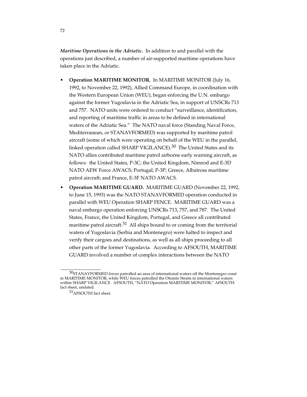*Maritime Operations in the Adriatic.* In addition to and parallel with the operations just described, a number of air-supported maritime operations have taken place in the Adriatic.

- **Operation MARITIME MONITOR.** In MARITIME MONITOR (July 16, 1992, to November 22, 1992), Allied Command Europe, in coordination with the Western European Union (WEU), began enforcing the U.N. embargo against the former Yugoslavia in the Adriatic Sea, in support of UNSCRs 713 and 757. NATO units were ordered to conduct "surveillance, identification, and reporting of maritime traffic in areas to be defined in international waters of the Adriatic Sea." The NATO naval force (Standing Naval Force, Mediterranean, or STANAVFORMED) was supported by maritime patrol aircraft (some of which were operating on behalf of the WEU in the parallel, linked operation called SHARP VIGILANCE).30 The United States and its NATO allies contributed maritime patrol airborne early warning aircraft, as follows: the United States, P-3C; the United Kingdom, Nimrod and E-3D NATO AEW Force AWACS; Portugal, P-3P; Greece, Albatross maritime patrol aircraft; and France, E-3F NATO AWACS.
- **Operation MARITIME GUARD.**MARITIME GUARD (November 22, 1992, to June 15, 1993) was the NATO STANAVFORMED operation conducted in parallel with WEU Operation SHARP FENCE. MARITIME GUARD was a naval embargo operation enforcing UNSCRs 713, 757, and 787. The United States, France, the United Kingdom, Portugal, and Greece all contributed maritime patrol aircraft.<sup>31</sup> All ships bound to or coming from the territorial waters of Yugoslavia (Serbia and Montenegro) were halted to inspect and verify their cargoes and destinations, as well as all ships proceeding to all other parts of the former Yugoslavia. According to AFSOUTH, MARITIME GUARD involved a number of complex interactions between the NATO

 $30$ STANAVFORMED forces patrolled an area of international waters off the Montenegro coast in MARITIME MONITOR, while WEU forces patrolled the Otranto Straits in international waters within SHARP VIGILANCE. AFSOUTH, "NATO Operation MARITIME MONITOR," AFSOUTH fact sheet, undated.

<sup>31</sup>AFSOUTH fact sheet.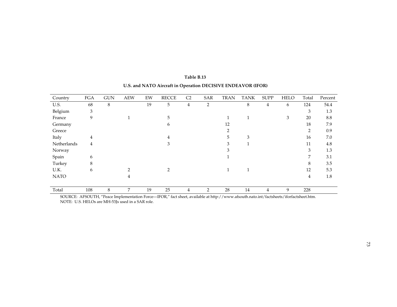| Country     | <b>FGA</b>     | <b>GUN</b> | <b>AEW</b>    | EW | <b>RECCE</b> | C <sub>2</sub> | SAR | <b>TRAN</b> | <b>TANK</b> | <b>SUPP</b> | <b>HELO</b> | Total          | Percent         |
|-------------|----------------|------------|---------------|----|--------------|----------------|-----|-------------|-------------|-------------|-------------|----------------|-----------------|
| U.S.        | 68             | $\,8\,$    |               | 19 | 5            | $\overline{4}$ | 2   |             | 8           | 4           | 6           | 124            | 54.4            |
| Belgium     | 3              |            |               |    |              |                |     |             |             |             |             | 3              | 1.3             |
| France      | 9              |            |               |    | 5            |                |     |             |             |             | 3           | 20             | $\!\!\!\!\!8.8$ |
| Germany     |                |            |               |    | 6            |                |     | 12          |             |             |             | 18             | 7.9             |
| Greece      |                |            |               |    |              |                |     | 2           |             |             |             | $\overline{2}$ | 0.9             |
| Italy       | $\overline{4}$ |            |               |    | 4            |                |     | 5           | 3           |             |             | 16             | 7.0             |
| Netherlands | 4              |            |               |    | 3            |                |     | 3           |             |             |             | 11             | 4.8             |
| Norway      |                |            |               |    |              |                |     | 3           |             |             |             | 3              | 1.3             |
| Spain       | 6              |            |               |    |              |                |     |             |             |             |             | 7              | 3.1             |
| Turkey      | 8              |            |               |    |              |                |     |             |             |             |             | 8              | 3.5             |
| U.K.        | 6              |            | $\mathcal{D}$ |    | 2            |                |     |             |             |             |             | 12             | 5.3             |
| <b>NATO</b> |                |            | 4             |    |              |                |     |             |             |             |             | $\overline{4}$ | 1.8             |
| Total       | 108            | 8          | 7             | 19 | 25           | 4              | 2   | 28          | 14          | 4           | 9           | 228            |                 |

# **Table B.13 U.S. and NATO Aircraft in Operation DECISIVE ENDEAVOR (IFOR)**

SOURCE: AFSOUTH, "Peace Implementation Force—IFOR," fact sheet, available at http://www.afsouth.nato.int/factsheets/iforfactsheet.htm. NOTE: U.S. HELOs are MH-53Js used in a SAR role.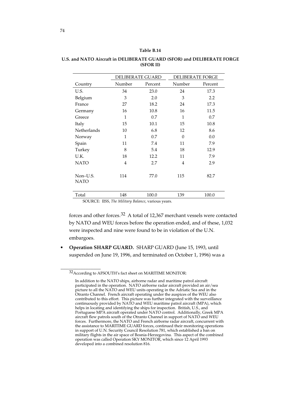|                         | <b>DELIBERATE GUARD</b> |         | <b>DELIBERATE FORGE</b> |         |
|-------------------------|-------------------------|---------|-------------------------|---------|
| Country                 | Number                  | Percent | Number                  | Percent |
| U.S.                    | 34                      | 23.0    | 24                      | 17.3    |
| Belgium                 | 3                       | 2.0     | 3                       | 2.2     |
| France                  | 27                      | 18.2    | 24                      | 17.3    |
| Germany                 | 16                      | 10.8    | 16                      | 11.5    |
| Greece                  | $\mathbf{1}$            | 0.7     | 1                       | 0.7     |
| Italy                   | 15                      | 10.1    | 15                      | 10.8    |
| <b>Netherlands</b>      | 10                      | 6.8     | 12                      | 8.6     |
| Norway                  | $\mathbf{1}$            | 0.7     | $\Omega$                | 0.0     |
| Spain                   | 11                      | 7.4     | 11                      | 7.9     |
| Turkey                  | 8                       | 5.4     | 18                      | 12.9    |
| U.K.                    | 18                      | 12.2    | 11                      | 7.9     |
| <b>NATO</b>             | 4                       | 2.7     | $\overline{4}$          | 2.9     |
| Non-U.S.<br><b>NATO</b> | 114                     | 77.0    | 115                     | 82.7    |
| Total                   | 148                     | 100.0   | 139                     | 100.0   |

### **U.S. and NATO Aircraft in DELIBERATE GUARD (SFOR) and DELIBERATE FORGE (SFOR II)**

SOURCE: IISS, *The Military Balance*, various years.

forces and other forces.32 A total of 12,367 merchant vessels were contacted by NATO and WEU forces before the operation ended, and of these, 1,032 were inspected and nine were found to be in violation of the U.N. embargoes.

• **Operation SHARP GUARD.** SHARP GUARD (June 15, 1993, until suspended on June 19, 1996, and terminated on October 1, 1996) was a

<sup>32</sup>According to AFSOUTH's fact sheet on MARITIME MONITOR:

In addition to the NATO ships, airborne radar and maritime patrol aircraft participated in the operation. NATO airborne radar aircraft provided an air/sea picture to all the NATO and WEU units operating in the Adriatic Sea and in the Otranto Channel. French aircraft operating under the auspices of the WEU also contributed to this effort. This picture was further integrated with the surveillance continuously provided by NATO and WEU maritime patrol aircraft (MPA), which helps in locating and identifying the ships for inspection. British, U.S., and Portuguese MPA aircraft operated under NATO control. Additionally, Greek MPA aircraft flew patrols south of the Otranto Channel in support of NATO and WEU forces. Furthermore, the NATO and French airborne radar aircraft, concurrent with the assistance to MARITIME GUARD forces, continued their monitoring operations in support of U.N. Security Council Resolution 781, which established a ban on military flights in the air space of Bosnia-Herzegovina. This aspect of the combined operation was called Operation SKY MONITOR, which since 12 April 1993 developed into a combined resolution 816.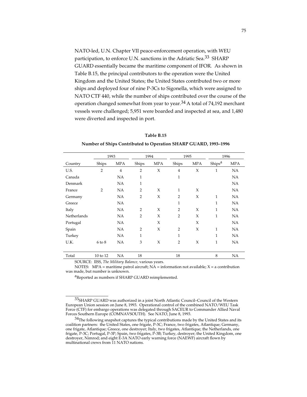NATO-led, U.N. Chapter VII peace-enforcement operation, with WEU participation, to enforce U.N. sanctions in the Adriatic Sea.33 SHARP GUARD essentially became the maritime component of IFOR*.* As shown in Table B.15, the principal contributors to the operation were the United Kingdom and the United States; the United States contributed two or more ships and deployed four of nine P-3Cs to Sigonella, which were assigned to NATO CTF 440, while the number of ships contributed over the course of the operation changed somewhat from year to year.<sup>34</sup> A total of 74,192 merchant vessels were challenged; 5,951 were boarded and inspected at sea, and 1,480 were diverted and inspected in port.

| Table B.15 |
|------------|
|            |

**Number of Ships Contributed to Operation SHARP GUARD, 1993–1996**

|             | 1993           |                | 1994<br>1995   |            |                | 1996       |                    |            |
|-------------|----------------|----------------|----------------|------------|----------------|------------|--------------------|------------|
| Country     | Ships          | <b>MPA</b>     | Ships          | <b>MPA</b> | Ships          | <b>MPA</b> | Ships <sup>a</sup> | <b>MPA</b> |
| U.S.        | $\overline{2}$ | $\overline{4}$ | $\overline{2}$ | $\chi$     | $\overline{4}$ | X          | $\mathbf{1}$       | NA         |
| Canada      |                | NA             | 1              |            | $\mathbf{1}$   |            |                    | <b>NA</b>  |
| Denmark     |                | NA             | 1              |            |                |            |                    | NA         |
| France      | $\overline{2}$ | <b>NA</b>      | $\overline{2}$ | X          | $\mathbf{1}$   | X          |                    | <b>NA</b>  |
| Germany     |                | NA             | $\overline{2}$ | X          | $\overline{2}$ | $\chi$     | $\mathbf{1}$       | NA         |
| Greece      |                | <b>NA</b>      |                |            | 1              |            | 1                  | <b>NA</b>  |
| Italy       |                | NA             | $\overline{2}$ | X          | $\overline{2}$ | X          | $\mathbf{1}$       | NA         |
| Netherlands |                | <b>NA</b>      | $\overline{2}$ | X          | $\overline{2}$ | X          | 1                  | NA         |
| Portugal    |                | NA             |                | X          |                | X          |                    | NA         |
| Spain       |                | NA             | $\overline{2}$ | X          | $\overline{2}$ | X          | $\mathbf{1}$       | <b>NA</b>  |
| Turkey      |                | <b>NA</b>      | 1              |            | $\mathbf{1}$   |            | $\overline{1}$     | NA         |
| U.K.        | 6 to 8         | NA             | 3              | X          | $\overline{2}$ | X          | 1                  | <b>NA</b>  |
|             |                |                |                |            |                |            |                    |            |
| Total       | 10 to 12       | NA             | 18             |            | 18             |            | 8                  | NA         |

SOURCE: IISS, *The Military Balance,* various years.

\_\_\_\_\_\_\_\_\_\_\_\_\_\_\_\_\_

NOTES: MPA = maritime patrol aircraft;  $NA$  = information not available;  $X$  = a contribution was made, but number is unknown.

aReported as numbers if SHARP GUARD reimplemented.

<sup>33</sup>SHARP GUARD was authorized in a joint North Atlantic Council–Council of the Western European Union session on June 8, 1993. Operational control of the combined NATO/WEU Task Force (CTF) for embargo operations was delegated through SACEUR to Commander Allied Naval Forces Southern Europe (COMNAVSOUTH). See NATO, June 8, 1993.

 $34$ The following snapshot captures the typical contributions made by the United States and its coalition partners: the United States, one frigate, P-3C; France, two frigates, Atlantique; Germany, one frigate, Atlantique; Greece, one destroyer; Italy, two frigates, Atlantique; the Netherlands, one frigate, P-3C; Portugal, P-3P; Spain, two frigates, P-3B; Turkey, destroyer; the United Kingdom, one destroyer, Nimrod; and eight E-3A NATO early warning force (NAEWF) aircraft flown by multinational crews from 11 NATO nations.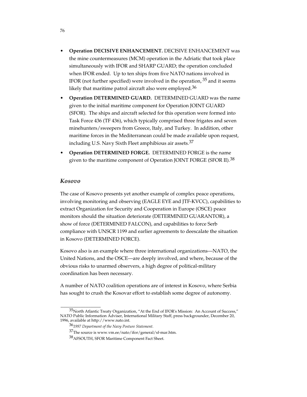- **Operation DECISIVE ENHANCEMENT.** DECISIVE ENHANCEMENT was the mine countermeasures (MCM) operation in the Adriatic that took place simultaneously with IFOR and SHARP GUARD; the operation concluded when IFOR ended. Up to ten ships from five NATO nations involved in IFOR (not further specified) were involved in the operation,  $35$  and it seems likely that maritime patrol aircraft also were employed.<sup>36</sup>
- **Operation DETERMINED GUARD.**DETERMINED GUARD was the name given to the initial maritime component for Operation JOINT GUARD (SFOR). The ships and aircraft selected for this operation were formed into Task Force 436 (TF 436), which typically comprised three frigates and seven minehunters/sweepers from Greece, Italy, and Turkey. In addition, other maritime forces in the Mediterranean could be made available upon request, including U.S. Navy Sixth Fleet amphibious air assets.37
- **Operation DETERMINED FORGE.** DETERMINED FORGE is the name given to the maritime component of Operation JOINT FORGE (SFOR II).<sup>38</sup>

### *Kosovo*

The case of Kosovo presents yet another example of complex peace operations, involving monitoring and observing (EAGLE EYE and JTF-KVCC), capabilities to extract Organization for Security and Cooperation in Europe (OSCE) peace monitors should the situation deteriorate (DETERMINED GUARANTOR), a show of force (DETERMINED FALCON), and capabilities to force Serb compliance with UNSCR 1199 and earlier agreements to deescalate the situation in Kosovo (DETERMINED FORCE).

Kosovo also is an example where three international organizations—NATO, the United Nations, and the OSCE—are deeply involved, and where, because of the obvious risks to unarmed observers, a high degree of political-military coordination has been necessary.

A number of NATO coalition operations are of interest in Kosovo, where Serbia has sought to crush the Kosovar effort to establish some degree of autonomy.

 $35$ North Atlantic Treaty Organization, "At the End of IFOR's Mission: An Account of Success," NATO Public Information Adviser, International Military Staff, press backgrounder, December 20, 1996, available at http://www.nato.int.

<sup>36</sup>*1997 Department of the Navy Posture Statement.*

<sup>37</sup>The source is www.vm.ee/nato/ifor/general/sf-mar.htm.

<sup>38</sup>AFSOUTH, SFOR Maritime Component Fact Sheet.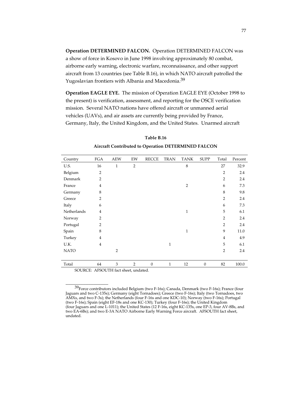**Operation DETERMINED FALCON.** Operation DETERMINED FALCON was a show of force in Kosovo in June 1998 involving approximately 80 combat, airborne early warning, electronic warfare, reconnaissance, and other support aircraft from 13 countries (see Table B.16), in which NATO aircraft patrolled the Yugoslavian frontiers with Albania and Macedonia.<sup>39</sup>

**Operation EAGLE EYE.** The mission of Operation EAGLE EYE (October 1998 to the present) is verification, assessment, and reporting for the OSCE verification mission. Several NATO nations have offered aircraft or unmanned aerial vehicles (UAVs), and air assets are currently being provided by France, Germany, Italy, the United Kingdom, and the United States. Unarmed aircraft

| Country     | <b>FGA</b>     | <b>AEW</b>     | EW             | <b>RECCE</b>     | <b>TRAN</b>  | <b>TANK</b>    | <b>SUPP</b>  | Total          | Percent |
|-------------|----------------|----------------|----------------|------------------|--------------|----------------|--------------|----------------|---------|
| U.S.        | 16             | 1              | $\overline{2}$ |                  |              | 8              |              | 27             | 32.9    |
| Belgium     | $\overline{2}$ |                |                |                  |              |                |              | $\overline{2}$ | 2.4     |
| Denmark     | $\overline{2}$ |                |                |                  |              |                |              | $\overline{2}$ | 2.4     |
| France      | $\overline{4}$ |                |                |                  |              | $\overline{2}$ |              | 6              | 7.3     |
| Germany     | 8              |                |                |                  |              |                |              | 8              | 9.8     |
| Greece      | $\overline{2}$ |                |                |                  |              |                |              | $\overline{2}$ | 2.4     |
| Italy       | 6              |                |                |                  |              |                |              | 6              | 7.3     |
| Netherlands | $\overline{4}$ |                |                |                  |              | $\mathbf{1}$   |              | 5              | 6.1     |
| Norway      | $\overline{2}$ |                |                |                  |              |                |              | $\overline{2}$ | 2.4     |
| Portugal    | $\overline{2}$ |                |                |                  |              |                |              | $\overline{2}$ | 2.4     |
| Spain       | 8              |                |                |                  |              | $\mathbf{1}$   |              | 9              | 11.0    |
| Turkey      | $\overline{4}$ |                |                |                  |              |                |              | $\overline{4}$ | 4.9     |
| U.K.        | $\overline{4}$ |                |                |                  | $\mathbf{1}$ |                |              | 5              | 6.1     |
| <b>NATO</b> |                | $\overline{2}$ |                |                  |              |                |              | $\overline{2}$ | 2.4     |
|             |                |                |                |                  |              |                |              |                |         |
| Total       | 64             | 3              | $\overline{2}$ | $\boldsymbol{0}$ | $\mathbf{1}$ | 12             | $\mathbf{0}$ | 82             | 100.0   |

**Table B.16 Aircraft Contributed to Operation DETERMINED FALCON**

SOURCE: AFSOUTH fact sheet, undated.

 $^{39}$ Force contributors included Belgium (two F-16s); Canada, Denmark (two F-16s); France (four Jaguars and two C-135s); Germany (eight Tornadoes); Greece (two F-16s); Italy (two Tornadoes, two AMXs, and two F-3s); the Netherlands (four F-16s and one KDC-10); Norway (two F-16s); Portugal (two F-16s); Spain (eight EF-18s and one KC-130); Turkey (four F-16s); the United Kingdom (four Jaguars and one L-1011); the United States (12 F-16s, eight KC-135s, one EP-3, four AV-8Bs, and two EA-6Bs); and two E-3A NATO Airborne Early Warning Force aircraft. AFSOUTH fact sheet, undated.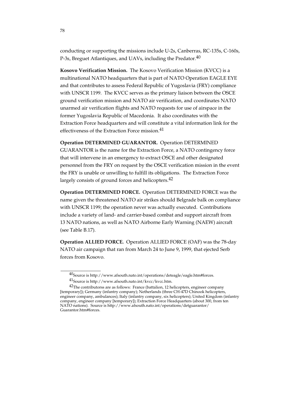conducting or supporting the missions include U-2s, Canberras, RC-135s, C-160s, P-3s, Breguet Atlantiques, and UAVs, including the Predator.  $40$ 

**Kosovo Verification Mission.** The Kosovo Verification Mission (KVCC) is a multinational NATO headquarters that is part of NATO Operation EAGLE EYE and that contributes to assess Federal Republic of Yugoslavia (FRY) compliance with UNSCR 1199. The KVCC serves as the primary liaison between the OSCE ground verification mission and NATO air verification, and coordinates NATO unarmed air verification flights and NATO requests for use of airspace in the former Yugoslavia Republic of Macedonia. It also coordinates with the Extraction Force headquarters and will constitute a vital information link for the effectiveness of the Extraction Force mission.<sup>41</sup>

**Operation DETERMINED GUARANTOR.** Operation DETERMINED

GUARANTOR is the name for the Extraction Force, a NATO contingency force that will intervene in an emergency to extract OSCE and other designated personnel from the FRY on request by the OSCE verification mission in the event the FRY is unable or unwilling to fulfill its obligations. The Extraction Force largely consists of ground forces and helicopters.<sup>42</sup>

**Operation DETERMINED FORCE.** Operation DETERMINED FORCE was the name given the threatened NATO air strikes should Belgrade balk on compliance with UNSCR 1199; the operation never was actually executed. Contributions include a variety of land- and carrier-based combat and support aircraft from 13 NATO nations, as well as NATO Airborne Early Warning (NAEW) aircraft (see Table B.17).

**Operation ALLIED FORCE.** Operation ALLIED FORCE (OAF) was the 78-day NATO air campaign that ran from March 24 to June 9, 1999, that ejected Serb forces from Kosovo.

 $^{40}$ Source is http://www.afsouth.nato.int/operations/deteagle/eagle.htm#forces. 41Source is http://www.afsouth.nato.int/kvcc/kvcc.htm.

 $42$ The contributorss are as follows: France (battalion, 12 helicopters, engineer company [temporary]); Germany (infantry company); Netherlands (three CH-47D Chinook helicopters, engineer company, ambulances); Italy (infantry company, six helicopters); United Kingdom (infantry

company, engineer company [temporary]); Extraction Force Headquarters (about 300, from ten NATO nations). Source is http://www.afsouth.nato.int/operations/detguarantor/ Guarantor.htm#forces.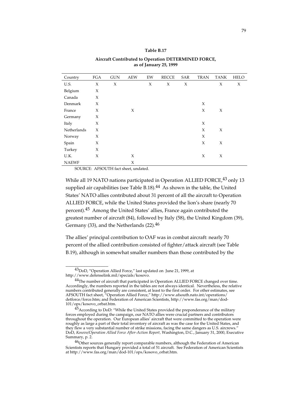#### **Table B.17**

### **Aircraft Contributed to Operation DETERMINED FORCE, as of January 25, 1999**

| Country      | FGA | <b>GUN</b> | <b>AEW</b> | EW | <b>RECCE</b> | SAR | <b>TRAN</b> | <b>TANK</b> | <b>HELO</b> |
|--------------|-----|------------|------------|----|--------------|-----|-------------|-------------|-------------|
| U.S.         | X   | X          |            | X  | X            | X   |             | X           | X           |
| Belgium      | X   |            |            |    |              |     |             |             |             |
| Canada       | X   |            |            |    |              |     |             |             |             |
| Denmark      | X   |            |            |    |              |     | X           |             |             |
| France       | X   |            | X          |    |              |     | X           | X           |             |
| Germany      | X   |            |            |    |              |     |             |             |             |
| Italy        | X   |            |            |    |              |     | X           |             |             |
| Netherlands  | X   |            |            |    |              |     | X           | X           |             |
| Norway       | X   |            |            |    |              |     | X           |             |             |
| Spain        | X   |            |            |    |              |     | X           | X           |             |
| Turkey       | X   |            |            |    |              |     |             |             |             |
| U.K.         | X   |            | X          |    |              |     | X           | X           |             |
| <b>NAEWF</b> |     |            | X          |    |              |     |             |             |             |

SOURCE: AFSOUTH fact sheet, undated.

While all 19 NATO nations participated in Operation ALLIED FORCE,<sup>43</sup> only 13 supplied air capabilities (see Table B.18). $^{44}$  As shown in the table, the United States' NATO allies contributed about 31 percent of all the aircraft to Operation ALLIED FORCE, while the United States provided the lion's share (nearly 70 percent).45 Among the United States' allies, France again contributed the greatest number of aircraft (84), followed by Italy (58), the United Kingdom (39), Germany (33), and the Netherlands  $(22).<sup>46</sup>$ 

The allies' principal contribution to OAF was in combat aircraft: nearly 70 percent of the allied contribution consisted of fighter/attack aircraft (see Table B.19), although in somewhat smaller numbers than those contributed by the

<sup>43</sup>DoD, "Operation Allied Force," last updated on June 21, 1999, at http://www.defenselink.mil/specials/kosovo.

<sup>&</sup>lt;sup>44</sup>The number of aircraft that participated in Operation ALLIED FORCE changed over time. Accordingly, the numbers reported in the tables are not always identical. Nevertheless, the relative numbers contributed generally are consistent, at least to the first order. For other estimates, see AFSOUTH fact sheet, "Operation Allied Force," http://www.afsouth.nato.int/operations/ detforce/force.htm; and Federation of American Scientists, http://www.fas.org/man/dod-101/ops/kosovo\_orbat.htm.

 $^{45}$ According to DoD: "While the United States provided the preponderance of the military forces employed during the campaign, our NATO allies were crucial partners and contributors throughout the operation. Our European allies' aircraft that were committed to the operation were roughly as large a part of their total inventory of aircraft as was the case for the United States, and they flew a very substantial number of strike missions, facing the same dangers as U.S. aircrews." DoD, *Kosovo/Operation Allied Force After-Action Report,* Washington, D.C., January 31, 2000, Executive Summary, p. 2.

<sup>&</sup>lt;sup>46</sup>Other sources generally report comparable numbers, although the Federation of American Scientists reports that Hungary provided a total of 51 aircraft. See Federation of American Scientists at http://www.fas.org/man/dod-101/ops/kosovo\_orbat.htm.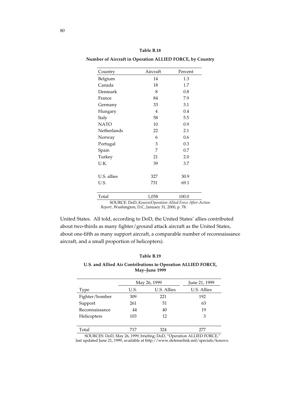| Table B.18 |
|------------|
|            |

**Number of Aircraft in Operation ALLIED FORCE, by Country**

| Country     | Aircraft       | Percent |
|-------------|----------------|---------|
| Belgium     | 14             | 1.3     |
| Canada      | 18             | 1.7     |
| Denmark     | 8              | 0.8     |
| France      | 84             | 7.9     |
| Germany     | 33             | 3.1     |
| Hungary     | $\overline{4}$ | 0.4     |
| Italy       | 58             | 5.5     |
| <b>NATO</b> | 10             | 0.9     |
| Netherlands | 22             | 2.1     |
| Norway      | 6              | 0.6     |
| Portugal    | 3              | 0.3     |
| Spain       | 7              | 0.7     |
| Turkey      | 21             | 2.0     |
| U.K.        | 39             | 3.7     |
|             |                |         |
| U.S. allies | 327            | 30.9    |
| U.S.        | 731            | 69.1    |
|             |                |         |
| Total       | 1,058          | 100.0   |

SOURCE: DoD, *Kosovo/Operation Allied Force After-Action Report*, Washington, D.C, January 31, 2000, p. 78.

United States. All told, according to DoD, the United States' allies contributed about two-thirds as many fighter/ground attack aircraft as the United States, about one-fifth as many support aircraft, a comparable number of reconnaissance aircraft, and a small proportion of helicopters).

### **Table B.19**

### **U.S. and Allied Air Contributions to Operation ALLIED FORCE, May–June 1999**

|                | May 26, 1999 | June 21, 1999 |             |
|----------------|--------------|---------------|-------------|
| Type           | U.S.         | U.S. Allies   | U.S. Allies |
| Fighter/bomber | 309          | 221           | 192         |
| Support        | 261          | 51            | 63          |
| Reconnaissance | 44           | 40            | 19          |
| Helicopters    | 103          | 12            | 3           |
|                |              |               |             |
| Total          | 717          | 324           |             |

SOURCES: DoD, May 26, 1999, briefing; DoD, "Operation ALLIED FORCE," last updated June 21, 1999, available at http://www.defenselink.mil/specials/kosovo.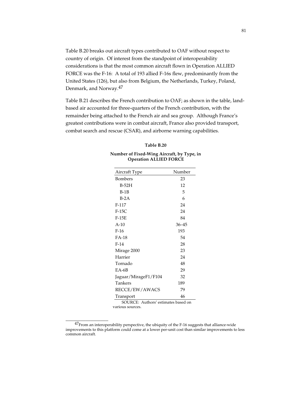Table B.20 breaks out aircraft types contributed to OAF without respect to country of origin. Of interest from the standpoint of interoperability considerations is that the most common aircraft flown in Operation ALLIED FORCE was the F-16: A total of 193 allied F-16s flew, predominantly from the United States (126), but also from Belgium, the Netherlands, Turkey, Poland, Denmark, and Norway.47

Table B.21 describes the French contribution to OAF; as shown in the table, landbased air accounted for three-quarters of the French contribution, with the remainder being attached to the French air and sea group. Although France's greatest contributions were in combat aircraft, France also provided transport, combat search and rescue (CSAR), and airborne warning capabilities.

#### **Table B.20**

| Number of Fixed-Wing Aircraft, by Type, in |  |
|--------------------------------------------|--|
| <b>Operation ALLIED FORCE</b>              |  |

| Aircraft Type                       | Number    |  |  |  |
|-------------------------------------|-----------|--|--|--|
| Bombers                             | 23        |  |  |  |
| $B-52H$                             | 12        |  |  |  |
| $B-1B$                              | 5         |  |  |  |
| $B-2A$                              | 6         |  |  |  |
| $F-117$                             | 24        |  |  |  |
| $F-15C$                             | 24        |  |  |  |
| $F-15E$                             | 84        |  |  |  |
| $A-10$                              | $36 - 45$ |  |  |  |
| $F-16$                              | 193       |  |  |  |
| <b>FA-18</b>                        | 54        |  |  |  |
| $F-14$                              | 28        |  |  |  |
| Mirage 2000                         | 23        |  |  |  |
| Harrier                             | 24        |  |  |  |
| Tornado                             | 48        |  |  |  |
| $E$ A-6B                            | 29        |  |  |  |
| Jaguar/MirageF1/F104                | 32        |  |  |  |
| Tankers                             | 189       |  |  |  |
| RECCE/EW/AWACS                      | 79        |  |  |  |
| Transport                           | 46        |  |  |  |
| SOURCE: Authors' estimates based on |           |  |  |  |

various sources.

 $^{47}$ From an interoperability perspective, the ubiquity of the F-16 suggests that alliance-wide improvements to this platform could come at a lower per-unit cost than similar improvements to less common aircraft.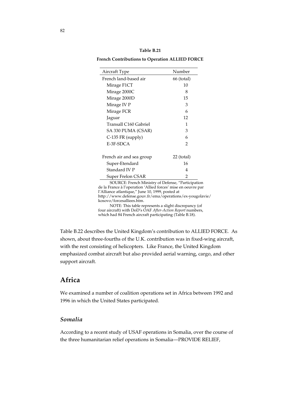| Table B.21 |  |
|------------|--|
|------------|--|

**French Contributions to Operation ALLIED FORCE**

| Aircraft Type            | Number       |
|--------------------------|--------------|
| French land-based air    | 66 (total)   |
| Mirage F1CT              | 10           |
| Mirage 2000C             | 8            |
| Mirage 2000D             | 15           |
| Mirage IV P              | 3            |
| Mirage FCR               | 6            |
| Jaguar                   | 12           |
| Transall C160 Gabriel    | 1            |
| SA 330 PUMA (CSAR)       | 3            |
| C-135 FR (supply)        | 6            |
| E-3F-SDCA                | 2            |
| French air and sea group | $22$ (total) |
|                          |              |
| Super-Etendard           | 16           |
| Standard IV P            | 4            |
| Super Frelon CSAR        | 2            |

SOURCE: French Ministry of Defense, "Participation de la France à l'operation 'Allied forces' mise en oeuvre par l'Alliance atlantique," June 10, 1999, posted at http://www.defense.gouv.fr/ema/operations/ex-yougolavie/ kosovo/forcesalliees.htm.

NOTE: This table represents a slight discrepancy (of four aircraft) with DoD's OAF *After-Action Report* numbers, which had 84 French aircraft participating (Table B.18).

Table B.22 describes the United Kingdom's contribution to ALLIED FORCE. As shown, about three-fourths of the U.K. contribution was in fixed-wing aircraft, with the rest consisting of helicopters. Like France, the United Kingdom emphasized combat aircraft but also provided aerial warning, cargo, and other support aircraft.

# **Africa**

We examined a number of coalition operations set in Africa between 1992 and 1996 in which the United States participated.

# *Somalia*

According to a recent study of USAF operations in Somalia, over the course of the three humanitarian relief operations in Somalia—PROVIDE RELIEF,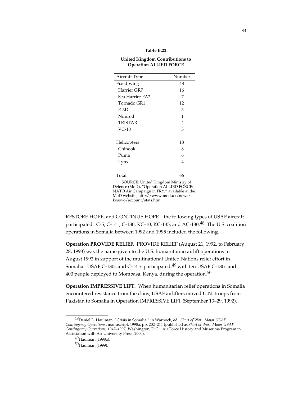#### **Table B.22**

#### **United Kingdom Contributions to Operation ALLIED FORCE**

| Aircraft Type                                                       | Number                   |
|---------------------------------------------------------------------|--------------------------|
| Fixed-wing                                                          | 48                       |
| Harrier GR7                                                         | 16                       |
| Sea Harrier FA2                                                     | 7                        |
| Tornado GR1                                                         | 12                       |
| $E-3D$                                                              | 3                        |
| Nimrod                                                              | 1                        |
| <b>TRISTAR</b>                                                      | 4                        |
| $VC-10$                                                             | 5                        |
|                                                                     |                          |
| Helicopters                                                         | 18                       |
| Chinook                                                             | 8                        |
| Puma                                                                | 6                        |
| Lynx                                                                | 4                        |
|                                                                     |                          |
| Total                                                               | 66                       |
| $TT - 1T$<br>п.<br>$\alpha$ in $\alpha$ defines the set of $\alpha$ | $\mathbf{r}$<br>c<br>. . |

SOURCE: United Kingdom Ministry of Defence (MoD), "Operation ALLIED FORCE: NATO Air Campaign in FRY," available at the MoD website, http://www.mod.uk/news/ kosovo/account/stats.htm.

RESTORE HOPE, and CONTINUE HOPE—the following types of USAF aircraft participated: C-5, C-141, C-130, KC-10, KC-135, and AC-130.<sup>48</sup> The U.S. coalition operations in Somalia between 1992 and 1995 included the following.

**Operation PROVIDE RELIEF.** PROVIDE RELIEF (August 21, 1992, to February 28, 1993) was the name given to the U.S. humanitarian airlift operations in August 1992 in support of the multinational United Nations relief effort in Somalia. USAF C-130s and C-141s participated,<sup>49</sup> with ten USAF C-130s and 400 people deployed to Mombasa, Kenya, during the operation.<sup>50</sup>

**Operation IMPRESSIVE LIFT.** When humanitarian relief operations in Somalia encountered resistance from the clans, USAF airlifters moved U.N. troops from Pakistan to Somalia in Operation IMPRESSIVE LIFT (September 13–29, 1992).

<sup>48</sup>Daniel L. Haulman, "Crisis in Somalia," in Warnock, ed., *Short of War: Major USAF Contingency Operations*, manuscript, 1998a, pp. 202–211 (published as *Short of War: Major USAF Contingency Operations, 1947–1997,* Washington, D.C.: Air Force History and Museums Program in Association with Air University Press, 2000).

<sup>49</sup>Haulman (1998a).

<sup>50&</sup>lt;sub>Haulman</sub> (1999).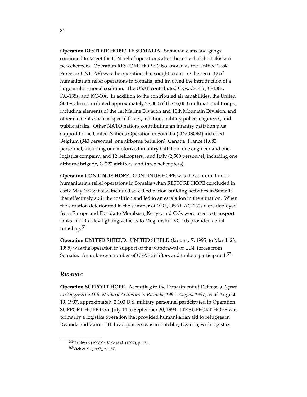**Operation RESTORE HOPE/JTF SOMALIA.** Somalian clans and gangs continued to target the U.N. relief operations after the arrival of the Pakistani peacekeepers. Operation RESTORE HOPE (also known as the Unified Task Force, or UNITAF) was the operation that sought to ensure the security of humanitarian relief operations in Somalia, and involved the introduction of a large multinational coalition. The USAF contributed C-5s, C-141s, C-130s, KC-135s, and KC-10s. In addition to the contributed air capabilities, the United States also contributed approximately 28,000 of the 35,000 multinational troops, including elements of the 1st Marine Division and 10th Mountain Division, and other elements such as special forces, aviation, military police, engineers, and public affairs. Other NATO nations contributing an infantry battalion plus support to the United Nations Operation in Somalia (UNOSOM) included Belgium (940 personnel, one airborne battalion), Canada, France (1,083 personnel, including one motorized infantry battalion, one engineer and one logistics company, and 12 helicopters), and Italy (2,500 personnel, including one airborne brigade, G-222 airlifters, and three helicopters).

**Operation CONTINUE HOPE.** CONTINUE HOPE was the continuation of humanitarian relief operations in Somalia when RESTORE HOPE concluded in early May 1993; it also included so-called nation-building activities in Somalia that effectively split the coalition and led to an escalation in the situation. When the situation deteriorated in the summer of 1993, USAF AC-130s were deployed from Europe and Florida to Mombasa, Kenya, and C-5s were used to transport tanks and Bradley fighting vehicles to Mogadishu; KC-10s provided aerial refueling.<sup>51</sup>

**Operation UNITED SHIELD.** UNITED SHIELD (January 7, 1995, to March 23, 1995) was the operation in support of the withdrawal of U.N. forces from Somalia. An unknown number of USAF airlifters and tankers participated.<sup>52</sup>

#### *Rwanda*

**Operation SUPPORT HOPE.** According to the Department of Defense's *Report to Congress on U.S. Military Activities in Rwanda, 1994–August 1997*, as of August 19, 1997, approximately 2,100 U.S. military personnel participated in Operation SUPPORT HOPE from July 14 to September 30, 1994. JTF SUPPORT HOPE was primarily a logistics operation that provided humanitarian aid to refugees in Rwanda and Zaire. JTF headquarters was in Entebbe, Uganda, with logistics

<sup>51</sup>Haulman (1998a); Vick et al. (1997), p. 152.

<sup>52</sup>Vick et al. (1997), p. 157.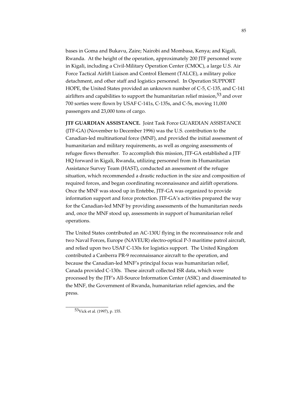bases in Goma and Bukavu, Zaire; Nairobi and Mombasa, Kenya; and Kigali, Rwanda. At the height of the operation, approximately 200 JTF personnel were in Kigali, including a Civil-Military Operation Center (CMOC), a large U.S. Air Force Tactical Airlift Liaison and Control Element (TALCE), a military police detachment, and other staff and logistics personnel*.* In Operation SUPPORT HOPE, the United States provided an unknown number of C-5, C-135, and C-141 airlifters and capabilities to support the humanitarian relief mission,  $53$  and over 700 sorties were flown by USAF C-141s, C-135s, and C-5s, moving 11,000 passengers and 23,000 tons of cargo.

**JTF GUARDIAN ASSISTANCE.** Joint Task Force GUARDIAN ASSISTANCE (JTF-GA) (November to December 1996) was the U.S. contribution to the Canadian-led multinational force (MNF), and provided the initial assessment of humanitarian and military requirements, as well as ongoing assessments of refugee flows thereafter. To accomplish this mission, JTF-GA established a JTF HQ forward in Kigali, Rwanda, utilizing personnel from its Humanitarian Assistance Survey Team (HAST), conducted an assessment of the refugee situation, which recommended a drastic reduction in the size and composition of required forces, and began coordinating reconnaissance and airlift operations. Once the MNF was stood up in Entebbe, JTF-GA was organized to provide information support and force protection. JTF-GA's activities prepared the way for the Canadian-led MNF by providing assessments of the humanitarian needs and, once the MNF stood up, assessments in support of humanitarian relief operations.

The United States contributed an AC-130U flying in the reconnaissance role and two Naval Forces, Europe (NAVEUR) electro-optical P-3 maritime patrol aircraft, and relied upon two USAF C-130s for logistics support. The United Kingdom contributed a Canberra PR-9 reconnaissance aircraft to the operation, and because the Canadian-led MNF's principal focus was humanitarian relief, Canada provided C-130s. These aircraft collected ISR data, which were processed by the JTF's All-Source Information Center (ASIC) and disseminated to the MNF, the Government of Rwanda, humanitarian relief agencies, and the press.

53Vick et al. (1997), p. 155.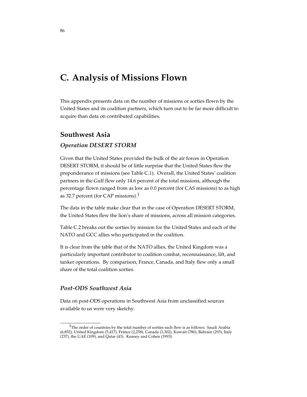# **C. Analysis of Missions Flown**

This appendix presents data on the number of missions or sorties flown by the United States and its coalition partners, which turn out to be far more difficult to acquire than data on contributed capabilities.

### **Southwest Asia**

#### *Operation DESERT STORM*

Given that the United States provided the bulk of the air forces in Operation DESERT STORM, it should be of little surprise that the United States flew the preponderance of missions (see Table C.1). Overall, the United States' coalition partners in the Gulf flew only 14.6 percent of the total missions, although the percentage flown ranged from as low as 0.0 percent (for CAS missions) to as high as 32.7 percent (for CAP missions).1

The data in the table make clear that in the case of Operation DESERT STORM, the United States flew the lion's share of missions, across all mission categories.

Table C.2 breaks out the sorties by mission for the United States and each of the NATO and GCC allies who participated in the coalition.

It is clear from the table that of the NATO allies, the United Kingdom was a particularly important contributor to coalition combat, reconnaissance, lift, and tanker operations. By comparison, France, Canada, and Italy flew only a small share of the total coalition sorties.

#### *Post-ODS Southwest Asia*

\_\_\_\_\_\_\_\_\_\_\_\_\_\_\_\_

Data on post-ODS operations in Southwest Asia from unclassified sources available to us were very sketchy.

<sup>&</sup>lt;sup>1</sup>The order of countries by the total number of sorties each flew is as follows: Saudi Arabia (6,852), United Kingdom (5,417), France (2,258), Canada (1,302), Kuwait (780), Bahrain (293), Italy (237), the UAE (109), and Qatar (43). Keaney and Cohen (1993)*.*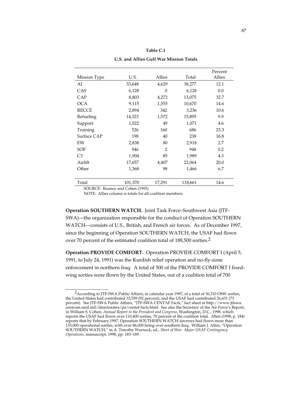| Mission Type   | U.S.    | Allies         | Total   | Percent<br>Allies |
|----------------|---------|----------------|---------|-------------------|
| AI             | 33,648  | 4,629          | 38,277  | 12.1              |
| CAS            | 6,128   | $\Omega$       | 6,128   | 0.0               |
| CAP            | 8,803   | 4,272          | 13,075  | 32.7              |
| <b>OCA</b>     | 9,115   | 1,555          | 10,670  | 14.6              |
| <b>RECCE</b>   | 2,894   | 342            | 3,236   | 10.6              |
| Refueling      | 14,323  | 1,572          | 15,895  | 9.9               |
| Support        | 1,022   | 49             | 1,071   | 4.6               |
| Training       | 526     | 160            | 686     | 23.3              |
| Surface CAP    | 198     | 40             | 238     | 16.8              |
| EW             | 2,838   | 80             | 2,918   | 2.7               |
| <b>SOF</b>     | 946     | $\overline{2}$ | 948     | 0.2               |
| C <sub>3</sub> | 1,904   | 85             | 1,989   | 4.3               |
| Airlift        | 17,657  | 4,407          | 22,064  | 20.0              |
| Other          | 1,368   | 98             | 1,466   | 6.7               |
|                |         |                |         |                   |
| Total          | 101,370 | 17,291         | 118,661 | 14.6              |

| Table C.1                               |
|-----------------------------------------|
| U.S. and Allies Gulf War Mission Totals |

\_\_\_\_\_\_\_\_\_\_\_\_\_\_\_\_\_

SOURCE: Keaney and Cohen (1993)*.*

NOTE: Allies column is totals for all coalition members.

**Operation SOUTHERN WATCH.** Joint Task Force–Southwest Asia (JTF-SWA)—the organization responsible for the conduct of Operation SOUTHERN WATCH—consists of U.S., British, and French air forces. As of December 1997, since the beginning of Operation SOUTHERN WATCH, the USAF had flown over 70 percent of the estimated coalition total of 188,500 sorties.2

**Operation PROVIDE COMFORT.** Operation PROVIDE COMFORT I (April 5, 1991, to July 24, 1991) was the Kurdish relief operation and no-fly-zone enforcement in northern Iraq. A total of 500 of the PROVIDE COMFORT I fixedwing sorties were flown by the United States, out of a coalition total of 700

<sup>2</sup>According to JTF-SWA Public Affairs, in calendar year 1997, of a total of 36,310 OSW sorties, the United States had contributed 33,559 (92 percent), and the USAF had contributed 26,631 (73 percent). See JTF-SWA Public Affairs, "JTF-SWA CENTAF Facts," fact sheet at http://www.jtfswa. centcom.smil.mil/directorates/pa/centaf-facts.html. See also the Secretary of the Air Force's Report, in William S. Cohen, *Annual Report to the President and Congress,* Washington, D.C., 1998, which reports the USAF had flown over 110,400 sorties, 70 percent of the coalition total. Allen (1998, p. 184) reports that by February 1997, Operation SOUTHERN WATCH aircrews had flown more than 133,000 operational sorties, with over 86,000 being over southern Iraq. William J. Allen, "Operation SOUTHERN WATCH," in A. Timothy Warnock, ed., *Short of War: Major USAF Contingency Operations*, manuscript, 1998, pp. 183–189.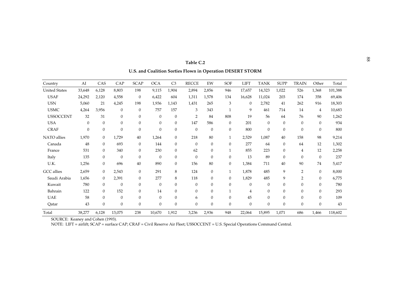| Country              | AI           | CAS              | CAP              | <b>SCAP</b>    | <b>OCA</b>   | C <sub>3</sub> | <b>RECCE</b>   | EW           | SOF            | <b>LIFT</b>  | <b>TANK</b>  | <b>SUPP</b>  | <b>TRAIN</b>     | Other            | Total   |
|----------------------|--------------|------------------|------------------|----------------|--------------|----------------|----------------|--------------|----------------|--------------|--------------|--------------|------------------|------------------|---------|
| <b>United States</b> | 33,648       | 6,128            | 8,803            | 198            | 9,115        | 1,904          | 2,894          | 2,856        | 946            | 17,657       | 14,323       | 1,022        | 526              | 1,368            | 101,388 |
| <b>USAF</b>          | 24,292       | 2,120            | 4,558            | $\overline{0}$ | 6,422        | 604            | 1,311          | 1,578        | 134            | 16,628       | 11,024       | 203          | 174              | 358              | 69,406  |
| <b>USN</b>           | 5,060        | 21               | 4,245            | 198            | 1,936        | 1,143          | 1,431          | 265          | 3              | $\theta$     | 2,782        | 41           | 262              | 916              | 18,303  |
| <b>USMC</b>          | 4,264        | 3,956            | $\mathbf{0}$     | $\mathbf{0}$   | 757          | 157            | 3              | 343          |                | 9            | 461          | 714          | 14               | $\overline{4}$   | 10,683  |
| <b>USSOCCENT</b>     | 32           | 31               | $\mathbf{0}$     | $\mathbf{0}$   | $\theta$     | $\mathbf{0}$   | $\overline{2}$ | 84           | 808            | 19           | 56           | 64           | 76               | 90               | 1,262   |
| <b>USA</b>           | $\mathbf{0}$ | $\Omega$         | $\theta$         | $\Omega$       | $\theta$     | $\overline{0}$ | 147            | 586          | $\mathbf{0}$   | 201          | $\Omega$     | $\Omega$     | $\theta$         | $\overline{0}$   | 934     |
| <b>CRAF</b>          | $\mathbf{0}$ | $\mathbf{0}$     | $\boldsymbol{0}$ | $\mathbf{0}$   | 0            | $\mathbf{0}$   | $\theta$       | $\mathbf{0}$ | $\mathbf{0}$   | 800          | $\mathbf{0}$ | $\mathbf{0}$ | $\boldsymbol{0}$ | $\mathbf{0}$     | 800     |
| NATO allies          | 1,970        | $\theta$         | 1,729            | 40             | 1,264        | $\overline{0}$ | 218            | 80           |                | 2,529        | 1,087        | 40           | 158              | 98               | 9,214   |
| Canada               | 48           | $\mathbf{0}$     | 693              | $\mathbf{0}$   | 144          | $\overline{0}$ | $\theta$       | $\mathbf{0}$ | $\mathbf{0}$   | 277          | 64           | $\mathbf{0}$ | 64               | 12               | 1,302   |
| France               | 531          | $\Omega$         | 340              | $\Omega$       | 230          | $\Omega$       | 62             | $\theta$     |                | 855          | 223          | $\Omega$     | 4                | 12               | 2,258   |
| Italy                | 135          | $\mathbf{0}$     | $\mathbf{0}$     | $\mathbf{0}$   | $\mathbf{0}$ | $\mathbf{0}$   | $\Omega$       | $\mathbf{0}$ | $\mathbf{0}$   | 13           | 89           | $\mathbf{0}$ | $\theta$         | $\boldsymbol{0}$ | 237     |
| U.K.                 | 1,256        | $\theta$         | 696              | 40             | 890          | $\overline{0}$ | 156            | 80           | $\overline{0}$ | 1,384        | 711          | 40           | 90               | 74               | 5,417   |
| <b>GCC</b> allies    | 2,659        | $\mathbf{0}$     | 2,543            | $\overline{0}$ | 291          | 8              | 124            | $\theta$     | 1              | 1,878        | 485          | 9            | $\overline{2}$   | $\overline{0}$   | 8,000   |
| Saudi Arabia         | 1,656        | $\theta$         | 2,391            | $\mathbf{0}$   | 277          | 8              | 118            | $\theta$     | $\overline{0}$ | 1,829        | 485          | 9            | $\overline{2}$   | $\overline{0}$   | 6,775   |
| Kuwait               | 780          | $\boldsymbol{0}$ | $\mathbf{0}$     | $\mathbf{0}$   | $\mathbf{0}$ | $\mathbf{0}$   | $\theta$       | $\theta$     | $\mathbf{0}$   | $\mathbf{0}$ | $\mathbf{0}$ | $\mathbf{0}$ | $\mathbf{0}$     | $\overline{0}$   | 780     |
| Bahrain              | 122          | $\Omega$         | 152              | $\Omega$       | 14           | $\mathbf{0}$   | $\Omega$       | $\theta$     |                | 4            | $\Omega$     | $\Omega$     | $\theta$         | $\overline{0}$   | 293     |
| <b>UAE</b>           | 58           | $\overline{0}$   | $\mathbf{0}$     | $\mathbf{0}$   | $\mathbf{0}$ | $\mathbf{0}$   | 6              | $\theta$     | $\mathbf{0}$   | 45           | $\mathbf{0}$ | $\mathbf{0}$ | $\theta$         | $\mathbf{0}$     | 109     |
| Qatar                | 43           | $\overline{0}$   | $\mathbf{0}$     | $\mathbf{0}$   | $\mathbf{0}$ | $\mathbf{0}$   | $\Omega$       | $\theta$     | $\mathbf{0}$   | $\mathbf{0}$ | $\Omega$     | $\Omega$     | $\theta$         | $\overline{0}$   | 43      |
| Total                | 38,277       | 6,128            | 13,075           | 238            | 10,670       | 1,912          | 3,236          | 2,936        | 948            | 22,064       | 15,895       | 1,071        | 686              | 1,466            | 118,602 |

<sup>88</sup> **Table C.2**Table C.2 **U.S. and Coalition Sorties Flown in Operation DESERT STORM**

SOURCE: Keaney and Cohen (1993).

NOTE: LIFT = airlift; SCAP = surface CAP; CRAF = Civil Reserve Air Fleet; USSOCCENT = U.S. Special Operations Command Central.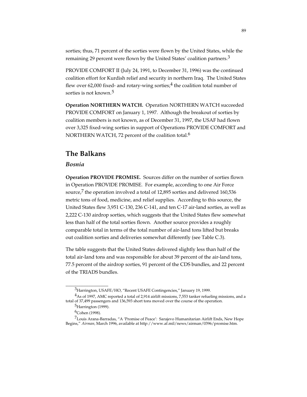sorties; thus, 71 percent of the sorties were flown by the United States, while the remaining 29 percent were flown by the United States' coalition partners.<sup>3</sup>

PROVIDE COMFORT II (July 24, 1991, to December 31, 1996) was the continued coalition effort for Kurdish relief and security in northern Iraq. The United States flew over 62,000 fixed- and rotary-wing sorties; $4$  the coalition total number of sorties is not known.<sup>5</sup>

**Operation NORTHERN WATCH.** Operation NORTHERN WATCH succeeded PROVIDE COMFORT on January 1, 1997. Although the breakout of sorties by coalition members is not known, as of December 31, 1997, the USAF had flown over 3,325 fixed-wing sorties in support of Operations PROVIDE COMFORT and NORTHERN WATCH, 72 percent of the coalition total.<sup>6</sup>

## **The Balkans**

#### *Bosnia*

**Operation PROVIDE PROMISE.** Sources differ on the number of sorties flown in Operation PROVIDE PROMISE. For example, according to one Air Force source,<sup>7</sup> the operation involved a total of 12,895 sorties and delivered 160,536 metric tons of food, medicine, and relief supplies. According to this source, the United States flew 3,951 C-130, 236 C-141, and ten C-17 air-land sorties, as well as 2,222 C-130 airdrop sorties, which suggests that the United States flew somewhat less than half of the total sorties flown. Another source provides a roughly comparable total in terms of the total number of air-land tons lifted but breaks out coalition sorties and deliveries somewhat differently (see Table C.3).

The table suggests that the United States delivered slightly less than half of the total air-land tons and was responsible for about 39 percent of the air-land tons, 77.5 percent of the airdrop sorties, 91 percent of the CDS bundles, and 22 percent of the TRIADS bundles.

<sup>&</sup>lt;sup>3</sup>Harrington, USAFE/HO, "Recent USAFE Contingencies," January 19, 1999.

<sup>&</sup>lt;sup>4</sup>As of 1997, AMC reported a total of 2,914 airlift missions, 7,553 tanker refueling missions, and a total of 37,499 passengers and 136,593 short tons moved over the course of the operation.

<sup>5</sup>Harrington (1999).

<sup>6</sup>Cohen (1998).

<sup>&</sup>lt;sup>7</sup>Louis Arana-Barradas, "A 'Promise of Peace': Sarajevo Humanitarian Airlift Ends, New Hope Begins," *Airman,* March 1996, available at http://www.af.mil/news/airman/0396/promise.htm.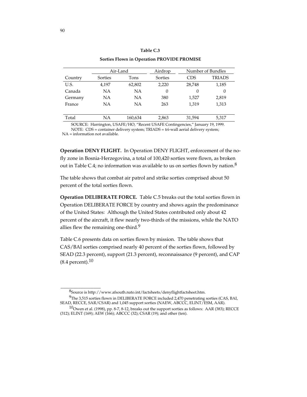|         |           |           | Sorties Flown in Operation PROVIDE PROMISE |          |                   |
|---------|-----------|-----------|--------------------------------------------|----------|-------------------|
|         |           | Air-Land  | Airdrop                                    |          | Number of Bundles |
| Country | Sorties   | Tons      | Sorties                                    | CDS      | <b>TRIADS</b>     |
| U.S.    | 4,197     | 62,802    | 2,220                                      | 28,748   | 1,185             |
| Canada  | NA        | NA        | 0                                          | $\Omega$ | 0                 |
| Germany | NA        | NA        | 380                                        | 1,527    | 2,819             |
| France  | <b>NA</b> | <b>NA</b> | 263                                        | 1.319    | 1,313             |
|         |           |           |                                            |          |                   |
| Total   | NA        | 160,634   | 2,863                                      | 31,594   | 5,317             |

#### **Table C.3**

SOURCE: Harrington, USAFE/HO, "Recent USAFE Contingencies," January 19, 1999. NOTE: CDS = container delivery system; TRIADS = tri-wall aerial delivery system; NA = information not available.

**Operation DENY FLIGHT.** In Operation DENY FLIGHT, enforcement of the nofly zone in Bosnia-Herzegovina, a total of 100,420 sorties were flown, as broken out in Table C.4; no information was available to us on sorties flown by nation.<sup>8</sup>

The table shows that combat air patrol and strike sorties comprised about 50 percent of the total sorties flown.

**Operation DELIBERATE FORCE.** Table C.5 breaks out the total sorties flown in Operation DELIBERATE FORCE by country and shows again the predominance of the United States: Although the United States contributed only about 42 percent of the aircraft, it flew nearly two-thirds of the missions, while the NATO allies flew the remaining one-third.<sup>9</sup>

Table C.6 presents data on sorties flown by mission. The table shows that CAS/BAI sorties comprised nearly 40 percent of the sorties flown, followed by SEAD (22.3 percent), support (21.3 percent), reconnaissance (9 percent), and CAP  $(8.4$  percent).<sup>10</sup>

8Source is http://www.afsouth.nato.int/factsheets/denyflightfactsheet.htm.

<sup>9</sup>The 3,515 sorties flown in DELIBERATE FORCE included 2,470 penetrating sorties (CAS, BAI, SEAD, RECCE, SAR/CSAR) and 1,045 support sorties (NAEW, ABCCC, ELINT/ESM, AAR).

<sup>10</sup>Owen et al. (1998), pp. 8-7, 8-12, breaks out the support sorties as follows*:* AAR (383); RECCE (312); ELINT (169); AEW (166); ABCCC (32); CSAR (19); and other (ten).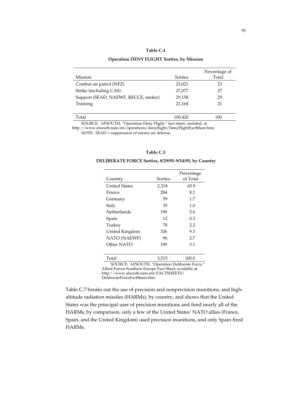#### **Table C.4**

#### **Operation DENY FLIGHT Sorties, by Mission**

| Mission                              | Sorties | Percentage of<br>Total |
|--------------------------------------|---------|------------------------|
| Combat air patrol (NFZ)              | 23,021  | 23                     |
| Strike (including CAS)               | 27,077  | 27                     |
| Support (SEAD, NAEWF, RECCE, tanker) | 29,158  | 29                     |
| Training                             | 21.164  | 21                     |
|                                      |         |                        |
| Total                                | 100,420 | 100                    |

SOURCE: AFSOUTH, "Operation Deny Flight," fact sheet, undated, at

http://www.afsouth.nato.int/operations/denyflight/DenyFlightFactSheet.htm. NOTE: SEAD = suppression of enemy air defense.

#### **Table C.5**

#### **DELIBERATE FORCE Sorties, 8/29/95–9/14/95, by Country**

| Country              | Sorties | Percentage<br>of Total |
|----------------------|---------|------------------------|
| <b>United States</b> | 2,318   | 65.9                   |
| France               | 284     | 8.1                    |
| Germany              | 59      | 1.7                    |
| Italy                | 35      | 1.0                    |
| Netherlands          | 198     | 5.6                    |
| Spain                | 12      | 0.3                    |
| Turkey               | 78      | 2.2                    |
| United Kingdom       | 326     | 9.3                    |
| NATO (NAEWF)         | 96      | 2.7                    |
| Other NATO           | 109     | 3.1                    |
|                      |         |                        |

Total 3,515 100.0 SOURCE: AFSOUTH, "Operation Deliberate Force," Allied Forces Southern Europe Fact Sheet, available at

http://www.afsouth.nato.int/FACTSHEETS/

DeliberateForceFactSheet.htm.

Table C.7 breaks out the use of precision and nonprecision munitions, and highaltitude radiation missiles (HARMs), by country, and shows that the United States was the principal user of precision munitions and fired nearly all of the HARMs; by comparison, only a few of the United States' NATO allies (France, Spain, and the United Kingdom) used precision munitions, and only Spain fired HARMs.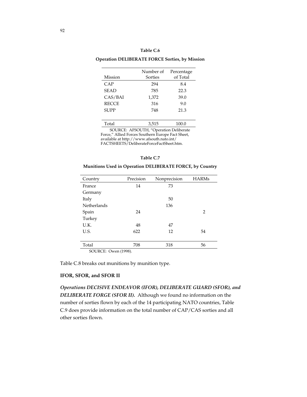#### **Table C.6**

**Operation DELIBERATE FORCE Sorties, by Mission**

| Mission      | Number of<br>Sorties | Percentage<br>of Total |
|--------------|----------------------|------------------------|
| CAP          | 294                  | 8.4                    |
| <b>SEAD</b>  | 785                  | 22.3                   |
| CAS/BAI      | 1,372                | 39.0                   |
| <b>RECCE</b> | 316                  | 9.0                    |
| <b>SUPP</b>  | 748                  | 21.3                   |
|              |                      |                        |
| Total        | 3,515                | 100.0                  |

SOURCE: AFSOUTH, "Operation Deliberate Force," Allied Forces Southern Europe Fact Sheet, available at http://www.afsouth.nato.int/ FACTSHEETS/DeliberateForceFactSheet.htm.

#### **Table C.7**

| Country            | Precision | Nonprecision | <b>HARMs</b>   |
|--------------------|-----------|--------------|----------------|
| France             | 14        | 73           |                |
| Germany            |           |              |                |
| Italy              |           | 50           |                |
| <b>Netherlands</b> |           | 136          |                |
| Spain              | 24        |              | $\overline{2}$ |
| Turkey             |           |              |                |
| U.K.               | 48        | 47           |                |
| U.S.               | 622       | 12           | 54             |
|                    |           |              |                |
| Total              | 708       | 318          | 56             |

**Munitions Used in Operation DELIBERATE FORCE, by Country**

SOURCE: Owen (1998).

Table C.8 breaks out munitions by munition type.

#### **IFOR, SFOR, and SFOR II**

*Operations DECISIVE ENDEAVOR (IFOR), DELIBERATE GUARD (SFOR), and DELIBERATE FORGE (SFOR II).* Although we found no information on the number of sorties flown by each of the 14 participating NATO countries, Table C.9 does provide information on the total number of CAP/CAS sorties and all other sorties flown.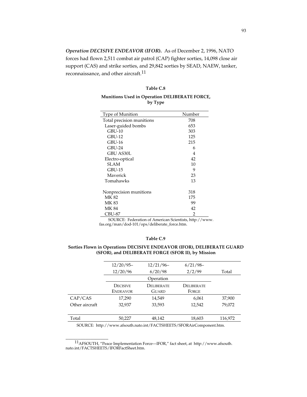*Operation DECISIVE ENDEAVOR (IFOR***).** As of December 2, 1996, NATO forces had flown 2,511 combat air patrol (CAP) fighter sorties, 14,098 close air support (CAS) and strike sorties, and 29,842 sorties by SEAD, NAEW, tanker, reconnaissance, and other aircraft.<sup>11</sup>

#### **Table C.8**

#### **Munitions Used in Operation DELIBERATE FORCE, by Type**

| Type of Munition          | Number |
|---------------------------|--------|
| Total precision munitions | 708    |
| Laser-guided bombs        | 653    |
| GBU-10                    | 303    |
| $GBU-12$                  | 125    |
| GBU-16                    | 215    |
| GBU-24                    | 6      |
| GBU AS30L                 | 4      |
| Electro-optical           | 42     |
| SLAM                      | 10     |
| GBU-15                    | 9      |
| Maverick                  | 23     |
| Tomahawks                 | 13     |
|                           |        |
| Nonprecision munitions    | 318    |
| MK 82                     | 175    |
| MK 83                     | 99     |
| <b>MK 84</b>              | 42     |
| CBU-87                    | 2      |
|                           |        |

SOURCE: Federation of American Scientists, http://www. fas.org/man/dod-101/ops/deliberate\_force.htm.

#### **Table C.9**

#### **Sorties Flown in Operations DECISIVE ENDEAVOR (IFOR), DELIBERATE GUARD (SFOR), and DELIBERATE FORGE (SFOR II), by Mission**

| $12/20/95-$     | $12/21/96-$       | $6/21/98-$ |         |
|-----------------|-------------------|------------|---------|
| 12/20/96        | 6/20/98           | 2/2/99     | Total   |
| Operation       |                   |            |         |
| <b>DECISIVE</b> | <b>DELIBERATE</b> | DELIBERATE |         |
| <b>ENDEAVOR</b> | GUARD             | FORGE      |         |
| 17,290          | 14,549            | 6,061      | 37,900  |
| 32,937          | 33,593            | 12,542     | 79,072  |
|                 |                   |            |         |
| 50,227          | 48,142            | 18,603     | 116,972 |
|                 |                   |            |         |

SOURCE: http://www.afsouth.nato.int/FACTSHEETS/SFORAirComponent.htm.

11AFSOUTH, "Peace Implementation Force—IFOR," fact sheet, at http://www.afsouth. nato.int/FACTSHEETS/IFORFactSheet.htm.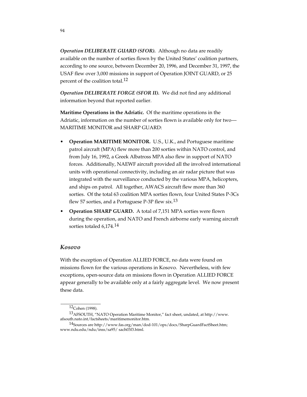*Operation DELIBERATE GUARD (SFOR).* Although no data are readily available on the number of sorties flown by the United States' coalition partners, according to one source, between December 20, 1996, and December 31, 1997, the USAF flew over 3,000 missions in support of Operation JOINT GUARD, or 25 percent of the coalition total.<sup>12</sup>

*Operation DELIBERATE FORGE (SFOR II).* We did not find any additional information beyond that reported earlier.

**Maritime Operations in the Adriatic.** Of the maritime operations in the Adriatic, information on the number of sorties flown is available only for two— MARITIME MONITOR and SHARP GUARD:

- **Operation MARITIME MONITOR.** U.S., U.K., and Portuguese maritime patrol aircraft (MPA) flew more than 200 sorties within NATO control, and from July 16, 1992, a Greek Albatross MPA also flew in support of NATO forces. Additionally, NAEWF aircraft provided all the involved international units with operational connectivity, including an air radar picture that was integrated with the surveillance conducted by the various MPA, helicopters, and ships on patrol. All together, AWACS aircraft flew more than 360 sorties. Of the total 63 coalition MPA sorties flown, four United States P-3Cs flew 57 sorties, and a Portuguese P-3P flew six.<sup>13</sup>
- **Operation SHARP GUARD.**A total of 7,151 MPA sorties were flown during the operation, and NATO and French airborne early warning aircraft sorties totaled 6,174.14

#### *Kosovo*

With the exception of Operation ALLIED FORCE, no data were found on missions flown for the various operations in Kosovo. Nevertheless, with few exceptions, open-source data on missions flown in Operation ALLIED FORCE appear generally to be available only at a fairly aggregate level. We now present these data.

\_\_\_\_\_\_\_\_\_\_\_\_\_\_\_\_ 12Cohen (1998).

<sup>13</sup>AFSOUTH, "NATO Operation Maritime Monitor," fact sheet, undated, at http://www. afsouth.nato.int/factsheets/maritimemonitor.htm.

<sup>14</sup>Sources are http://www.fas.org/man/dod-101/ops/docs/SharpGuardFactSheet.htm; www.ndu.edu/ndu/inss/sa95/ sach03f3.html.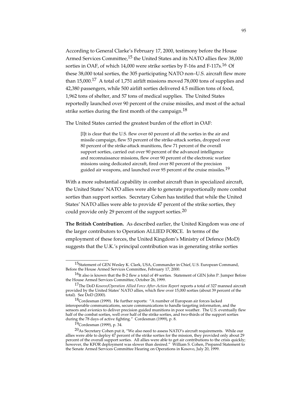According to General Clarke's February 17, 2000, testimony before the House Armed Services Committee,<sup>15</sup> the United States and its NATO allies flew 38,000 sorties in OAF, of which 14,000 were strike sorties by F-16s and F-117s.<sup>16</sup> Of these 38,000 total sorties, the 305 participating NATO non–U.S. aircraft flew more than 15,000.17 A total of 1,751 airlift missions moved 78,000 tons of supplies and 42,380 passengers, while 500 airlift sorties delivered 4.5 million tons of food, 1,962 tons of shelter, and 57 tons of medical supplies. The United States reportedly launched over 90 percent of the cruise missiles, and most of the actual strike sorties during the first month of the campaign.<sup>18</sup>

The United States carried the greatest burden of the effort in OAF:

[I]t is clear that the U.S. flew over 60 percent of all the sorties in the air and missile campaign, flew 53 percent of the strike-attack sorties, dropped over 80 percent of the strike-attack munitions, flew 71 percent of the overall support sorties, carried out over 90 percent of the advanced intelligence and reconnaissance missions, flew over 90 percent of the electronic warfare missions using dedicated aircraft, fired over 80 percent of the precision guided air weapons, and launched over 95 percent of the cruise missiles.<sup>19</sup>

With a more substantial capability in combat aircraft than in specialized aircraft, the United States' NATO allies were able to generate proportionally more combat sorties than support sorties. Secretary Cohen has testified that while the United States' NATO allies were able to provide 47 percent of the strike sorties, they could provide only 29 percent of the support sorties.<sup>20</sup>

**The British Contribution.** As described earlier, the United Kingdom was one of the larger contributors to Operation ALLIED FORCE. In terms of the employment of these forces, the United Kingdom's Ministry of Defence (MoD) suggests that the U.K.'s principal contribution was in generating strike sorties

<sup>15</sup>Statement of GEN Wesley K. Clark, USA, Commander in Chief, U.S. European Command, Before the House Armed Services Committee, February 17, 2000.

<sup>&</sup>lt;sup>16</sup>It also is known that the B-2 flew a total of 49 sorties. Statement of GEN John P. Jumper Before the House Armed Services Committee, October 26, 1999.

<sup>17</sup>The DoD *Kosovo/Operation Allied Force After-Action Report* reports a total of 327 manned aircraft provided by the United States' NATO allies, which flew over 15,000 sorties (about 39 percent of the total). See  $\overline{D}$ oD (2000).

<sup>18</sup>Cordesman (1999). He further reports: "A number of European air forces lacked interoperable communications, secure communications to handle targeting information, and the sensors and avionics to deliver precision guided munitions in poor weather. The U.S. eventually flew half of the combat sorties, well over half of the strike sorties, and two-thirds of the support sorties during the 78 days of active fighting." Cordesman (1999), p. 8.

<sup>19</sup>Cordesman (1999), p. 34.

 $^{20}\mathrm{As}$  Secretary Cohen put it, "We also need to assess NATO's aircraft requirements. While our allies were able to deploy 47 percent of the strike sorties for the mission, they provided only about 29 percent of the overall support sorties. All allies were able to get air contributions to the crisis quickly; however, the KFOR deployment was slower than desired." William S. Cohen, Prepared Statement to the Senate Armed Services Committee Hearing on Operations in Kosovo, July 20, 1999.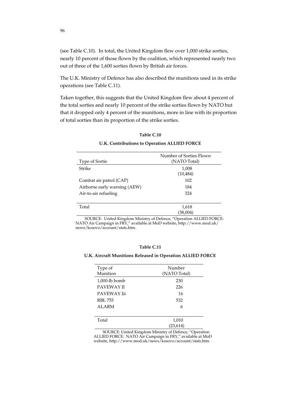(see Table C.10). In total, the United Kingdom flew over 1,000 strike sorties, nearly 10 percent of those flown by the coalition, which represented nearly two out of three of the 1,600 sorties flown by British air forces.

The U.K. Ministry of Defence has also described the munitions used in its strike operations (see Table C.11).

Taken together, this suggests that the United Kingdom flew about 4 percent of the total sorties and nearly 10 percent of the strike sorties flown by NATO but that it dropped only 4 percent of the munitions, more in line with its proportion of total sorties than its proportion of the strike sorties.

| Type of Sortie               | Number of Sorties Flown<br>(NATO Total) |
|------------------------------|-----------------------------------------|
| Strike                       | 1,008<br>(10, 484)                      |
| Combat air patrol (CAP)      | 102                                     |
| Airborne early warning (AEW) | 184                                     |
| Air-to-air refueling         | 324                                     |
| Total                        | 1,618                                   |
|                              | (38,004)                                |

**Table C.10**

#### **U.K. Contributions to Operation ALLIED FORCE**

SOURCE: United Kingdom Ministry of Defence, "Operation ALLIED FORCE: NATO Air Campaign in FRY," available at MoD website, http://www.mod.uk/ news/kosovo/account/stats.htm.

#### **Table C.11**

#### **U.K. Aircraft Munitions Released in Operation ALLIED FORCE**

| Type of<br>Munition | Number<br>(NATO Total) |
|---------------------|------------------------|
| $1,000$ -lb bomb    | 230                    |
| <b>PAVEWAY II</b>   | 226                    |
| PAVEWAY Iii         | 16                     |
| <b>RBL 755</b>      | 532                    |
| <b>ALARM</b>        | 6                      |
|                     |                        |
| Total               | 1,010                  |
|                     | (23, 614)              |

SOURCE: United Kingdom Ministry of Defence, "Operation ALLIED FORCE: NATO Air Campaign in FRY," available at MoD website, http://www.mod.uk/news/kosovo/account/stats.htm.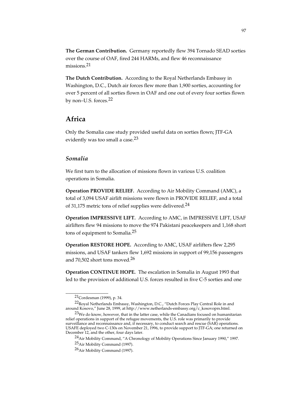**The German Contribution.** Germany reportedly flew 394 Tornado SEAD sorties over the course of OAF, fired 244 HARMs, and flew 46 reconnaissance missions.<sup>21</sup>

**The Dutch Contribution.** According to the Royal Netherlands Embassy in Washington, D.C., Dutch air forces flew more than 1,900 sorties, accounting for over 5 percent of all sorties flown in OAF and one out of every four sorties flown by non–U.S. forces.22

## **Africa**

Only the Somalia case study provided useful data on sorties flown; JTF-GA evidently was too small a case.<sup>23</sup>

#### *Somalia*

We first turn to the allocation of missions flown in various U.S. coalition operations in Somalia.

**Operation PROVIDE RELIEF.** According to Air Mobility Command (AMC), a total of 3,094 USAF airlift missions were flown in PROVIDE RELIEF, and a total of 31,175 metric tons of relief supplies were delivered.24

**Operation IMPRESSIVE LIFT.** According to AMC, in IMPRESSIVE LIFT, USAF airlifters flew 94 missions to move the 974 Pakistani peacekeepers and 1,168 short tons of equipment to Somalia.25

**Operation RESTORE HOPE.** According to AMC, USAF airlifters flew 2,295 missions, and USAF tankers flew 1,692 missions in support of 99,156 passengers and 70,502 short tons moved.26

**Operation CONTINUE HOPE.** The escalation in Somalia in August 1993 that led to the provision of additional U.S. forces resulted in five C-5 sorties and one

<sup>21</sup>Cordesman (1999), p. 34.

<sup>22</sup>Royal Netherlands Embassy, Washington, D.C., "Dutch Forces Play Central Role in and around Kosovo," June 28, 1999, at http://www.netherlands-embassy.org/c\_kosovoprs.html.

 $23$ We do know, however, that in the latter case, while the Canadians focused on humanitarian relief operations in support of the refugee movements, the U.S. role was primarily to provide surveillance and reconnaissance and, if necessary, to conduct search and rescue (SAR) operations. USAFE deployed two C-130s on November 21, 1996, to provide support to JTF-GA; one returned on December 12, and the other, four days later.

<sup>&</sup>lt;sup>24</sup>Air Mobility Command, "A Chronology of Mobility Operations Since January 1990," 1997.

<sup>25</sup>Air Mobility Command (1997).

<sup>26</sup>Air Mobility Command (1997).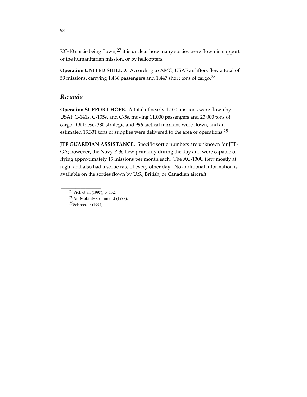KC-10 sortie being flown;<sup>27</sup> it is unclear how many sorties were flown in support of the humanitarian mission, or by helicopters.

**Operation UNITED SHIELD.** According to AMC, USAF airlifters flew a total of 59 missions, carrying 1,436 passengers and 1,447 short tons of cargo.28

#### *Rwanda*

**Operation SUPPORT HOPE.** A total of nearly 1,400 missions were flown by USAF C-141s, C-135s, and C-5s, moving 11,000 passengers and 23,000 tons of cargo. Of these, 380 strategic and 996 tactical missions were flown, and an estimated 15,331 tons of supplies were delivered to the area of operations.<sup>29</sup>

**JTF GUARDIAN ASSISTANCE.** Specific sortie numbers are unknown for JTF-GA; however, the Navy P-3s flew primarily during the day and were capable of flying approximately 15 missions per month each. The AC-130U flew mostly at night and also had a sortie rate of every other day. No additional information is available on the sorties flown by U.S., British, or Canadian aircraft.

29Schroeder (1994).

<sup>27</sup>Vick et al. (1997), p. 152.

<sup>28</sup>Air Mobility Command (1997).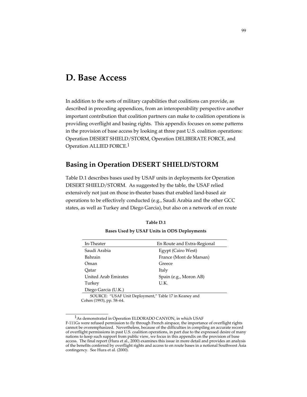## **D. Base Access**

In addition to the sorts of military capabilities that coalitions can provide, as described in preceding appendices, from an interoperability perspective another important contribution that coalition partners can make to coalition operations is providing overflight and basing rights. This appendix focuses on some patterns in the provision of base access by looking at three past U.S. coalition operations: Operation DESERT SHIELD/STORM, Operation DELIBERATE FORCE, and Operation ALLIED FORCE.1

## **Basing in Operation DESERT SHIELD/STORM**

Table D.1 describes bases used by USAF units in deployments for Operation DESERT SHIELD/STORM. As suggested by the table, the USAF relied extensively not just on those in-theater bases that enabled land-based air operations to be effectively conducted (e.g., Saudi Arabia and the other GCC states, as well as Turkey and Diego Garcia), but also on a network of en route

|  |  |  |  | Bases Used by USAF Units in ODS Deployments |
|--|--|--|--|---------------------------------------------|
|--|--|--|--|---------------------------------------------|

| In-Theater                  | En Route and Extra-Regional |  |  |
|-----------------------------|-----------------------------|--|--|
| Saudi Arabia                | Egypt (Cairo West)          |  |  |
| Bahrain                     | France (Mont de Marsan)     |  |  |
| Oman                        | Greece                      |  |  |
| Oatar                       | Italy                       |  |  |
| <b>United Arab Emirates</b> | Spain (e.g., Moron AB)      |  |  |
| Turkey                      | U.K.                        |  |  |
| Diego Garcia (U.K.)         |                             |  |  |

SOURCE: "USAF Unit Deployment," Table 17 in Keaney and Cohen (1993), pp. 58–64.

<sup>&</sup>lt;sup>1</sup>As demonstrated in Operation ELDORADO CANYON, in which USAF F-111Gs were refused permission to fly through French airspace, the importance of overflight rights cannot be overemphasized. Nevertheless, because of the difficulties in compiling an accurate record of overflight permissions in past U.S. coalition operations, in part due to the expressed desire of many nations to keep such support from public view, we focus in this appendix on the provision of base access. The final report (Hura et al., 2000) examines this issue in more detail and provides an analysis of the benefits conferred by overflight rights and access to en route bases in a notional Southwest Asia contingency. See Hura et al. (2000).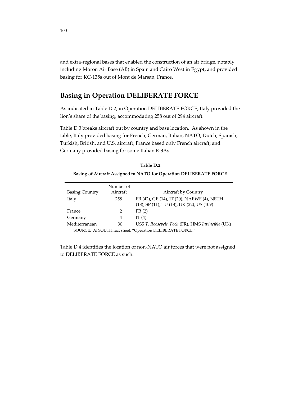and extra-regional bases that enabled the construction of an air bridge, notably including Moron Air Base (AB) in Spain and Cairo West in Egypt, and provided basing for KC-135s out of Mont de Marsan, France.

## **Basing in Operation DELIBERATE FORCE**

As indicated in Table D.2, in Operation DELIBERATE FORCE, Italy provided the lion's share of the basing, accommodating 258 out of 294 aircraft.

Table D.3 breaks aircraft out by country and base location. As shown in the table, Italy provided basing for French, German, Italian, NATO, Dutch, Spanish, Turkish, British, and U.S. aircraft; France based only French aircraft; and Germany provided basing for some Italian E-3As.

#### **Basing of Aircraft Assigned to NATO for Operation DELIBERATE FORCE**

| <b>Basing Country</b> | Number of<br>Aircraft | <b>Aircraft by Country</b>                                                              |
|-----------------------|-----------------------|-----------------------------------------------------------------------------------------|
| Italy                 | 258                   | FR (42), GE (14), IT (20), NAEWF (4), NETH<br>(18), SP (11), TU (18), UK (22), US (109) |
| France                | $\mathcal{L}$         | FR(2)                                                                                   |
| Germany               | 4                     | IT $(4)$                                                                                |
| Mediterranean         | 30                    | USS T. Roosevelt, Foch (FR), HMS Invincible (UK)                                        |

SOURCE: AFSOUTH fact sheet, "Operation DELIBERATE FORCE."

Table D.4 identifies the location of non-NATO air forces that were not assigned to DELIBERATE FORCE as such.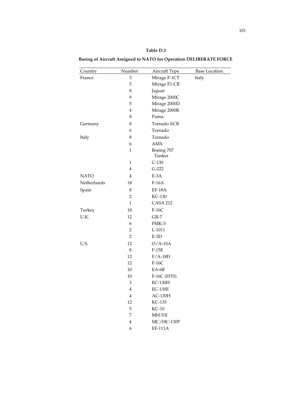| Table D.3 |  |
|-----------|--|
|-----------|--|

**Basing of Aircraft Assigned to NATO for Operation DELIBERATE FORCE**

| Country     | Number                  | Aircraft Type        | <b>Base Location</b> |
|-------------|-------------------------|----------------------|----------------------|
| France      | 3                       | Mirage F-1CT         | Italy                |
|             | 5                       | Mirage F1-CR         |                      |
|             | 8                       | Jaguar               |                      |
|             | 9                       | Mirage 2000C         |                      |
|             | 5                       | Mirage 2000D         |                      |
|             | $\overline{4}$          | Mirage 2000K         |                      |
|             | 8                       | Puma                 |                      |
| Germany     | 8                       | Tornado ECR          |                      |
|             | 6                       | Tornado              |                      |
| Italy       | 8                       | Tornado              |                      |
|             | 6                       | <b>AMX</b>           |                      |
|             | 1                       | Boeing 707<br>Tanker |                      |
|             | $\mathbf{1}$            | $C-130$              |                      |
|             | $\overline{\mathbf{4}}$ | $G-222$              |                      |
| <b>NATO</b> | $\overline{4}$          | $E-3A$               |                      |
| Netherlands | 18                      | $F-16A$              |                      |
| Spain       | 8                       | $EF-18A$             |                      |
|             | 2                       | KC-130               |                      |
|             | $\mathbf{1}$            | <b>CASA 212</b>      |                      |
| Turkey      | 18                      | $F-16C$              |                      |
| U.K.        | 12                      | $GR-7$               |                      |
|             | 6                       | FMK-3                |                      |
|             | $\overline{c}$          | $L-1011$             |                      |
|             | $\overline{2}$          | $E-3D$               |                      |
| U.S.        | 12                      | $O/A-10A$            |                      |
|             | $\,8\,$                 | $F-15E$              |                      |
|             | 12                      | $F/A-18D$            |                      |
|             | 12                      | $F-16C$              |                      |
|             | 10                      | EA-6B                |                      |
|             | 10                      | F-16C (HTS)          |                      |
|             | 3                       | $EC-130H$            |                      |
|             | 4                       | <b>EC-130E</b>       |                      |
|             | $\overline{\mathbf{4}}$ | $AC-130H$            |                      |
|             | 12                      | KC-135               |                      |
|             | 5                       | $KC-10$              |                      |
|             | 7                       | MH-53J               |                      |
|             | $\overline{\mathbf{4}}$ | $MC/HC-130P$         |                      |
|             | 6                       | EF-111A              |                      |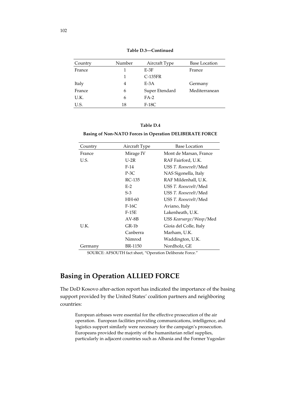| Country | Number | Aircraft Type  | <b>Base Location</b> |
|---------|--------|----------------|----------------------|
| France  |        | $E-3F$         | France               |
|         |        | $C-135FR$      |                      |
| Italy   | 4      | $E-3A$         | Germany              |
| France  | 6      | Super Etendard | Mediterranean        |
| U.K.    | 6      | $FA-2$         |                      |
| U.S.    | 18     | $F-18C$        |                      |

**Table D.3—Continued**

#### **Table D.4**

#### **Basing of Non-NATO Forces in Operation DELIBERATE FORCE**

| Country | Aircraft Type  | <b>Base Location</b>       |  |  |
|---------|----------------|----------------------------|--|--|
| France  | Mirage IV      | Mont de Marsan, France     |  |  |
| U.S.    | U-2R           | RAF Fairford, U.K.         |  |  |
|         | $F-14$         | USS T. Roosevelt/Med       |  |  |
|         | $P-3C$         | NAS Sigonella, Italy       |  |  |
|         | RC-135         | RAF Mildenhall, U.K.       |  |  |
|         | $E-2$          | USS T. Roosevelt/Med       |  |  |
|         | $S-3$          | USS T. Roosevelt/Med       |  |  |
|         | HH-60          | USS T. Roosevelt/Med       |  |  |
|         | $F-16C$        | Aviano, Italy              |  |  |
|         | $F-15E$        | Lakenheath, U.K.           |  |  |
|         | $AV-BB$        | USS Kearsarge / Wasp / Med |  |  |
| U.K.    | GR-1b          | Gioia del Colle, Italy     |  |  |
|         | Canberra       | Marham, U.K.               |  |  |
|         | Nimrod         | Waddington, U.K.           |  |  |
| Germany | <b>BR-1150</b> | Nordholz, GE               |  |  |

SOURCE: AFSOUTH fact sheet, "Operation Deliberate Force."

## **Basing in Operation ALLIED FORCE**

The DoD Kosovo after-action report has indicated the importance of the basing support provided by the United States' coalition partners and neighboring countries:

European airbases were essential for the effective prosecution of the air operation. European facilities providing communications, intelligence, and logistics support similarly were necessary for the campaign's prosecution. Europeans provided the majority of the humanitarian relief supplies, particularly in adjacent countries such as Albania and the Former Yugoslav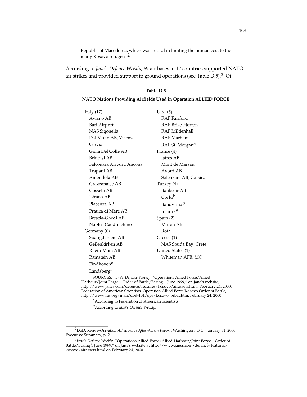Republic of Macedonia, which was critical in limiting the human cost to the many Kosovo refugees.2

According to *Jane's Defence Weekly,* 59 air bases in 12 countries supported NATO air strikes and provided support to ground operations (see Table  $D.5$ ).<sup>3</sup> Of

#### **Table D.5**

#### **NATO Nations Providing Airfields Used in Operation ALLIED FORCE**

| Italy $(17)$              | U.K. (5)                    |
|---------------------------|-----------------------------|
| Aviano AB                 | <b>RAF</b> Fairford         |
| Bari Airport              | <b>RAF Brize-Norton</b>     |
| NAS Sigonella             | RAF Mildenhall              |
| Dal Molin AB, Vicenza     | RAF Marham                  |
| Cervia                    | RAF St. Morgan <sup>a</sup> |
| Gioia Del Colle AB        | France (4)                  |
| Brindisi AB               | Istres AB                   |
| Falconara Airport, Ancona | Mont de Marsan              |
| Trapani AB                | Avord AB                    |
| Amendola AB               | Solenzara AB, Corsica       |
| Grazzanaise AB            | Turkey (4)                  |
| Gosseto AB                | Balikesir AB                |
| Istrana AB                | Corlub                      |
| Piacenza AB               | Bandyrma <sup>b</sup>       |
| Pratica di Mare AB        | Incirlik <sup>a</sup>       |
| Brescia-Ghedi AB          | Spin(2)                     |
| Naples-Caodinichino       | Moron AB                    |
| Germany (6)               | Rota                        |
| Spangdahlem AB            | Greece (1)                  |
| Geilenkirken AB           | NAS Souda Bay, Crete        |
| Rhein-Main AB             | United States (1)           |
| Ramstein AB               | Whiteman AFB, MO            |
| Eindhoven <sup>a</sup>    |                             |
| Landsberg <sup>a</sup>    |                             |

SOURCES: *Jane's Defence Weekly,* "Operations Allied Force/Allied Harbour/Joint Forge—Order of Battle/Basing 1 June 1999," on Jane's website, http://www.janes.com/defence/features/kosovo/airassets.html, February 24, 2000; Federation of American Scientists, Operation Allied Force Kosovo Order of Battle, http://www.fas.org/man/dod-101/ops/kosovo\_orbat.htm, February 24, 2000.

a<br>According to Federation of American Scientists.

bAccording to *Jane's Defence Weekly.*

<sup>2</sup>DoD, *Kosovo/Operation Allied Force After-Action Report*, Washington, D.C., January 31, 2000, Executive Summary, p. 2.

<sup>3</sup>*Jane's Defence Weekly,* "Operations Allied Force/Allied Harbour/Joint Forge—Order of Battle/Basing 1 June 1999," on Jane's website at http://www.janes.com/defence/features/ kosovo/airassets.html on February 24, 2000.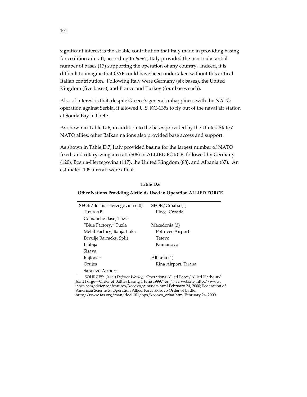significant interest is the sizable contribution that Italy made in providing basing for coalition aircraft; according to *Jane's*, Italy provided the most substantial number of bases (17) supporting the operation of any country. Indeed, it is difficult to imagine that OAF could have been undertaken without this critical Italian contribution. Following Italy were Germany (six bases), the United Kingdom (five bases), and France and Turkey (four bases each).

Also of interest is that, despite Greece's general unhappiness with the NATO operation against Serbia, it allowed U.S. KC-135s to fly out of the naval air station at Souda Bay in Crete.

As shown in Table D.6, in addition to the bases provided by the United States' NATO allies, other Balkan nations also provided base access and support.

As shown in Table D.7, Italy provided basing for the largest number of NATO fixed- and rotary-wing aircraft (506) in ALLIED FORCE, followed by Germany (120), Bosnia-Herzegovina (117), the United Kingdom (88), and Albania (87). An estimated 105 aircraft were afloat.

| SFOR/Bosnia-Herzegovina (10) | SFOR/Croatia (1)     |
|------------------------------|----------------------|
| Tuzla AB                     | Ploce, Croatia       |
| Comanche Base, Tuzla         |                      |
| "Blue Factory," Tuzla        | Macedonia (3)        |
| Metal Factory, Banja Luka    | Petrovec Airport     |
| Divulje Barracks, Split      | Tetevo               |
| Ljubija                      | Kumanovo             |
| Sisava                       |                      |
| Rajlovac                     | Albania (1)          |
| Ortijes                      | Rina Airport, Tirana |
| Sarajevo Airport             |                      |

**Table D.6**

#### **Other Nations Providing Airfields Used in Operation ALLIED FORCE**

SOURCES: *Jane's Defence Weekly,* "Operations Allied Force/Allied Harbour/ Joint Forge—Order of Battle/Basing 1 June 1999," on *Jane's* website, http://www. janes.com/defence/features/kosovo/airassets.html February 24, 2000; Federation of American Scientists, Operation Allied Force Kosovo Order of Battle, http://www.fas.org/man/dod-101/ops/kosovo\_orbat.htm, February 24, 2000.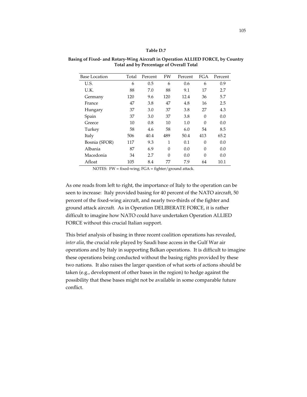#### **Table D.7**

| <b>Base Location</b> | Total | Percent | <b>FW</b> | Percent | FGA      | Percent |
|----------------------|-------|---------|-----------|---------|----------|---------|
| U.S.                 | 6     | 0.5     | 6         | 0.6     | 6        | 0.9     |
| U.K.                 | 88    | 7.0     | 88        | 9.1     | 17       | 2.7     |
| Germany              | 120   | 9.6     | 120       | 12.4    | 36       | 5.7     |
| France               | 47    | 3.8     | 47        | 4.8     | 16       | 2.5     |
| Hungary              | 37    | 3.0     | 37        | 3.8     | 27       | 4.3     |
| Spain                | 37    | 3.0     | 37        | 3.8     | $\theta$ | 0.0     |
| Greece               | 10    | 0.8     | 10        | 1.0     | $\Omega$ | 0.0     |
| Turkey               | 58    | 4.6     | 58        | 6.0     | 54       | 8.5     |
| Italy                | 506   | 40.4    | 489       | 50.4    | 413      | 65.2    |
| Bosnia (SFOR)        | 117   | 9.3     | 1         | 0.1     | $\theta$ | 0.0     |
| Albania              | 87    | 6.9     | $\Omega$  | 0.0     | $\Omega$ | 0.0     |
| Macedonia            | 34    | 2.7     | $\Omega$  | 0.0     | $\Omega$ | 0.0     |
| Afloat               | 105   | 8.4     | 77        | 7.9     | 64       | 10.1    |

**Basing of Fixed- and Rotary-Wing Aircraft in Operation ALLIED FORCE, by Country Total and by Percentage of Overall Total**

NOTES: FW = fixed-wing; FGA = fighter/ground attack.

As one reads from left to right, the importance of Italy to the operation can be seen to increase: Italy provided basing for 40 percent of the NATO aircraft, 50 percent of the fixed-wing aircraft, and nearly two-thirds of the fighter and ground attack aircraft. As in Operation DELIBERATE FORCE, it is rather difficult to imagine how NATO could have undertaken Operation ALLIED FORCE without this crucial Italian support.

This brief analysis of basing in three recent coalition operations has revealed, *inter alia*, the crucial role played by Saudi base access in the Gulf War air operations and by Italy in supporting Balkan operations. It is difficult to imagine these operations being conducted without the basing rights provided by these two nations. It also raises the larger question of what sorts of actions should be taken (e.g., development of other bases in the region) to hedge against the possibility that these bases might not be available in some comparable future conflict.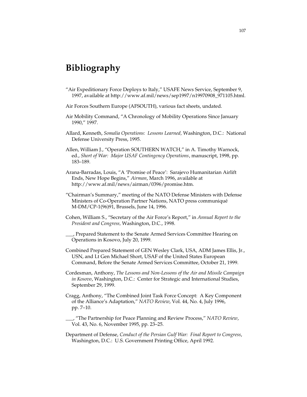# **Bibliography**

- "Air Expeditionary Force Deploys to Italy," USAFE News Service, September 9, 1997, available at http://www.af.mil/news/sep1997/n19970908\_971105.html.
- Air Forces Southern Europe (AFSOUTH), various fact sheets, undated.
- Air Mobility Command, "A Chronology of Mobility Operations Since January 1990," 1997.
- Allard, Kenneth, *Somalia Operations: Lessons Learned,* Washington, D.C.: National Defense University Press, 1995.
- Allen, William J., "Operation SOUTHERN WATCH," in A. Timothy Warnock, ed., *Short of War: Major USAF Contingency Operations*, manuscript, 1998, pp. 183–189.
- Arana-Barradas, Louis, "A 'Promise of Peace': Sarajevo Humanitarian Airlift Ends, New Hope Begins," *Airman*, March 1996, available at http://www.af.mil/news/airman/0396/promise.htm.
- "Chairman's Summary," meeting of the NATO Defense Ministers with Defense Ministers of Co-Operation Partner Nations, NATO press communiqué M-DM/CP-1(96)91, Brussels, June 14, 1996.
- Cohen, William S., "Secretary of the Air Force's Report," in *Annual Report to the President and Congress,* Washington, D.C., 1998.
	- \_\_\_, Prepared Statement to the Senate Armed Services Committee Hearing on Operations in Kosovo, July 20, 1999.
- Combined Prepared Statement of GEN Wesley Clark, USA, ADM James Ellis, Jr., USN, and Lt Gen Michael Short, USAF of the United States European Command, Before the Senate Armed Services Committee, October 21, 1999.
- Cordesman, Anthony, *The Lessons and Non-Lessons of the Air and Missile Campaign in Kosovo*, Washington, D.C.: Center for Strategic and International Studies, September 29, 1999.
- Cragg, Anthony, "The Combined Joint Task Force Concept: A Key Component of the Alliance's Adaptation," *NATO Review*, Vol. 44, No. 4, July 1996, pp. 7–10.
- \_\_\_, "The Partnership for Peace Planning and Review Process," *NATO Review*, Vol. 43, No. 6, November 1995, pp. 23–25.
- Department of Defense, *Conduct of the Persian Gulf War: Final Report to Congress*, Washington, D.C.: U.S. Government Printing Office, April 1992.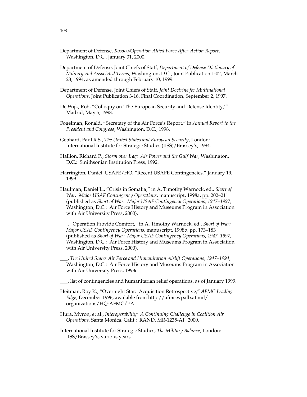- Department of Defense, *Kosovo/Operation Allied Force After-Action Report*, Washington, D.C., January 31, 2000.
- Department of Defense, Joint Chiefs of Staff*, Department of Defense Dictionary of Military and Associated Terms*, Washington, D.C., Joint Publication 1-02, March 23, 1994, as amended through February 10, 1999.
- Department of Defense, Joint Chiefs of Staff, *Joint Doctrine for Multinational Operations*, Joint Publication 3-16, Final Coordination, September 2, 1997.
- De Wijk, Rob, "Colloquy on 'The European Security and Defense Identity,'" Madrid, May 5, 1998.
- Fogelman, Ronald, "Secretary of the Air Force's Report," in *Annual Report to the President and Congress*, Washington, D.C., 1998.
- Gebhard, Paul R.S., *The United States and European Security*, London: International Institute for Strategic Studies (IISS)/Brassey's, 1994.
- Hallion, Richard P., *Storm over Iraq: Air Power and the Gulf War*, Washington, D.C.: Smithsonian Institution Press, 1992.
- Harrington, Daniel, USAFE/HO, "Recent USAFE Contingencies," January 19, 1999.
- Haulman, Daniel L., "Crisis in Somalia," in A. Timothy Warnock, ed., *Short of War: Major USAF Contingency Operations,* manuscript, 1998a, pp. 202–211 (published as *Short of War: Major USAF Contingency Operations, 1947–1997,* Washington, D.C.: Air Force History and Museums Program in Association with Air University Press, 2000).
- \_\_\_, "Operation Provide Comfort," in A. Timothy Warnock, ed., *Short of War: Major USAF Contingency Operations*, manuscript, 1998b, pp. 173–183 (published as *Short of War: Major USAF Contingency Operations, 1947–1997,* Washington, D.C.: Air Force History and Museums Program in Association with Air University Press, 2000).
- \_\_\_, *The United States Air Force and Humanitarian Airlift Operations, 1947–1994*, Washington, D.C.*:* Air Force History and Museums Program in Association with Air University Press, 1998c.
- \_\_\_, list of contingencies and humanitarian relief operations, as of January 1999.
- Heitman, Roy K., "Overnight Star: Acquisition Retrospective," *AFMC Leading Edge,* December 1996, available from http://afmc.wpafb.af.mil/ organizations/HQ-AFMC/PA.
- Hura, Myron, et al., *Interoperability: A Continuing Challenge in Coalition Air Operations,* Santa Monica, Calif.: RAND, MR-1235-AF, 2000.
- International Institute for Strategic Studies, *The Military Balance*, London: IISS/Brassey's, various years.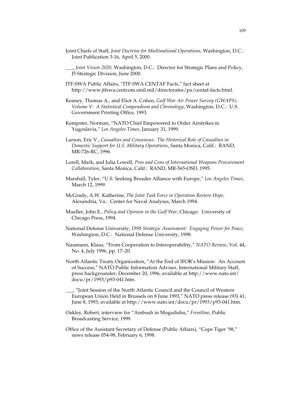- Joint Chiefs of Staff, *Joint Doctrine for Multinational Operations,* Washington, D.C.: Joint Publication 3-16, April 5, 2000.
- \_\_\_, *Joint Vision 2020,* Washington, D.C.: Director for Strategic Plans and Policy, J5 Strategic Division, June 2000.
- JTF-SWA Public Affairs, "JTF-SWA CENTAF Facts," fact sheet at http://www.jtfswa.centcom.smil.mil/directorates/pa/centaf-facts.html.
- Keaney, Thomas A., and Eliot A. Cohen, *Gulf War Air Power Survey (GWAPS), Volume V: A Statistical Compendium and Chronology*, Washington, D.C.: U.S. Government Printing Office, 1993.
- Kempster, Norman, "NATO Chief Empowered to Order Airstrikes in Yugoslavia," *Los Angeles Times*, January 31, 1999.
- Larson, Eric V., *Casualties and Consensus: The Historical Role of Casualties in Domestic Support for U.S. Military Operations*, Santa Monica, Calif.:RAND, MR-726-RC, 1996.
- Lorell, Mark, and Julia Lowell, *Pros and Cons of International Weapons Procurement Collaboration*, Santa Monica, Calif.:RAND, MR-565-OSD, 1995.
- Marshall, Tyler, "U.S. Seeking Broader Alliance with Europe," *Los Angeles Times*, March 12, 1999.
- McGrady, A.W. Katherine, *The Joint Task Force in Operation Restore Hope,* Alexandria, Va.: Center for Naval Analyses, March 1994.
- Mueller, John E., *Policy and Opinion in the Gulf War*, Chicago*:* University of Chicago Press, 1994.
- National Defense University, *1998 Strategic Assessment: Engaging Power for Peace*, Washington, D.C.: National Defense University, 1998.
- Naumann, Klaus, "From Cooperation to Interoperability," *NATO Review*, Vol. 44, No. 4, July 1996, pp. 17–20.
- North Atlantic Treaty Organization, "At the End of IFOR's Mission*:* An Account of Success," NATO Public Information Adviser, International Military Staff, press backgrounder, December 20, 1996, available at http://www.nato.int/ docu/pr/1993/p93-041.htm.
- \_\_\_, "Joint Session of the North Atlantic Council and the Council of Western European Union Held in Brussels on 8 June 1993," NATO press release (93) 41, June 8, 1993, available at http://www.nato.int/docu/pr/1993/p93-041.htm.
- Oakley, Robert, interview for "Ambush in Mogadishu," *Frontline*, Public Broadcasting Service, 1999.
- Office of the Assistant Secretary of Defense (Public Affairs), "Cope Tiger '98," news release 054-98, February 6, 1998.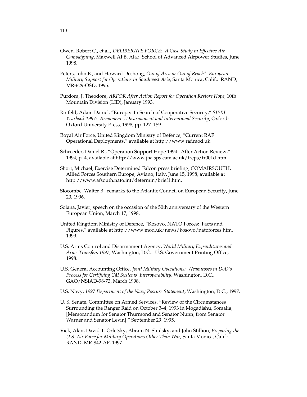- Owen, Robert C., et al., *DELIBERATE FORCE: A Case Study in Effective Air Campaigning*, Maxwell AFB, Ala.: School of Advanced Airpower Studies, June 1998.
- Peters, John E., and Howard Deshong, *Out of Area or Out of Reach? European Military Support for Operations in Southwest Asia*, Santa Monica, Calif.: RAND, MR-629-OSD, 1995.
- Purdom, J. Theodore, *ARFOR After Action Report for Operation Restore Hope,* 10th Mountain Division (LID), January 1993.
- Rotfeld, Adam Daniel, "Europe: In Search of Cooperative Security," *SIPRI Yearbook 1997: Armaments, Disarmament and International Security*, Oxford*:* Oxford University Press, 1998, pp. 127–159.
- Royal Air Force, United Kingdom Ministry of Defence, "Current RAF Operational Deployments," available at http://www.raf.mod.uk.
- Schroeder, Daniel R., "Operation Support Hope 1994*:* After Action Review," 1994, p. 4, available at http://www.jha.sps.cam.ac.uk/freps/fr001d.htm.
- Short, Michael, Exercise Determined Falcon press briefing, COMAIRSOUTH, Allied Forces Southern Europe, Aviano, Italy, June 15, 1998, available at http://www.afsouth.nato.int/determin/brief1.htm.
- Slocombe, Walter B., remarks to the Atlantic Council on European Security, June 20, 1996.
- Solana, Javier, speech on the occasion of the 50th anniversary of the Western European Union, March 17, 1998.
- United Kingdom Ministry of Defence, "Kosovo, NATO Forces: Facts and Figures," available at http://www.mod.uk/news/kosovo/natoforces.htm, 1999.
- U.S. Arms Control and Disarmament Agency, *World Military Expenditures and Arms Transfers 1997*, Washington, D.C.: U.S. Government Printing Office, 1998.
- U.S. General Accounting Office, *Joint Military Operations: Weaknesses in DoD's Process for Certifying C4I Systems' Interoperability*, Washington, D.C., GAO/NSIAD-98-73, March 1998.
- U.S. Navy, *1997 Department of the Navy Posture Statement*, Washington, D.C., 1997.
- U. S. Senate, Committee on Armed Services, "Review of the Circumstances Surrounding the Ranger Raid on October 3–4, 1993 in Mogadishu, Somalia, [Memorandum for Senator Thurmond and Senator Nunn, from Senator Warner and Senator Levin]," September 29, 1995.
- Vick, Alan, David T. Orletsky, Abram N. Shulsky, and John Stillion, *Preparing the U.S. Air Force for Military Operations Other Than War,* Santa Monica, Calif.: RAND, MR-842-AF, 1997.